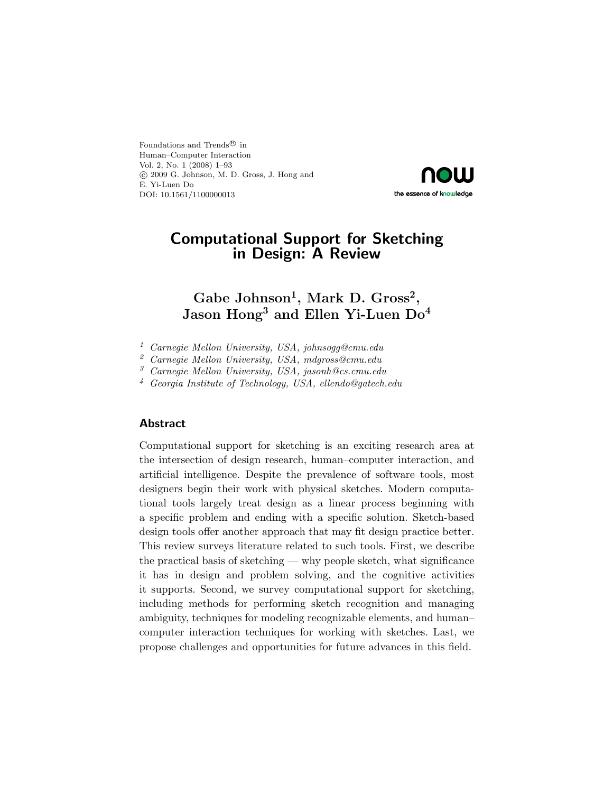Foundations and Trends $^{\textcircled{\tiny{\textregistered}}}$  in Human–Computer Interaction Vol. 2, No. 1 (2008) 1–93 c 2009 G. Johnson, M. D. Gross, J. Hong and E. Yi-Luen Do DOI: 10.1561/1100000013



# **Computational Support for Sketching in Design: A Review**

# Gabe Johnson<sup>1</sup>, Mark D. Gross<sup>2</sup>, **Jason Hong3 and Ellen Yi-Luen Do4**

- <sup>1</sup> *Carnegie Mellon University, USA, johnsogg@cmu.edu*
- <sup>2</sup> *Carnegie Mellon University, USA, mdgross@cmu.edu*
- <sup>3</sup> *Carnegie Mellon University, USA, jasonh@cs.cmu.edu*
- <sup>4</sup> *Georgia Institute of Technology, USA, ellendo@gatech.edu*

# **Abstract**

Computational support for sketching is an exciting research area at the intersection of design research, human–computer interaction, and artificial intelligence. Despite the prevalence of software tools, most designers begin their work with physical sketches. Modern computational tools largely treat design as a linear process beginning with a specific problem and ending with a specific solution. Sketch-based design tools offer another approach that may fit design practice better. This review surveys literature related to such tools. First, we describe the practical basis of sketching — why people sketch, what significance it has in design and problem solving, and the cognitive activities it supports. Second, we survey computational support for sketching, including methods for performing sketch recognition and managing ambiguity, techniques for modeling recognizable elements, and human– computer interaction techniques for working with sketches. Last, we propose challenges and opportunities for future advances in this field.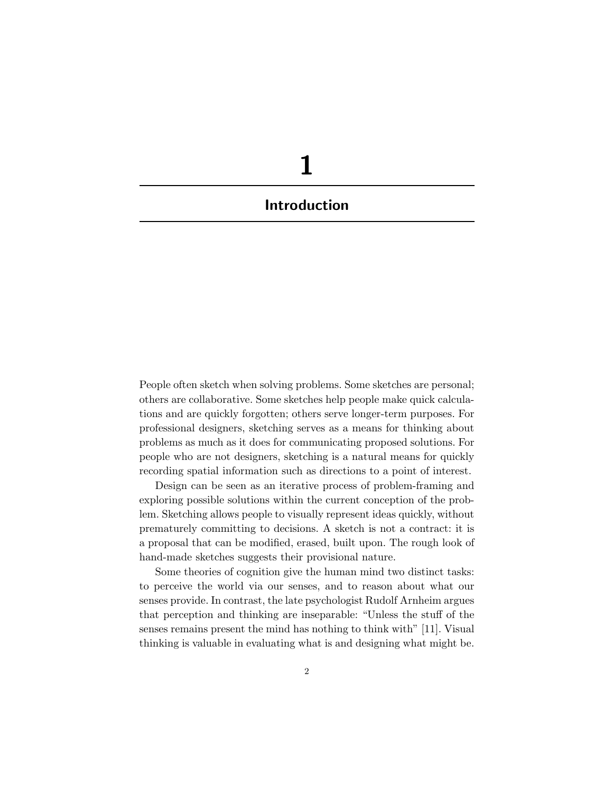# **1 Introduction**

People often sketch when solving problems. Some sketches are personal; others are collaborative. Some sketches help people make quick calculations and are quickly forgotten; others serve longer-term purposes. For professional designers, sketching serves as a means for thinking about problems as much as it does for communicating proposed solutions. For people who are not designers, sketching is a natural means for quickly recording spatial information such as directions to a point of interest.

Design can be seen as an iterative process of problem-framing and exploring possible solutions within the current conception of the problem. Sketching allows people to visually represent ideas quickly, without prematurely committing to decisions. A sketch is not a contract: it is a proposal that can be modified, erased, built upon. The rough look of hand-made sketches suggests their provisional nature.

Some theories of cognition give the human mind two distinct tasks: to perceive the world via our senses, and to reason about what our senses provide. In contrast, the late psychologist Rudolf Arnheim argues that perception and thinking are inseparable: "Unless the stuff of the senses remains present the mind has nothing to think with" [11]. Visual thinking is valuable in evaluating what is and designing what might be.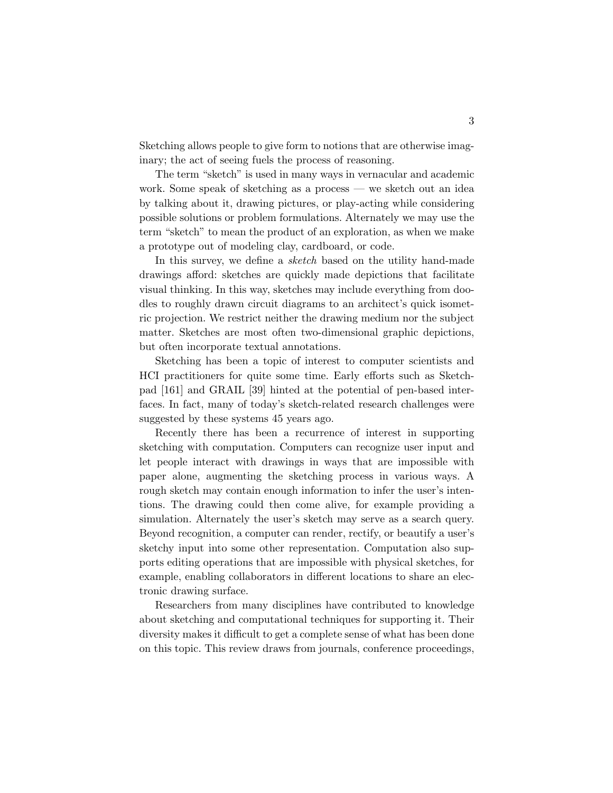Sketching allows people to give form to notions that are otherwise imaginary; the act of seeing fuels the process of reasoning.

The term "sketch" is used in many ways in vernacular and academic work. Some speak of sketching as a process — we sketch out an idea by talking about it, drawing pictures, or play-acting while considering possible solutions or problem formulations. Alternately we may use the term "sketch" to mean the product of an exploration, as when we make a prototype out of modeling clay, cardboard, or code.

In this survey, we define a *sketch* based on the utility hand-made drawings afford: sketches are quickly made depictions that facilitate visual thinking. In this way, sketches may include everything from doodles to roughly drawn circuit diagrams to an architect's quick isometric projection. We restrict neither the drawing medium nor the subject matter. Sketches are most often two-dimensional graphic depictions, but often incorporate textual annotations.

Sketching has been a topic of interest to computer scientists and HCI practitioners for quite some time. Early efforts such as Sketchpad [161] and GRAIL [39] hinted at the potential of pen-based interfaces. In fact, many of today's sketch-related research challenges were suggested by these systems 45 years ago.

Recently there has been a recurrence of interest in supporting sketching with computation. Computers can recognize user input and let people interact with drawings in ways that are impossible with paper alone, augmenting the sketching process in various ways. A rough sketch may contain enough information to infer the user's intentions. The drawing could then come alive, for example providing a simulation. Alternately the user's sketch may serve as a search query. Beyond recognition, a computer can render, rectify, or beautify a user's sketchy input into some other representation. Computation also supports editing operations that are impossible with physical sketches, for example, enabling collaborators in different locations to share an electronic drawing surface.

Researchers from many disciplines have contributed to knowledge about sketching and computational techniques for supporting it. Their diversity makes it difficult to get a complete sense of what has been done on this topic. This review draws from journals, conference proceedings,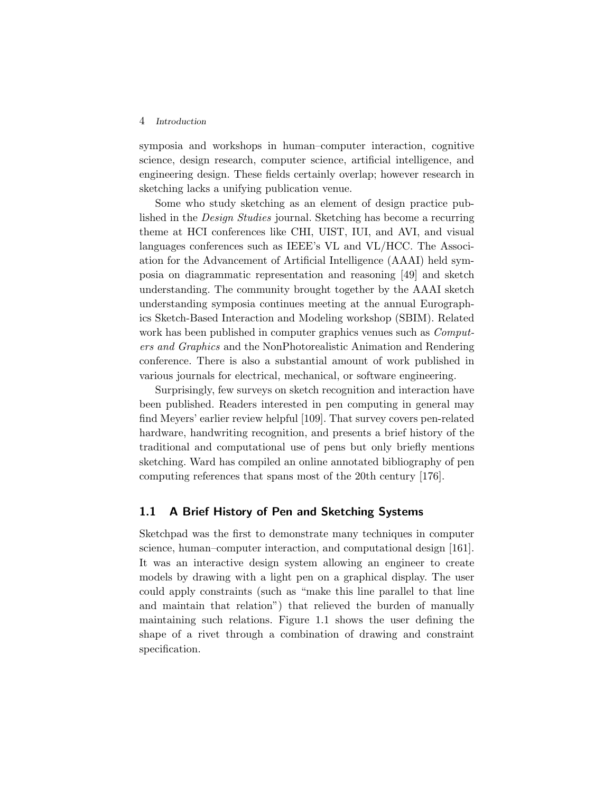### 4 *Introduction*

symposia and workshops in human–computer interaction, cognitive science, design research, computer science, artificial intelligence, and engineering design. These fields certainly overlap; however research in sketching lacks a unifying publication venue.

Some who study sketching as an element of design practice published in the *Design Studies* journal. Sketching has become a recurring theme at HCI conferences like CHI, UIST, IUI, and AVI, and visual languages conferences such as IEEE's VL and VL/HCC. The Association for the Advancement of Artificial Intelligence (AAAI) held symposia on diagrammatic representation and reasoning [49] and sketch understanding. The community brought together by the AAAI sketch understanding symposia continues meeting at the annual Eurographics Sketch-Based Interaction and Modeling workshop (SBIM). Related work has been published in computer graphics venues such as *Computers and Graphics* and the NonPhotorealistic Animation and Rendering conference. There is also a substantial amount of work published in various journals for electrical, mechanical, or software engineering.

Surprisingly, few surveys on sketch recognition and interaction have been published. Readers interested in pen computing in general may find Meyers' earlier review helpful [109]. That survey covers pen-related hardware, handwriting recognition, and presents a brief history of the traditional and computational use of pens but only briefly mentions sketching. Ward has compiled an online annotated bibliography of pen computing references that spans most of the 20th century [176].

## **1.1 A Brief History of Pen and Sketching Systems**

Sketchpad was the first to demonstrate many techniques in computer science, human–computer interaction, and computational design [161]. It was an interactive design system allowing an engineer to create models by drawing with a light pen on a graphical display. The user could apply constraints (such as "make this line parallel to that line and maintain that relation") that relieved the burden of manually maintaining such relations. Figure 1.1 shows the user defining the shape of a rivet through a combination of drawing and constraint specification.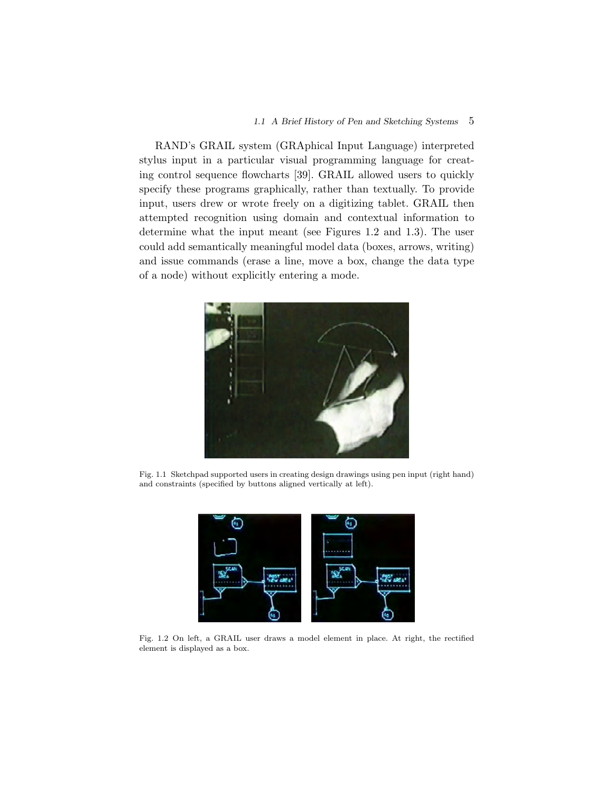RAND's GRAIL system (GRAphical Input Language) interpreted stylus input in a particular visual programming language for creating control sequence flowcharts [39]. GRAIL allowed users to quickly specify these programs graphically, rather than textually. To provide input, users drew or wrote freely on a digitizing tablet. GRAIL then attempted recognition using domain and contextual information to determine what the input meant (see Figures 1.2 and 1.3). The user could add semantically meaningful model data (boxes, arrows, writing) and issue commands (erase a line, move a box, change the data type of a node) without explicitly entering a mode.



Fig. 1.1 Sketchpad supported users in creating design drawings using pen input (right hand) and constraints (specified by buttons aligned vertically at left).



Fig. 1.2 On left, a GRAIL user draws a model element in place. At right, the rectified element is displayed as a box.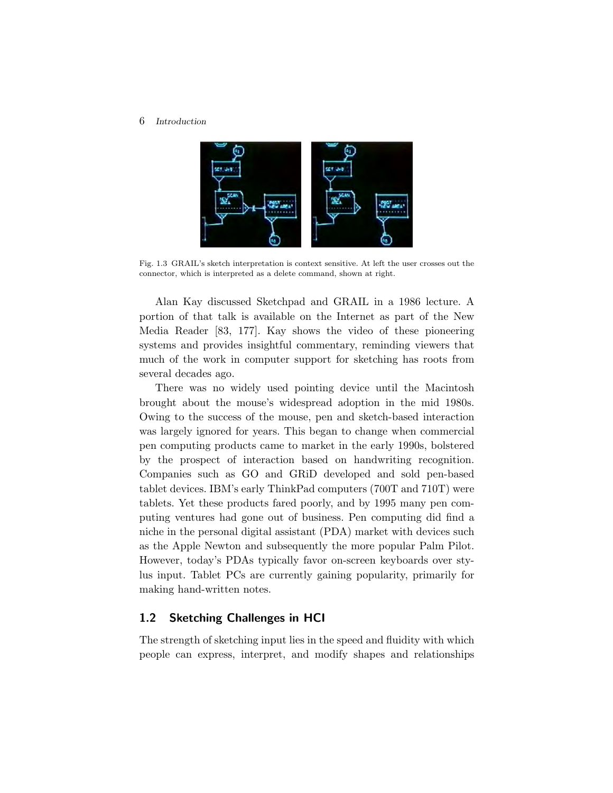#### 6 *Introduction*



Fig. 1.3 GRAIL's sketch interpretation is context sensitive. At left the user crosses out the connector, which is interpreted as a delete command, shown at right.

Alan Kay discussed Sketchpad and GRAIL in a 1986 lecture. A portion of that talk is available on the Internet as part of the New Media Reader [83, 177]. Kay shows the video of these pioneering systems and provides insightful commentary, reminding viewers that much of the work in computer support for sketching has roots from several decades ago.

There was no widely used pointing device until the Macintosh brought about the mouse's widespread adoption in the mid 1980s. Owing to the success of the mouse, pen and sketch-based interaction was largely ignored for years. This began to change when commercial pen computing products came to market in the early 1990s, bolstered by the prospect of interaction based on handwriting recognition. Companies such as GO and GRiD developed and sold pen-based tablet devices. IBM's early ThinkPad computers (700T and 710T) were tablets. Yet these products fared poorly, and by 1995 many pen computing ventures had gone out of business. Pen computing did find a niche in the personal digital assistant (PDA) market with devices such as the Apple Newton and subsequently the more popular Palm Pilot. However, today's PDAs typically favor on-screen keyboards over stylus input. Tablet PCs are currently gaining popularity, primarily for making hand-written notes.

# **1.2 Sketching Challenges in HCI**

The strength of sketching input lies in the speed and fluidity with which people can express, interpret, and modify shapes and relationships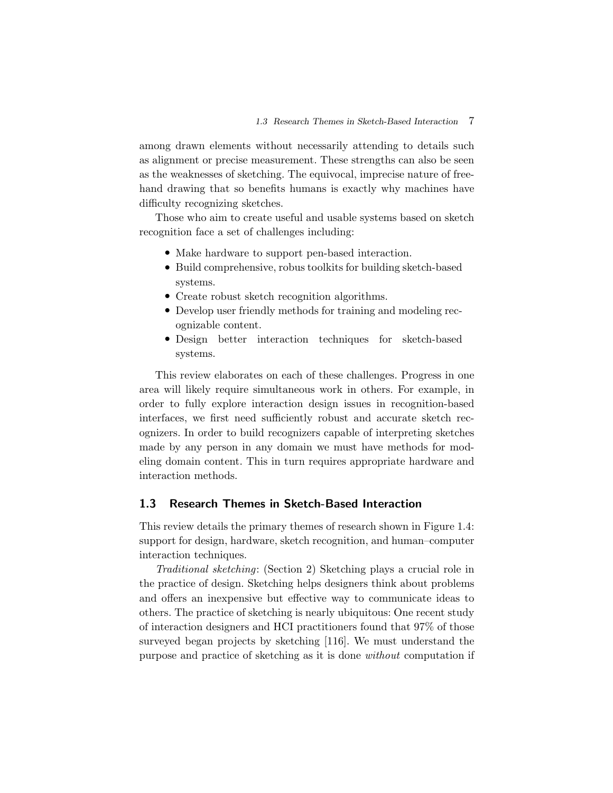among drawn elements without necessarily attending to details such as alignment or precise measurement. These strengths can also be seen as the weaknesses of sketching. The equivocal, imprecise nature of freehand drawing that so benefits humans is exactly why machines have difficulty recognizing sketches.

Those who aim to create useful and usable systems based on sketch recognition face a set of challenges including:

- Make hardware to support pen-based interaction.
- Build comprehensive, robus toolkits for building sketch-based systems.
- Create robust sketch recognition algorithms.
- Develop user friendly methods for training and modeling recognizable content.
- Design better interaction techniques for sketch-based systems.

This review elaborates on each of these challenges. Progress in one area will likely require simultaneous work in others. For example, in order to fully explore interaction design issues in recognition-based interfaces, we first need sufficiently robust and accurate sketch recognizers. In order to build recognizers capable of interpreting sketches made by any person in any domain we must have methods for modeling domain content. This in turn requires appropriate hardware and interaction methods.

### **1.3 Research Themes in Sketch-Based Interaction**

This review details the primary themes of research shown in Figure 1.4: support for design, hardware, sketch recognition, and human–computer interaction techniques.

*Traditional sketching*: (Section 2) Sketching plays a crucial role in the practice of design. Sketching helps designers think about problems and offers an inexpensive but effective way to communicate ideas to others. The practice of sketching is nearly ubiquitous: One recent study of interaction designers and HCI practitioners found that 97% of those surveyed began projects by sketching [116]. We must understand the purpose and practice of sketching as it is done *without* computation if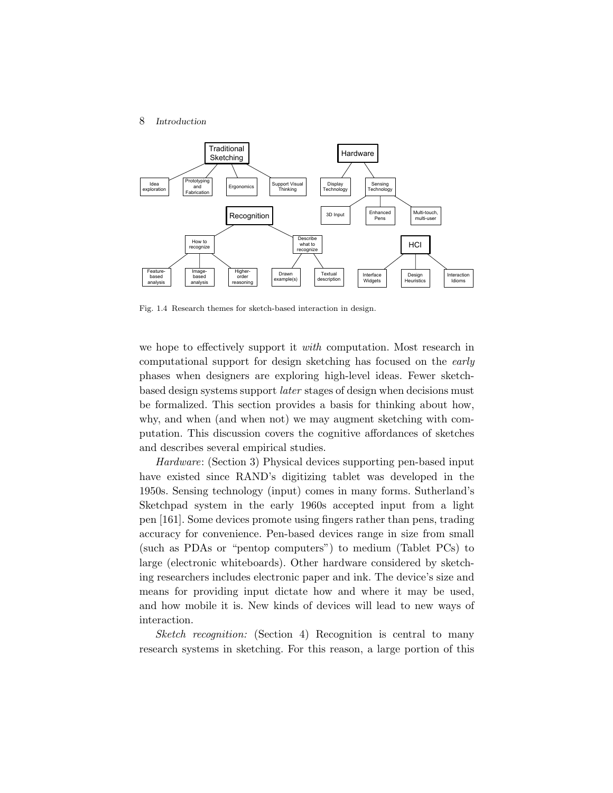### 8 *Introduction*



Fig. 1.4 Research themes for sketch-based interaction in design.

we hope to effectively support it *with* computation. Most research in computational support for design sketching has focused on the *early* phases when designers are exploring high-level ideas. Fewer sketchbased design systems support *later* stages of design when decisions must be formalized. This section provides a basis for thinking about how, why, and when (and when not) we may augment sketching with computation. This discussion covers the cognitive affordances of sketches and describes several empirical studies.

*Hardware*: (Section 3) Physical devices supporting pen-based input have existed since RAND's digitizing tablet was developed in the 1950s. Sensing technology (input) comes in many forms. Sutherland's Sketchpad system in the early 1960s accepted input from a light pen [161]. Some devices promote using fingers rather than pens, trading accuracy for convenience. Pen-based devices range in size from small (such as PDAs or "pentop computers") to medium (Tablet PCs) to large (electronic whiteboards). Other hardware considered by sketching researchers includes electronic paper and ink. The device's size and means for providing input dictate how and where it may be used, and how mobile it is. New kinds of devices will lead to new ways of interaction.

*Sketch recognition:* (Section 4) Recognition is central to many research systems in sketching. For this reason, a large portion of this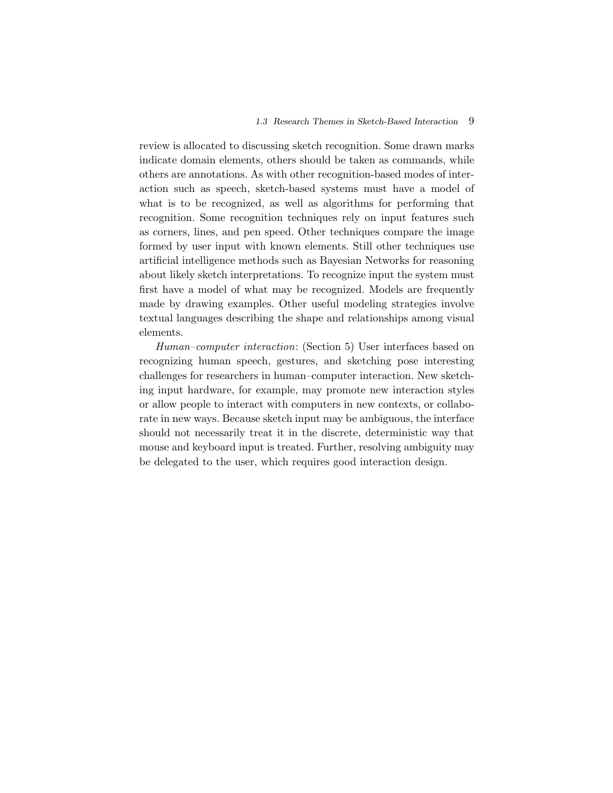review is allocated to discussing sketch recognition. Some drawn marks indicate domain elements, others should be taken as commands, while others are annotations. As with other recognition-based modes of interaction such as speech, sketch-based systems must have a model of what is to be recognized, as well as algorithms for performing that recognition. Some recognition techniques rely on input features such as corners, lines, and pen speed. Other techniques compare the image formed by user input with known elements. Still other techniques use artificial intelligence methods such as Bayesian Networks for reasoning about likely sketch interpretations. To recognize input the system must first have a model of what may be recognized. Models are frequently made by drawing examples. Other useful modeling strategies involve textual languages describing the shape and relationships among visual elements.

*Human–computer interaction*: (Section 5) User interfaces based on recognizing human speech, gestures, and sketching pose interesting challenges for researchers in human–computer interaction. New sketching input hardware, for example, may promote new interaction styles or allow people to interact with computers in new contexts, or collaborate in new ways. Because sketch input may be ambiguous, the interface should not necessarily treat it in the discrete, deterministic way that mouse and keyboard input is treated. Further, resolving ambiguity may be delegated to the user, which requires good interaction design.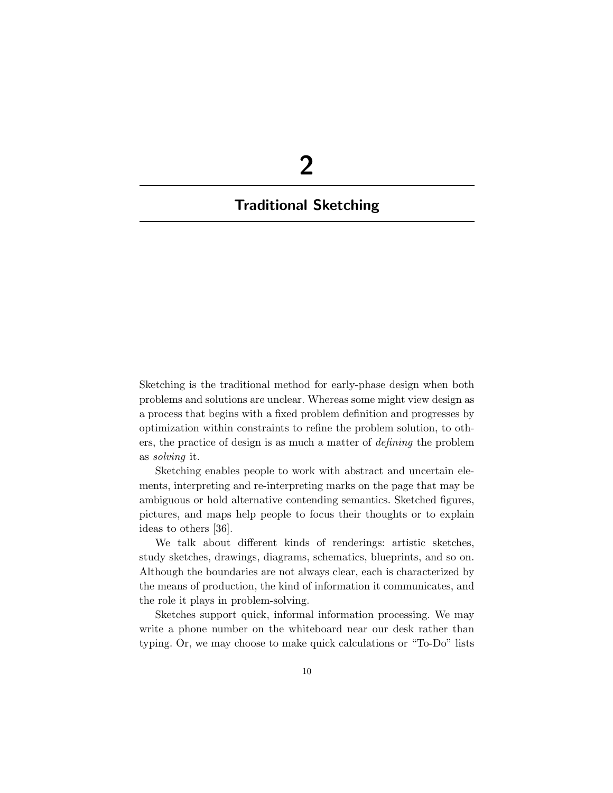# **2**

# **Traditional Sketching**

Sketching is the traditional method for early-phase design when both problems and solutions are unclear. Whereas some might view design as a process that begins with a fixed problem definition and progresses by optimization within constraints to refine the problem solution, to others, the practice of design is as much a matter of *defining* the problem as *solving* it.

Sketching enables people to work with abstract and uncertain elements, interpreting and re-interpreting marks on the page that may be ambiguous or hold alternative contending semantics. Sketched figures, pictures, and maps help people to focus their thoughts or to explain ideas to others [36].

We talk about different kinds of renderings: artistic sketches, study sketches, drawings, diagrams, schematics, blueprints, and so on. Although the boundaries are not always clear, each is characterized by the means of production, the kind of information it communicates, and the role it plays in problem-solving.

Sketches support quick, informal information processing. We may write a phone number on the whiteboard near our desk rather than typing. Or, we may choose to make quick calculations or "To-Do" lists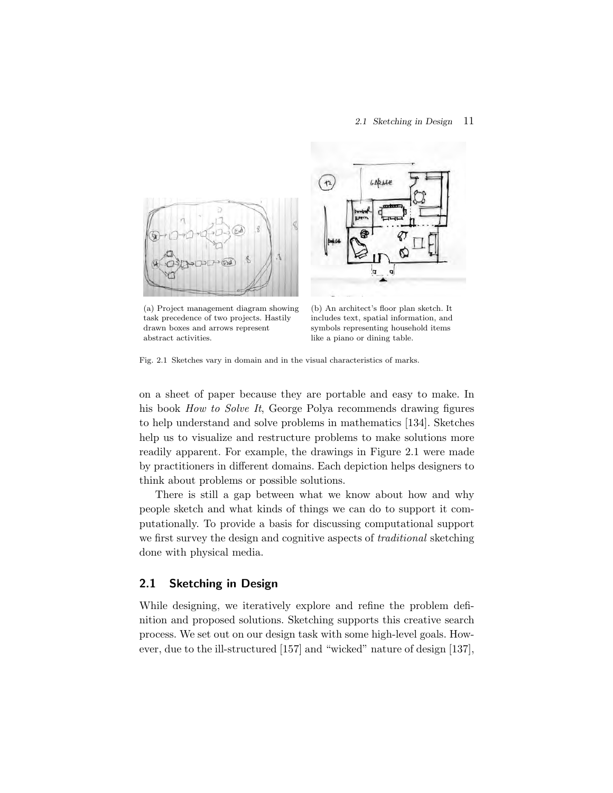

(a) Project management diagram showing task precedence of two projects. Hastily drawn boxes and arrows represent abstract activities.

(b) An architect's floor plan sketch. It includes text, spatial information, and symbols representing household items like a piano or dining table.

Fig. 2.1 Sketches vary in domain and in the visual characteristics of marks.

on a sheet of paper because they are portable and easy to make. In his book *How to Solve It*, George Polya recommends drawing figures to help understand and solve problems in mathematics [134]. Sketches help us to visualize and restructure problems to make solutions more readily apparent. For example, the drawings in Figure 2.1 were made by practitioners in different domains. Each depiction helps designers to think about problems or possible solutions.

There is still a gap between what we know about how and why people sketch and what kinds of things we can do to support it computationally. To provide a basis for discussing computational support we first survey the design and cognitive aspects of *traditional* sketching done with physical media.

# **2.1 Sketching in Design**

While designing, we iteratively explore and refine the problem definition and proposed solutions. Sketching supports this creative search process. We set out on our design task with some high-level goals. However, due to the ill-structured [157] and "wicked" nature of design [137],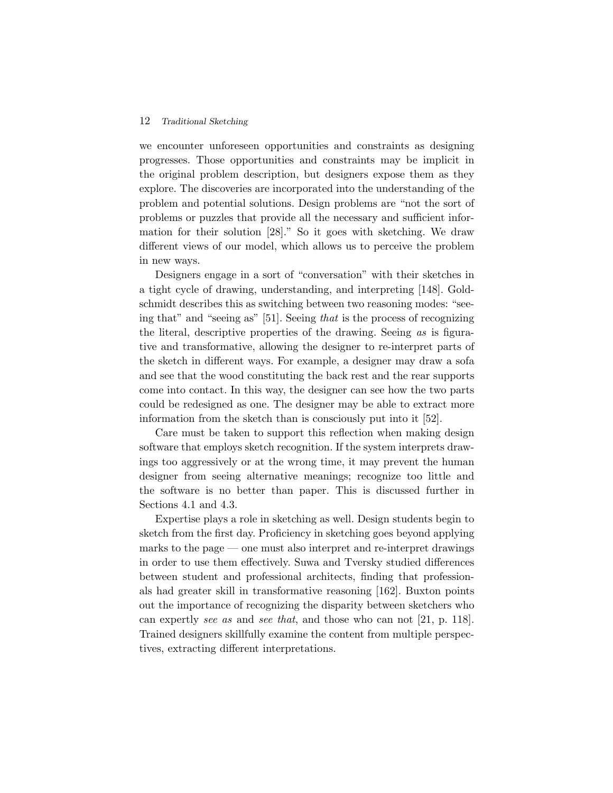### 12 *Traditional Sketching*

we encounter unforeseen opportunities and constraints as designing progresses. Those opportunities and constraints may be implicit in the original problem description, but designers expose them as they explore. The discoveries are incorporated into the understanding of the problem and potential solutions. Design problems are "not the sort of problems or puzzles that provide all the necessary and sufficient information for their solution [28]." So it goes with sketching. We draw different views of our model, which allows us to perceive the problem in new ways.

Designers engage in a sort of "conversation" with their sketches in a tight cycle of drawing, understanding, and interpreting [148]. Goldschmidt describes this as switching between two reasoning modes: "seeing that" and "seeing as" [51]. Seeing *that* is the process of recognizing the literal, descriptive properties of the drawing. Seeing *as* is figurative and transformative, allowing the designer to re-interpret parts of the sketch in different ways. For example, a designer may draw a sofa and see that the wood constituting the back rest and the rear supports come into contact. In this way, the designer can see how the two parts could be redesigned as one. The designer may be able to extract more information from the sketch than is consciously put into it [52].

Care must be taken to support this reflection when making design software that employs sketch recognition. If the system interprets drawings too aggressively or at the wrong time, it may prevent the human designer from seeing alternative meanings; recognize too little and the software is no better than paper. This is discussed further in Sections 4.1 and 4.3.

Expertise plays a role in sketching as well. Design students begin to sketch from the first day. Proficiency in sketching goes beyond applying marks to the page — one must also interpret and re-interpret drawings in order to use them effectively. Suwa and Tversky studied differences between student and professional architects, finding that professionals had greater skill in transformative reasoning [162]. Buxton points out the importance of recognizing the disparity between sketchers who can expertly *see as* and *see that*, and those who can not [21, p. 118]. Trained designers skillfully examine the content from multiple perspectives, extracting different interpretations.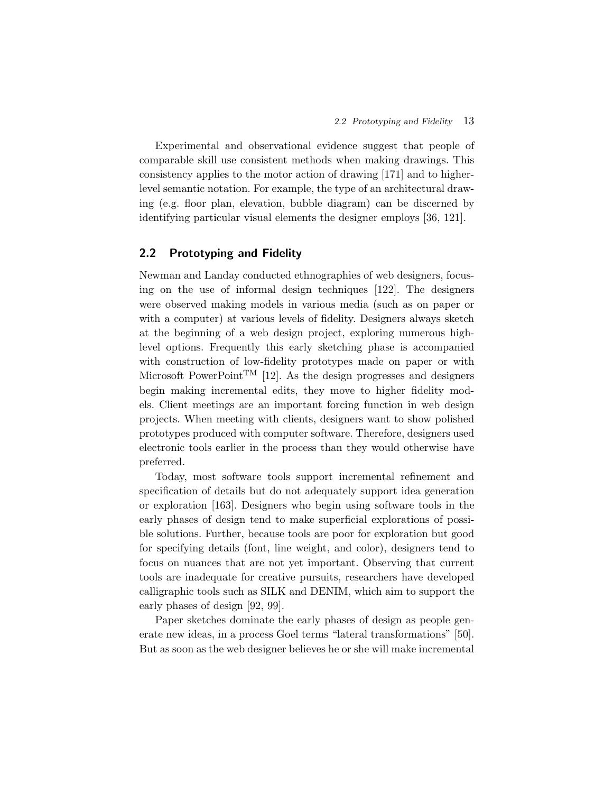Experimental and observational evidence suggest that people of comparable skill use consistent methods when making drawings. This consistency applies to the motor action of drawing [171] and to higherlevel semantic notation. For example, the type of an architectural drawing (e.g. floor plan, elevation, bubble diagram) can be discerned by identifying particular visual elements the designer employs [36, 121].

# **2.2 Prototyping and Fidelity**

Newman and Landay conducted ethnographies of web designers, focusing on the use of informal design techniques [122]. The designers were observed making models in various media (such as on paper or with a computer) at various levels of fidelity. Designers always sketch at the beginning of a web design project, exploring numerous highlevel options. Frequently this early sketching phase is accompanied with construction of low-fidelity prototypes made on paper or with Microsoft PowerPoint<sup>TM</sup> [12]. As the design progresses and designers begin making incremental edits, they move to higher fidelity models. Client meetings are an important forcing function in web design projects. When meeting with clients, designers want to show polished prototypes produced with computer software. Therefore, designers used electronic tools earlier in the process than they would otherwise have preferred.

Today, most software tools support incremental refinement and specification of details but do not adequately support idea generation or exploration [163]. Designers who begin using software tools in the early phases of design tend to make superficial explorations of possible solutions. Further, because tools are poor for exploration but good for specifying details (font, line weight, and color), designers tend to focus on nuances that are not yet important. Observing that current tools are inadequate for creative pursuits, researchers have developed calligraphic tools such as SILK and DENIM, which aim to support the early phases of design [92, 99].

Paper sketches dominate the early phases of design as people generate new ideas, in a process Goel terms "lateral transformations" [50]. But as soon as the web designer believes he or she will make incremental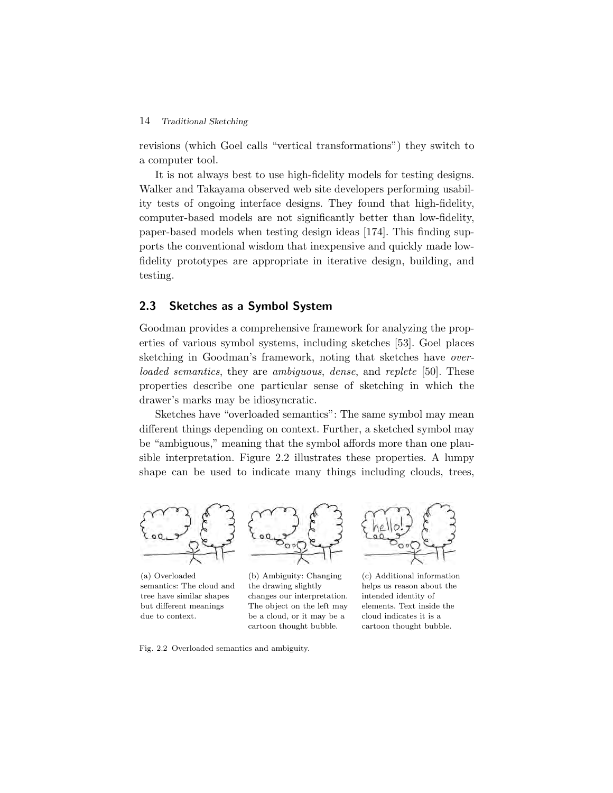### 14 *Traditional Sketching*

revisions (which Goel calls "vertical transformations") they switch to a computer tool.

It is not always best to use high-fidelity models for testing designs. Walker and Takayama observed web site developers performing usability tests of ongoing interface designs. They found that high-fidelity, computer-based models are not significantly better than low-fidelity, paper-based models when testing design ideas [174]. This finding supports the conventional wisdom that inexpensive and quickly made lowfidelity prototypes are appropriate in iterative design, building, and testing.

## **2.3 Sketches as a Symbol System**

Goodman provides a comprehensive framework for analyzing the properties of various symbol systems, including sketches [53]. Goel places sketching in Goodman's framework, noting that sketches have *overloaded semantics*, they are *ambiguous*, *dense*, and *replete* [50]. These properties describe one particular sense of sketching in which the drawer's marks may be idiosyncratic.

Sketches have "overloaded semantics": The same symbol may mean different things depending on context. Further, a sketched symbol may be "ambiguous," meaning that the symbol affords more than one plausible interpretation. Figure 2.2 illustrates these properties. A lumpy shape can be used to indicate many things including clouds, trees,



(a) Overloaded semantics: The cloud and tree have similar shapes but different meanings due to context.



(b) Ambiguity: Changing the drawing slightly changes our interpretation. The object on the left may be a cloud, or it may be a cartoon thought bubble.



(c) Additional information helps us reason about the intended identity of elements. Text inside the cloud indicates it is a cartoon thought bubble.

Fig. 2.2 Overloaded semantics and ambiguity.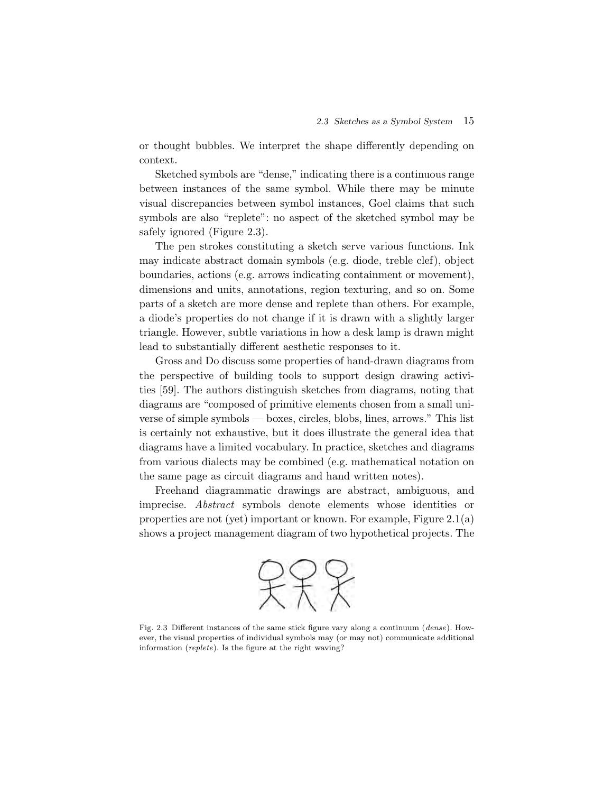or thought bubbles. We interpret the shape differently depending on context.

Sketched symbols are "dense," indicating there is a continuous range between instances of the same symbol. While there may be minute visual discrepancies between symbol instances, Goel claims that such symbols are also "replete": no aspect of the sketched symbol may be safely ignored (Figure 2.3).

The pen strokes constituting a sketch serve various functions. Ink may indicate abstract domain symbols (e.g. diode, treble clef), object boundaries, actions (e.g. arrows indicating containment or movement), dimensions and units, annotations, region texturing, and so on. Some parts of a sketch are more dense and replete than others. For example, a diode's properties do not change if it is drawn with a slightly larger triangle. However, subtle variations in how a desk lamp is drawn might lead to substantially different aesthetic responses to it.

Gross and Do discuss some properties of hand-drawn diagrams from the perspective of building tools to support design drawing activities [59]. The authors distinguish sketches from diagrams, noting that diagrams are "composed of primitive elements chosen from a small universe of simple symbols — boxes, circles, blobs, lines, arrows." This list is certainly not exhaustive, but it does illustrate the general idea that diagrams have a limited vocabulary. In practice, sketches and diagrams from various dialects may be combined (e.g. mathematical notation on the same page as circuit diagrams and hand written notes).

Freehand diagrammatic drawings are abstract, ambiguous, and imprecise. *Abstract* symbols denote elements whose identities or properties are not (yet) important or known. For example, Figure 2.1(a) shows a project management diagram of two hypothetical projects. The



Fig. 2.3 Different instances of the same stick figure vary along a continuum (dense). However, the visual properties of individual symbols may (or may not) communicate additional information (replete). Is the figure at the right waving?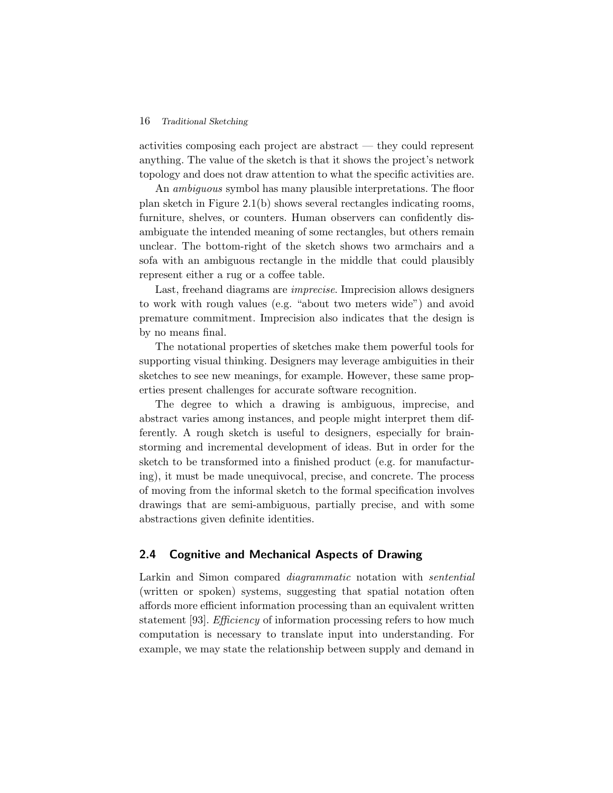### 16 *Traditional Sketching*

activities composing each project are abstract — they could represent anything. The value of the sketch is that it shows the project's network topology and does not draw attention to what the specific activities are.

An *ambiguous* symbol has many plausible interpretations. The floor plan sketch in Figure 2.1(b) shows several rectangles indicating rooms, furniture, shelves, or counters. Human observers can confidently disambiguate the intended meaning of some rectangles, but others remain unclear. The bottom-right of the sketch shows two armchairs and a sofa with an ambiguous rectangle in the middle that could plausibly represent either a rug or a coffee table.

Last, freehand diagrams are *imprecise*. Imprecision allows designers to work with rough values (e.g. "about two meters wide") and avoid premature commitment. Imprecision also indicates that the design is by no means final.

The notational properties of sketches make them powerful tools for supporting visual thinking. Designers may leverage ambiguities in their sketches to see new meanings, for example. However, these same properties present challenges for accurate software recognition.

The degree to which a drawing is ambiguous, imprecise, and abstract varies among instances, and people might interpret them differently. A rough sketch is useful to designers, especially for brainstorming and incremental development of ideas. But in order for the sketch to be transformed into a finished product (e.g. for manufacturing), it must be made unequivocal, precise, and concrete. The process of moving from the informal sketch to the formal specification involves drawings that are semi-ambiguous, partially precise, and with some abstractions given definite identities.

### **2.4 Cognitive and Mechanical Aspects of Drawing**

Larkin and Simon compared *diagrammatic* notation with *sentential* (written or spoken) systems, suggesting that spatial notation often affords more efficient information processing than an equivalent written statement [93]. *Efficiency* of information processing refers to how much computation is necessary to translate input into understanding. For example, we may state the relationship between supply and demand in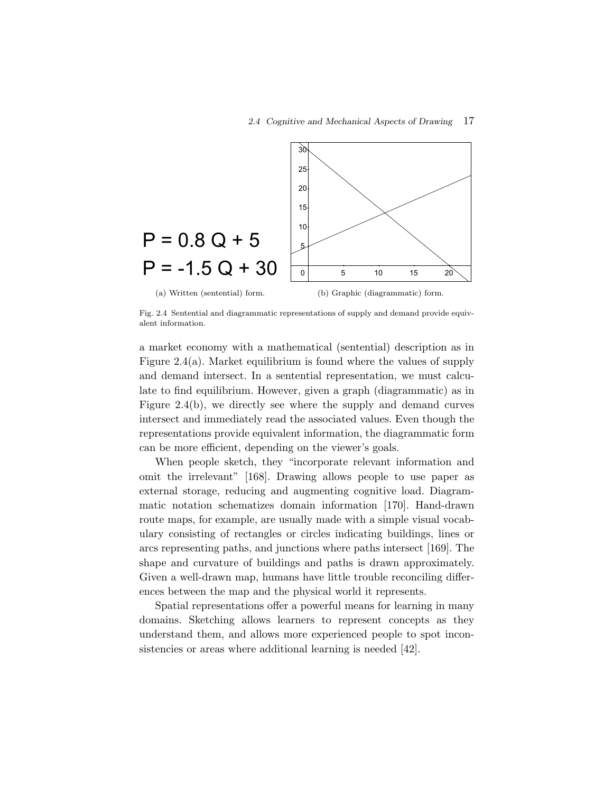

Fig. 2.4 Sentential and diagrammatic representations of supply and demand provide equivalent information.

a market economy with a mathematical (sentential) description as in Figure 2.4(a). Market equilibrium is found where the values of supply and demand intersect. In a sentential representation, we must calculate to find equilibrium. However, given a graph (diagrammatic) as in Figure 2.4(b), we directly see where the supply and demand curves intersect and immediately read the associated values. Even though the representations provide equivalent information, the diagrammatic form can be more efficient, depending on the viewer's goals.

When people sketch, they "incorporate relevant information and omit the irrelevant" [168]. Drawing allows people to use paper as external storage, reducing and augmenting cognitive load. Diagrammatic notation schematizes domain information [170]. Hand-drawn route maps, for example, are usually made with a simple visual vocabulary consisting of rectangles or circles indicating buildings, lines or arcs representing paths, and junctions where paths intersect [169]. The shape and curvature of buildings and paths is drawn approximately. Given a well-drawn map, humans have little trouble reconciling differences between the map and the physical world it represents.

Spatial representations offer a powerful means for learning in many domains. Sketching allows learners to represent concepts as they understand them, and allows more experienced people to spot inconsistencies or areas where additional learning is needed [42].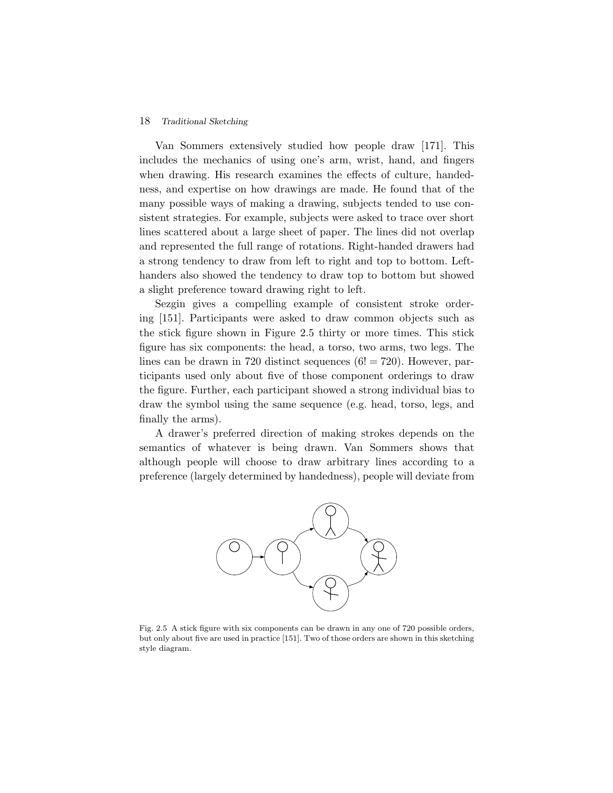### 18 *Traditional Sketching*

Van Sommers extensively studied how people draw [171]. This includes the mechanics of using one's arm, wrist, hand, and fingers when drawing. His research examines the effects of culture, handedness, and expertise on how drawings are made. He found that of the many possible ways of making a drawing, subjects tended to use consistent strategies. For example, subjects were asked to trace over short lines scattered about a large sheet of paper. The lines did not overlap and represented the full range of rotations. Right-handed drawers had a strong tendency to draw from left to right and top to bottom. Lefthanders also showed the tendency to draw top to bottom but showed a slight preference toward drawing right to left.

Sezgin gives a compelling example of consistent stroke ordering [151]. Participants were asked to draw common objects such as the stick figure shown in Figure 2.5 thirty or more times. This stick figure has six components: the head, a torso, two arms, two legs. The lines can be drawn in 720 distinct sequences  $(6! = 720)$ . However, participants used only about five of those component orderings to draw the figure. Further, each participant showed a strong individual bias to draw the symbol using the same sequence (e.g. head, torso, legs, and finally the arms).

A drawer's preferred direction of making strokes depends on the semantics of whatever is being drawn. Van Sommers shows that although people will choose to draw arbitrary lines according to a preference (largely determined by handedness), people will deviate from



Fig. 2.5 A stick figure with six components can be drawn in any one of 720 possible orders, but only about five are used in practice [151]. Two of those orders are shown in this sketching style diagram.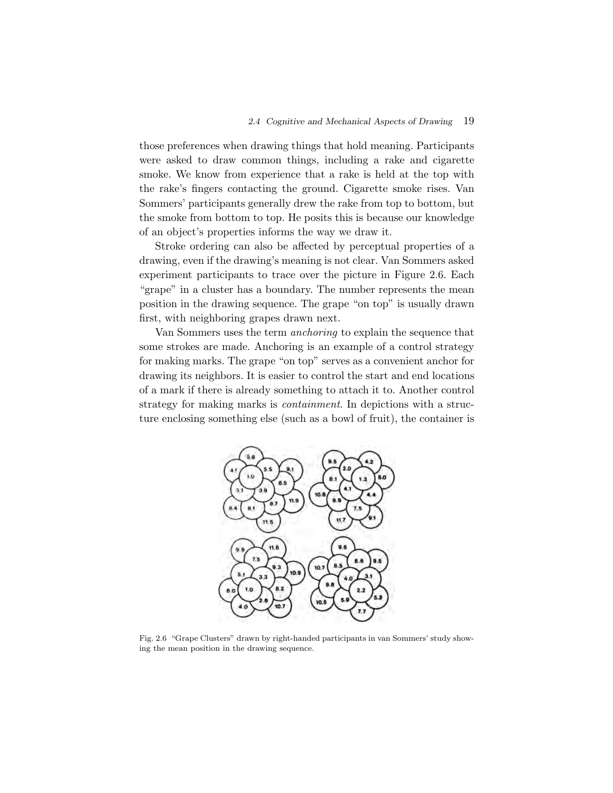those preferences when drawing things that hold meaning. Participants were asked to draw common things, including a rake and cigarette smoke. We know from experience that a rake is held at the top with the rake's fingers contacting the ground. Cigarette smoke rises. Van Sommers' participants generally drew the rake from top to bottom, but the smoke from bottom to top. He posits this is because our knowledge of an object's properties informs the way we draw it.

Stroke ordering can also be affected by perceptual properties of a drawing, even if the drawing's meaning is not clear. Van Sommers asked experiment participants to trace over the picture in Figure 2.6. Each "grape" in a cluster has a boundary. The number represents the mean position in the drawing sequence. The grape "on top" is usually drawn first, with neighboring grapes drawn next.

Van Sommers uses the term *anchoring* to explain the sequence that some strokes are made. Anchoring is an example of a control strategy for making marks. The grape "on top" serves as a convenient anchor for drawing its neighbors. It is easier to control the start and end locations of a mark if there is already something to attach it to. Another control strategy for making marks is *containment*. In depictions with a structure enclosing something else (such as a bowl of fruit), the container is



Fig. 2.6 "Grape Clusters" drawn by right-handed participants in van Sommers' study showing the mean position in the drawing sequence.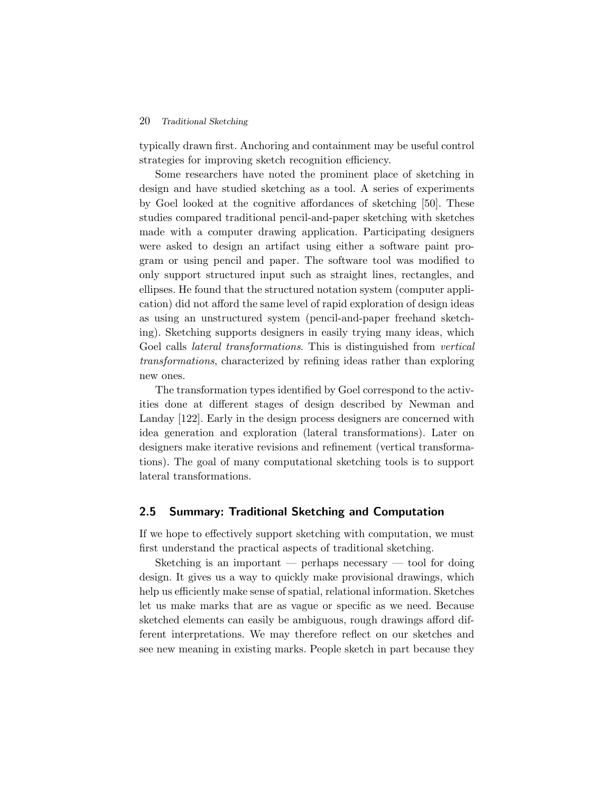### 20 *Traditional Sketching*

typically drawn first. Anchoring and containment may be useful control strategies for improving sketch recognition efficiency.

Some researchers have noted the prominent place of sketching in design and have studied sketching as a tool. A series of experiments by Goel looked at the cognitive affordances of sketching [50]. These studies compared traditional pencil-and-paper sketching with sketches made with a computer drawing application. Participating designers were asked to design an artifact using either a software paint program or using pencil and paper. The software tool was modified to only support structured input such as straight lines, rectangles, and ellipses. He found that the structured notation system (computer application) did not afford the same level of rapid exploration of design ideas as using an unstructured system (pencil-and-paper freehand sketching). Sketching supports designers in easily trying many ideas, which Goel calls *lateral transformations*. This is distinguished from *vertical transformations*, characterized by refining ideas rather than exploring new ones.

The transformation types identified by Goel correspond to the activities done at different stages of design described by Newman and Landay [122]. Early in the design process designers are concerned with idea generation and exploration (lateral transformations). Later on designers make iterative revisions and refinement (vertical transformations). The goal of many computational sketching tools is to support lateral transformations.

# **2.5 Summary: Traditional Sketching and Computation**

If we hope to effectively support sketching with computation, we must first understand the practical aspects of traditional sketching.

Sketching is an important — perhaps necessary — tool for doing design. It gives us a way to quickly make provisional drawings, which help us efficiently make sense of spatial, relational information. Sketches let us make marks that are as vague or specific as we need. Because sketched elements can easily be ambiguous, rough drawings afford different interpretations. We may therefore reflect on our sketches and see new meaning in existing marks. People sketch in part because they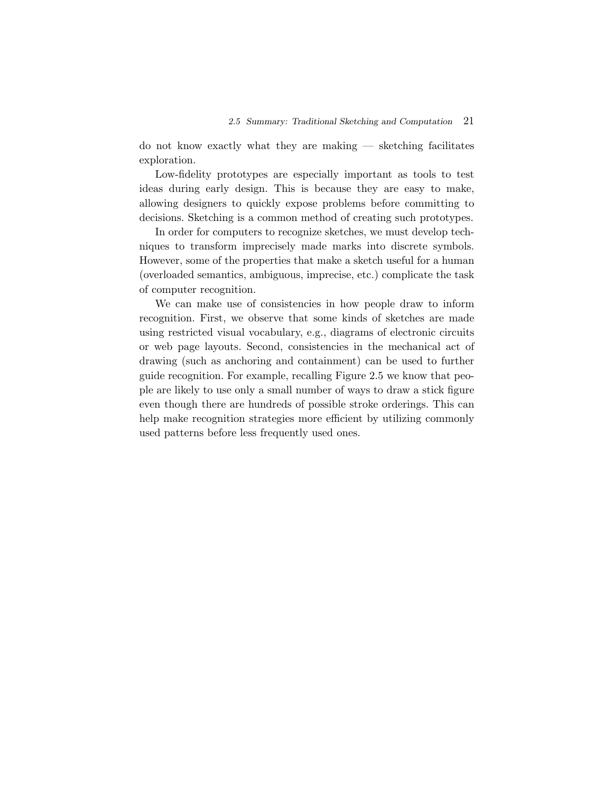do not know exactly what they are making — sketching facilitates exploration.

Low-fidelity prototypes are especially important as tools to test ideas during early design. This is because they are easy to make, allowing designers to quickly expose problems before committing to decisions. Sketching is a common method of creating such prototypes.

In order for computers to recognize sketches, we must develop techniques to transform imprecisely made marks into discrete symbols. However, some of the properties that make a sketch useful for a human (overloaded semantics, ambiguous, imprecise, etc.) complicate the task of computer recognition.

We can make use of consistencies in how people draw to inform recognition. First, we observe that some kinds of sketches are made using restricted visual vocabulary, e.g., diagrams of electronic circuits or web page layouts. Second, consistencies in the mechanical act of drawing (such as anchoring and containment) can be used to further guide recognition. For example, recalling Figure 2.5 we know that people are likely to use only a small number of ways to draw a stick figure even though there are hundreds of possible stroke orderings. This can help make recognition strategies more efficient by utilizing commonly used patterns before less frequently used ones.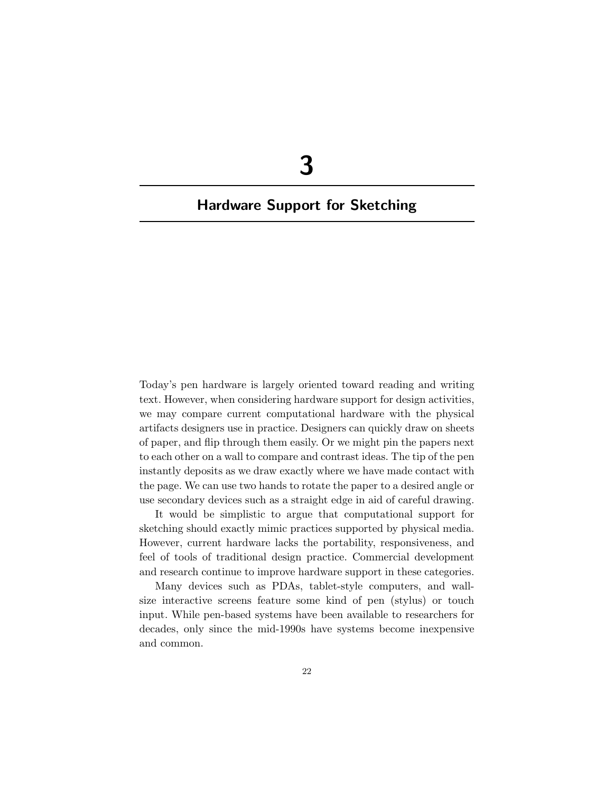# **3**

# **Hardware Support for Sketching**

Today's pen hardware is largely oriented toward reading and writing text. However, when considering hardware support for design activities, we may compare current computational hardware with the physical artifacts designers use in practice. Designers can quickly draw on sheets of paper, and flip through them easily. Or we might pin the papers next to each other on a wall to compare and contrast ideas. The tip of the pen instantly deposits as we draw exactly where we have made contact with the page. We can use two hands to rotate the paper to a desired angle or use secondary devices such as a straight edge in aid of careful drawing.

It would be simplistic to argue that computational support for sketching should exactly mimic practices supported by physical media. However, current hardware lacks the portability, responsiveness, and feel of tools of traditional design practice. Commercial development and research continue to improve hardware support in these categories.

Many devices such as PDAs, tablet-style computers, and wallsize interactive screens feature some kind of pen (stylus) or touch input. While pen-based systems have been available to researchers for decades, only since the mid-1990s have systems become inexpensive and common.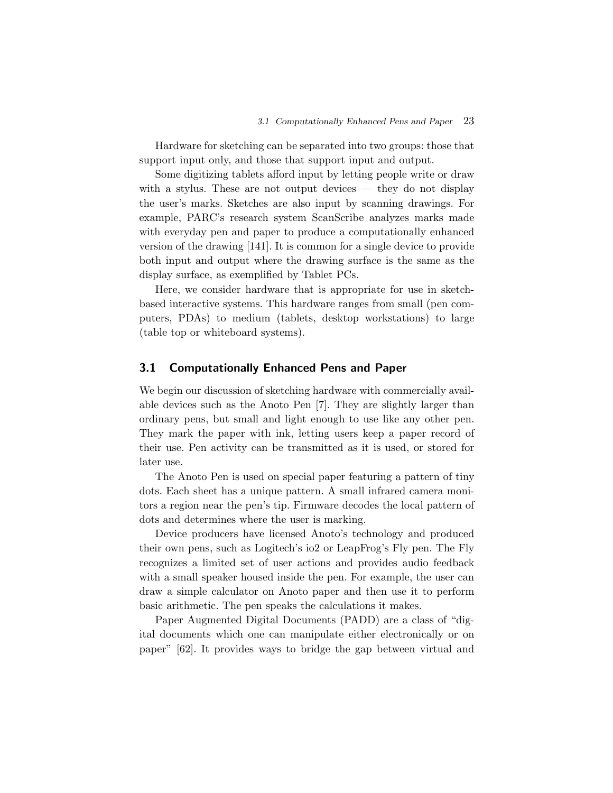Hardware for sketching can be separated into two groups: those that support input only, and those that support input and output.

Some digitizing tablets afford input by letting people write or draw with a stylus. These are not output devices — they do not display the user's marks. Sketches are also input by scanning drawings. For example, PARC's research system ScanScribe analyzes marks made with everyday pen and paper to produce a computationally enhanced version of the drawing [141]. It is common for a single device to provide both input and output where the drawing surface is the same as the display surface, as exemplified by Tablet PCs.

Here, we consider hardware that is appropriate for use in sketchbased interactive systems. This hardware ranges from small (pen computers, PDAs) to medium (tablets, desktop workstations) to large (table top or whiteboard systems).

## **3.1 Computationally Enhanced Pens and Paper**

We begin our discussion of sketching hardware with commercially available devices such as the Anoto Pen [7]. They are slightly larger than ordinary pens, but small and light enough to use like any other pen. They mark the paper with ink, letting users keep a paper record of their use. Pen activity can be transmitted as it is used, or stored for later use.

The Anoto Pen is used on special paper featuring a pattern of tiny dots. Each sheet has a unique pattern. A small infrared camera monitors a region near the pen's tip. Firmware decodes the local pattern of dots and determines where the user is marking.

Device producers have licensed Anoto's technology and produced their own pens, such as Logitech's io2 or LeapFrog's Fly pen. The Fly recognizes a limited set of user actions and provides audio feedback with a small speaker housed inside the pen. For example, the user can draw a simple calculator on Anoto paper and then use it to perform basic arithmetic. The pen speaks the calculations it makes.

Paper Augmented Digital Documents (PADD) are a class of "digital documents which one can manipulate either electronically or on paper" [62]. It provides ways to bridge the gap between virtual and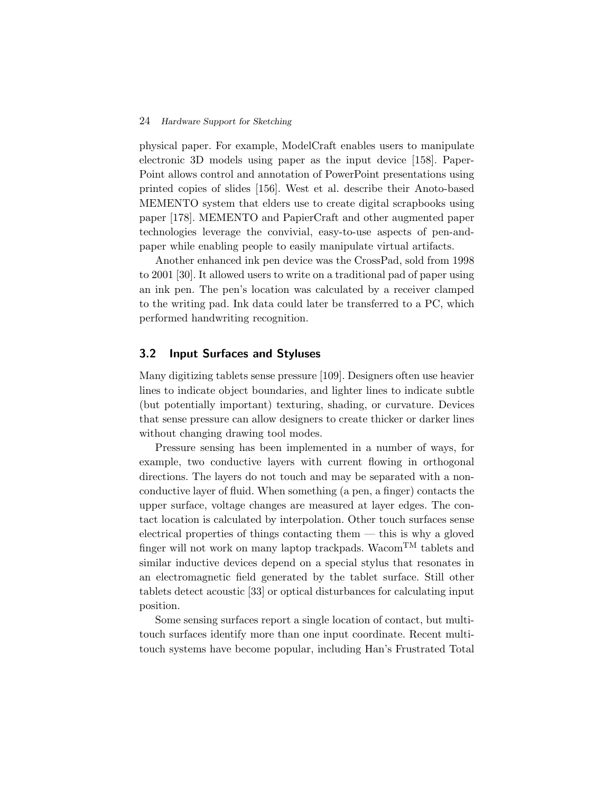### 24 *Hardware Support for Sketching*

physical paper. For example, ModelCraft enables users to manipulate electronic 3D models using paper as the input device [158]. Paper-Point allows control and annotation of PowerPoint presentations using printed copies of slides [156]. West et al. describe their Anoto-based MEMENTO system that elders use to create digital scrapbooks using paper [178]. MEMENTO and PapierCraft and other augmented paper technologies leverage the convivial, easy-to-use aspects of pen-andpaper while enabling people to easily manipulate virtual artifacts.

Another enhanced ink pen device was the CrossPad, sold from 1998 to 2001 [30]. It allowed users to write on a traditional pad of paper using an ink pen. The pen's location was calculated by a receiver clamped to the writing pad. Ink data could later be transferred to a PC, which performed handwriting recognition.

### **3.2 Input Surfaces and Styluses**

Many digitizing tablets sense pressure [109]. Designers often use heavier lines to indicate object boundaries, and lighter lines to indicate subtle (but potentially important) texturing, shading, or curvature. Devices that sense pressure can allow designers to create thicker or darker lines without changing drawing tool modes.

Pressure sensing has been implemented in a number of ways, for example, two conductive layers with current flowing in orthogonal directions. The layers do not touch and may be separated with a nonconductive layer of fluid. When something (a pen, a finger) contacts the upper surface, voltage changes are measured at layer edges. The contact location is calculated by interpolation. Other touch surfaces sense electrical properties of things contacting them — this is why a gloved finger will not work on many laptop trackpads. Wacom<sup>TM</sup> tablets and similar inductive devices depend on a special stylus that resonates in an electromagnetic field generated by the tablet surface. Still other tablets detect acoustic [33] or optical disturbances for calculating input position.

Some sensing surfaces report a single location of contact, but multitouch surfaces identify more than one input coordinate. Recent multitouch systems have become popular, including Han's Frustrated Total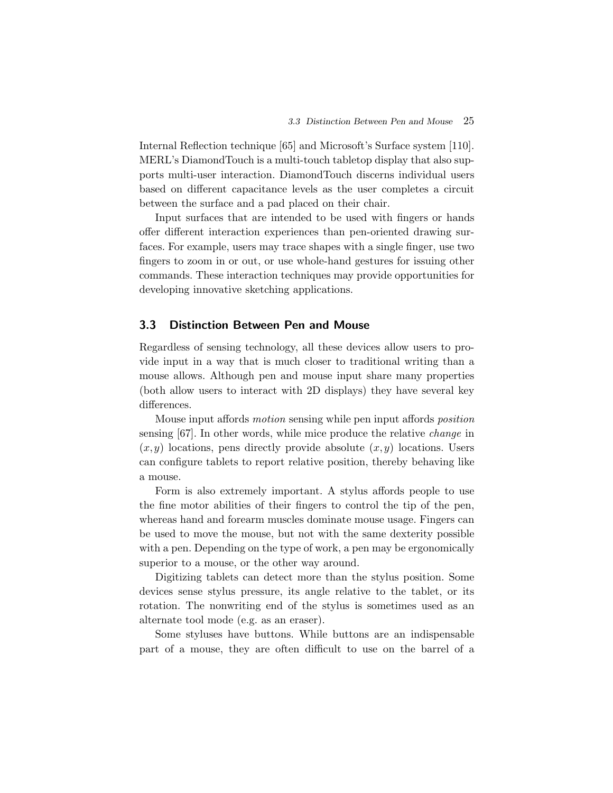Internal Reflection technique [65] and Microsoft's Surface system [110]. MERL's DiamondTouch is a multi-touch tabletop display that also supports multi-user interaction. DiamondTouch discerns individual users based on different capacitance levels as the user completes a circuit between the surface and a pad placed on their chair.

Input surfaces that are intended to be used with fingers or hands offer different interaction experiences than pen-oriented drawing surfaces. For example, users may trace shapes with a single finger, use two fingers to zoom in or out, or use whole-hand gestures for issuing other commands. These interaction techniques may provide opportunities for developing innovative sketching applications.

### **3.3 Distinction Between Pen and Mouse**

Regardless of sensing technology, all these devices allow users to provide input in a way that is much closer to traditional writing than a mouse allows. Although pen and mouse input share many properties (both allow users to interact with 2D displays) they have several key differences.

Mouse input affords *motion* sensing while pen input affords *position* sensing [67]. In other words, while mice produce the relative *change* in  $(x,y)$  locations, pens directly provide absolute  $(x,y)$  locations. Users can configure tablets to report relative position, thereby behaving like a mouse.

Form is also extremely important. A stylus affords people to use the fine motor abilities of their fingers to control the tip of the pen, whereas hand and forearm muscles dominate mouse usage. Fingers can be used to move the mouse, but not with the same dexterity possible with a pen. Depending on the type of work, a pen may be ergonomically superior to a mouse, or the other way around.

Digitizing tablets can detect more than the stylus position. Some devices sense stylus pressure, its angle relative to the tablet, or its rotation. The nonwriting end of the stylus is sometimes used as an alternate tool mode (e.g. as an eraser).

Some styluses have buttons. While buttons are an indispensable part of a mouse, they are often difficult to use on the barrel of a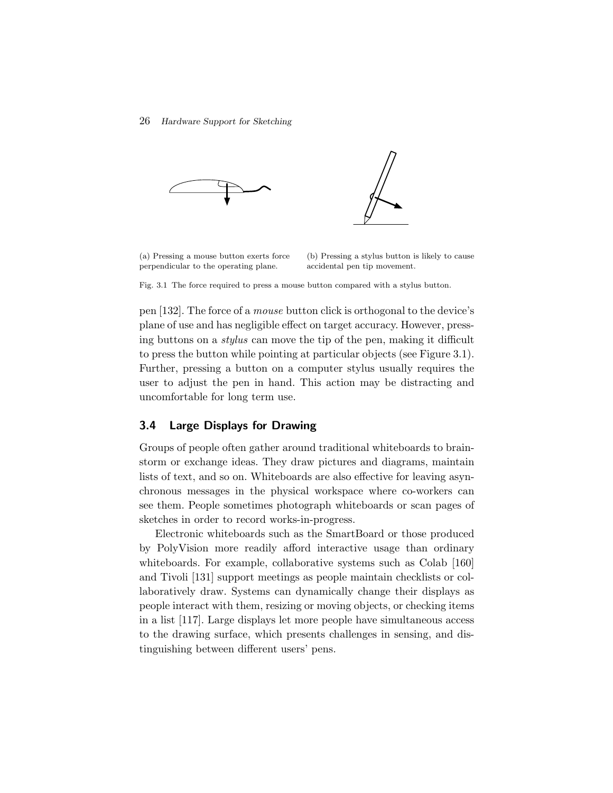#### 26 *Hardware Support for Sketching*



(a) Pressing a mouse button exerts force perpendicular to the operating plane.

(b) Pressing a stylus button is likely to cause accidental pen tip movement.

Fig. 3.1 The force required to press a mouse button compared with a stylus button.

pen [132]. The force of a *mouse* button click is orthogonal to the device's plane of use and has negligible effect on target accuracy. However, pressing buttons on a *stylus* can move the tip of the pen, making it difficult to press the button while pointing at particular objects (see Figure 3.1). Further, pressing a button on a computer stylus usually requires the user to adjust the pen in hand. This action may be distracting and uncomfortable for long term use.

### **3.4 Large Displays for Drawing**

Groups of people often gather around traditional whiteboards to brainstorm or exchange ideas. They draw pictures and diagrams, maintain lists of text, and so on. Whiteboards are also effective for leaving asynchronous messages in the physical workspace where co-workers can see them. People sometimes photograph whiteboards or scan pages of sketches in order to record works-in-progress.

Electronic whiteboards such as the SmartBoard or those produced by PolyVision more readily afford interactive usage than ordinary whiteboards. For example, collaborative systems such as Colab [160] and Tivoli [131] support meetings as people maintain checklists or collaboratively draw. Systems can dynamically change their displays as people interact with them, resizing or moving objects, or checking items in a list [117]. Large displays let more people have simultaneous access to the drawing surface, which presents challenges in sensing, and distinguishing between different users' pens.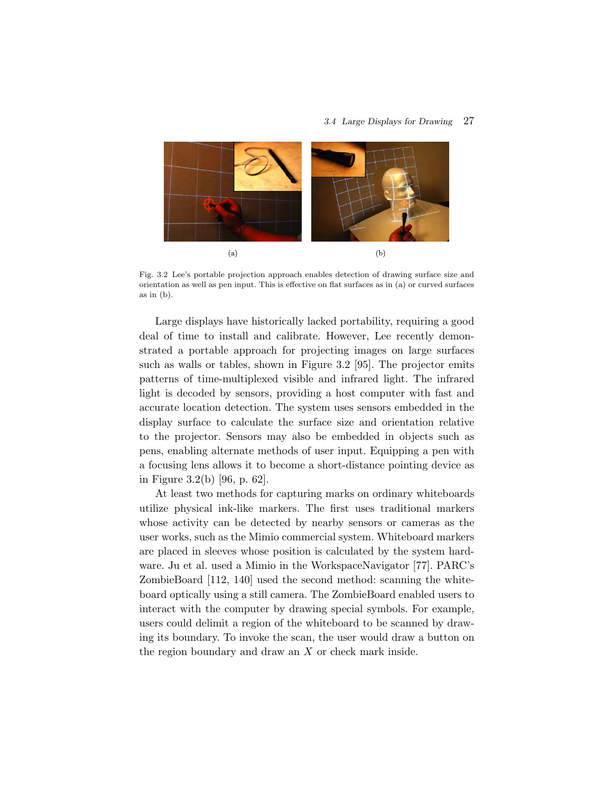### *3.4 Large Displays for Drawing* 27



Fig. 3.2 Lee's portable projection approach enables detection of drawing surface size and orientation as well as pen input. This is effective on flat surfaces as in (a) or curved surfaces as in  $(b)$ .

Large displays have historically lacked portability, requiring a good deal of time to install and calibrate. However, Lee recently demonstrated a portable approach for projecting images on large surfaces such as walls or tables, shown in Figure 3.2 [95]. The projector emits patterns of time-multiplexed visible and infrared light. The infrared light is decoded by sensors, providing a host computer with fast and accurate location detection. The system uses sensors embedded in the display surface to calculate the surface size and orientation relative to the projector. Sensors may also be embedded in objects such as pens, enabling alternate methods of user input. Equipping a pen with a focusing lens allows it to become a short-distance pointing device as in Figure 3.2(b) [96, p. 62].

At least two methods for capturing marks on ordinary whiteboards utilize physical ink-like markers. The first uses traditional markers whose activity can be detected by nearby sensors or cameras as the user works, such as the Mimio commercial system. Whiteboard markers are placed in sleeves whose position is calculated by the system hardware. Ju et al. used a Mimio in the WorkspaceNavigator [77]. PARC's ZombieBoard [112, 140] used the second method: scanning the whiteboard optically using a still camera. The ZombieBoard enabled users to interact with the computer by drawing special symbols. For example, users could delimit a region of the whiteboard to be scanned by drawing its boundary. To invoke the scan, the user would draw a button on the region boundary and draw an X or check mark inside.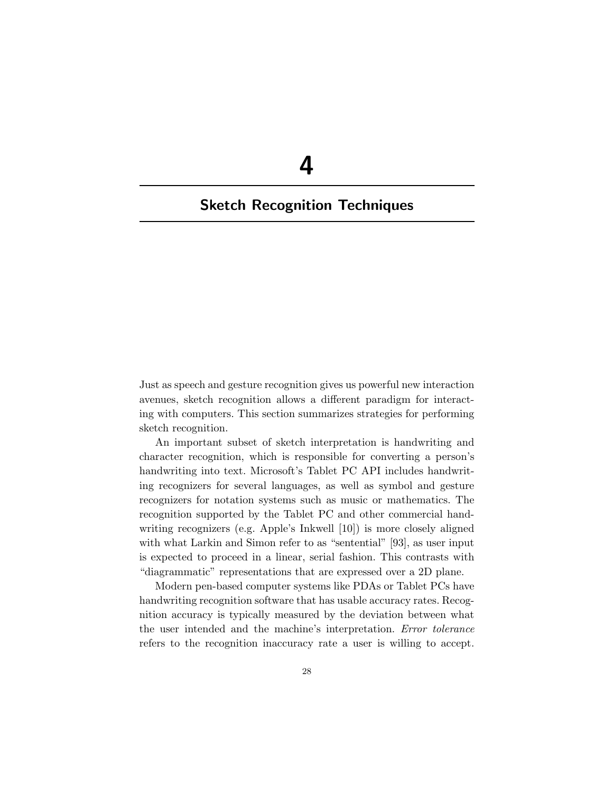# **4**

# **Sketch Recognition Techniques**

Just as speech and gesture recognition gives us powerful new interaction avenues, sketch recognition allows a different paradigm for interacting with computers. This section summarizes strategies for performing sketch recognition.

An important subset of sketch interpretation is handwriting and character recognition, which is responsible for converting a person's handwriting into text. Microsoft's Tablet PC API includes handwriting recognizers for several languages, as well as symbol and gesture recognizers for notation systems such as music or mathematics. The recognition supported by the Tablet PC and other commercial handwriting recognizers (e.g. Apple's Inkwell [10]) is more closely aligned with what Larkin and Simon refer to as "sentential" [93], as user input is expected to proceed in a linear, serial fashion. This contrasts with "diagrammatic" representations that are expressed over a 2D plane.

Modern pen-based computer systems like PDAs or Tablet PCs have handwriting recognition software that has usable accuracy rates. Recognition accuracy is typically measured by the deviation between what the user intended and the machine's interpretation. *Error tolerance* refers to the recognition inaccuracy rate a user is willing to accept.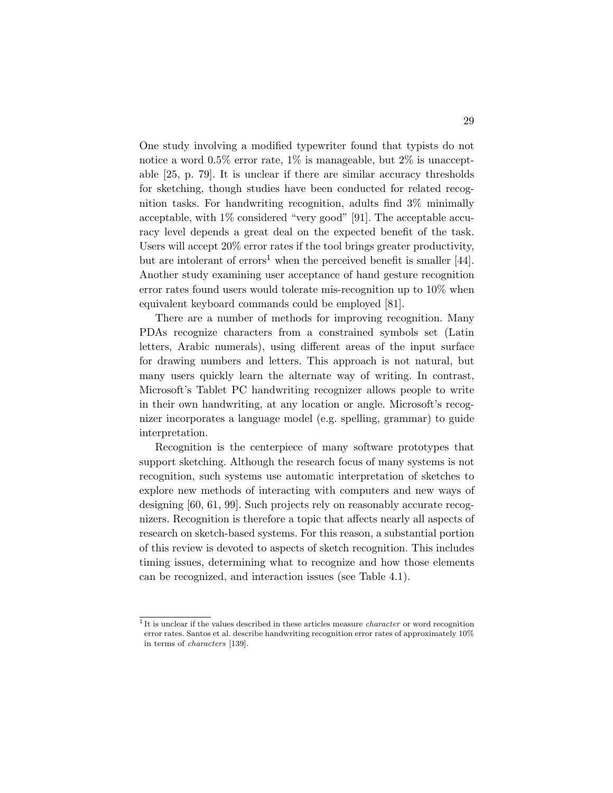One study involving a modified typewriter found that typists do not notice a word  $0.5\%$  error rate,  $1\%$  is manageable, but  $2\%$  is unacceptable [25, p. 79]. It is unclear if there are similar accuracy thresholds for sketching, though studies have been conducted for related recognition tasks. For handwriting recognition, adults find 3% minimally acceptable, with 1% considered "very good" [91]. The acceptable accuracy level depends a great deal on the expected benefit of the task. Users will accept 20% error rates if the tool brings greater productivity, but are intolerant of  $\arccos<sup>1</sup>$  when the perceived benefit is smaller [44]. Another study examining user acceptance of hand gesture recognition error rates found users would tolerate mis-recognition up to 10% when equivalent keyboard commands could be employed [81].

There are a number of methods for improving recognition. Many PDAs recognize characters from a constrained symbols set (Latin letters, Arabic numerals), using different areas of the input surface for drawing numbers and letters. This approach is not natural, but many users quickly learn the alternate way of writing. In contrast, Microsoft's Tablet PC handwriting recognizer allows people to write in their own handwriting, at any location or angle. Microsoft's recognizer incorporates a language model (e.g. spelling, grammar) to guide interpretation.

Recognition is the centerpiece of many software prototypes that support sketching. Although the research focus of many systems is not recognition, such systems use automatic interpretation of sketches to explore new methods of interacting with computers and new ways of designing [60, 61, 99]. Such projects rely on reasonably accurate recognizers. Recognition is therefore a topic that affects nearly all aspects of research on sketch-based systems. For this reason, a substantial portion of this review is devoted to aspects of sketch recognition. This includes timing issues, determining what to recognize and how those elements can be recognized, and interaction issues (see Table 4.1).

 $1$ <sup>1</sup> It is unclear if the values described in these articles measure *character* or word recognition error rates. Santos et al. describe handwriting recognition error rates of approximately 10% in terms of characters [139].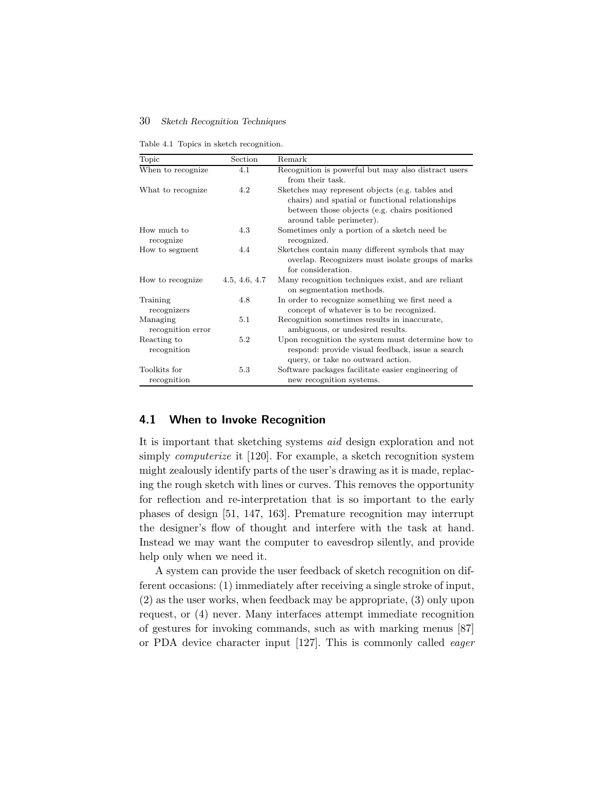### 30 *Sketch Recognition Techniques*

Table 4.1 Topics in sketch recognition.

| Topic                         | Section       | Remark                                                                                                                                                                           |  |
|-------------------------------|---------------|----------------------------------------------------------------------------------------------------------------------------------------------------------------------------------|--|
| When to recognize             | 4.1           | Recognition is powerful but may also distract users<br>from their task.                                                                                                          |  |
| What to recognize             | 4.2           | Sketches may represent objects (e.g. tables and<br>chairs) and spatial or functional relationships<br>between those objects (e.g. chairs positioned)<br>around table perimeter). |  |
| How much to<br>recognize      | 4.3           | Sometimes only a portion of a sketch need be<br>recognized.                                                                                                                      |  |
| How to segment                | 4.4           | Sketches contain many different symbols that may<br>overlap. Recognizers must isolate groups of marks<br>for consideration.                                                      |  |
| How to recognize              | 4.5, 4.6, 4.7 | Many recognition techniques exist, and are reliant<br>on segmentation methods.                                                                                                   |  |
| Training<br>recognizers       | 4.8           | In order to recognize something we first need a<br>concept of whatever is to be recognized.                                                                                      |  |
| Managing<br>recognition error | 5.1           | Recognition sometimes results in inaccurate,<br>ambiguous, or undesired results.                                                                                                 |  |
| Reacting to<br>recognition    | 5.2           | Upon recognition the system must determine how to<br>respond: provide visual feedback, issue a search<br>query, or take no outward action.                                       |  |
| Toolkits for<br>recognition   | 5.3           | Software packages facilitate easier engineering of<br>new recognition systems.                                                                                                   |  |

# **4.1 When to Invoke Recognition**

It is important that sketching systems *aid* design exploration and not simply *computerize* it [120]. For example, a sketch recognition system might zealously identify parts of the user's drawing as it is made, replacing the rough sketch with lines or curves. This removes the opportunity for reflection and re-interpretation that is so important to the early phases of design [51, 147, 163]. Premature recognition may interrupt the designer's flow of thought and interfere with the task at hand. Instead we may want the computer to eavesdrop silently, and provide help only when we need it.

A system can provide the user feedback of sketch recognition on different occasions: (1) immediately after receiving a single stroke of input, (2) as the user works, when feedback may be appropriate, (3) only upon request, or (4) never. Many interfaces attempt immediate recognition of gestures for invoking commands, such as with marking menus [87] or PDA device character input [127]. This is commonly called *eager*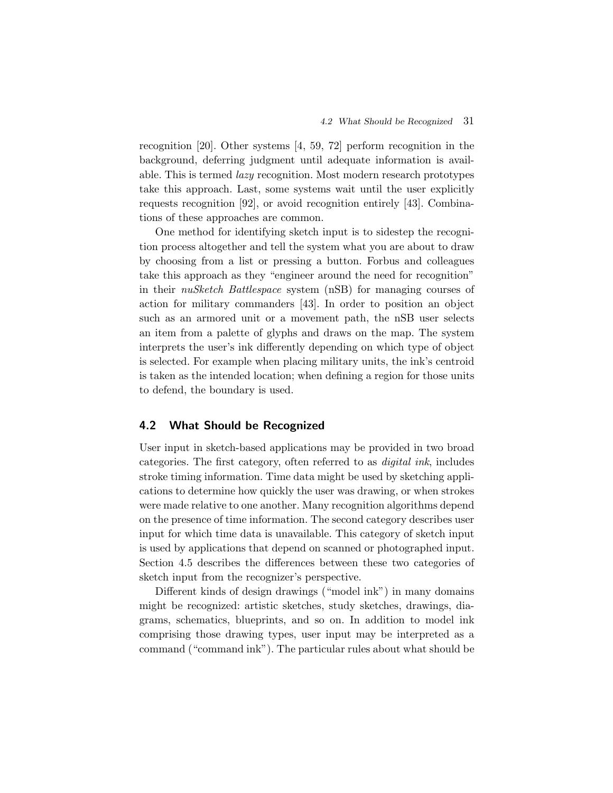recognition [20]. Other systems [4, 59, 72] perform recognition in the background, deferring judgment until adequate information is available. This is termed *lazy* recognition. Most modern research prototypes take this approach. Last, some systems wait until the user explicitly requests recognition [92], or avoid recognition entirely [43]. Combinations of these approaches are common.

One method for identifying sketch input is to sidestep the recognition process altogether and tell the system what you are about to draw by choosing from a list or pressing a button. Forbus and colleagues take this approach as they "engineer around the need for recognition" in their *nuSketch Battlespace* system (nSB) for managing courses of action for military commanders [43]. In order to position an object such as an armored unit or a movement path, the nSB user selects an item from a palette of glyphs and draws on the map. The system interprets the user's ink differently depending on which type of object is selected. For example when placing military units, the ink's centroid is taken as the intended location; when defining a region for those units to defend, the boundary is used.

### **4.2 What Should be Recognized**

User input in sketch-based applications may be provided in two broad categories. The first category, often referred to as *digital ink*, includes stroke timing information. Time data might be used by sketching applications to determine how quickly the user was drawing, or when strokes were made relative to one another. Many recognition algorithms depend on the presence of time information. The second category describes user input for which time data is unavailable. This category of sketch input is used by applications that depend on scanned or photographed input. Section 4.5 describes the differences between these two categories of sketch input from the recognizer's perspective.

Different kinds of design drawings ("model ink") in many domains might be recognized: artistic sketches, study sketches, drawings, diagrams, schematics, blueprints, and so on. In addition to model ink comprising those drawing types, user input may be interpreted as a command ("command ink"). The particular rules about what should be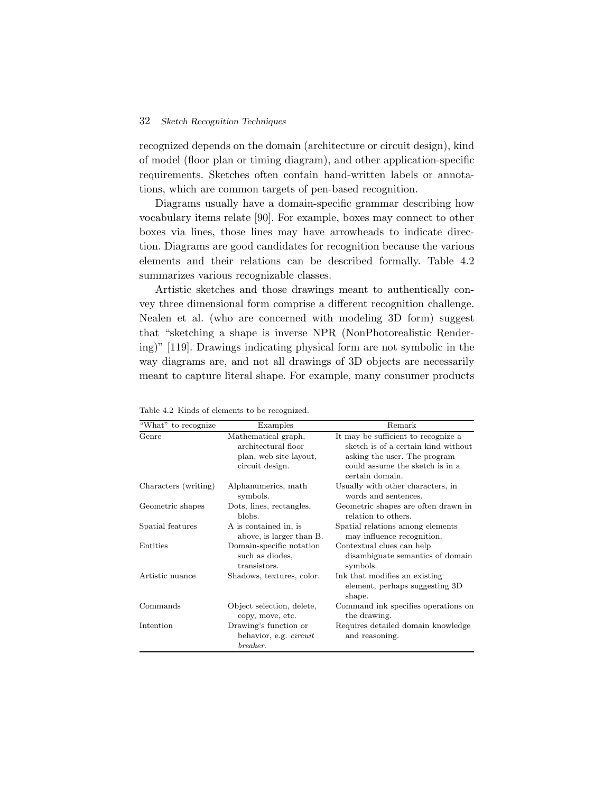### 32 *Sketch Recognition Techniques*

recognized depends on the domain (architecture or circuit design), kind of model (floor plan or timing diagram), and other application-specific requirements. Sketches often contain hand-written labels or annotations, which are common targets of pen-based recognition.

Diagrams usually have a domain-specific grammar describing how vocabulary items relate [90]. For example, boxes may connect to other boxes via lines, those lines may have arrowheads to indicate direction. Diagrams are good candidates for recognition because the various elements and their relations can be described formally. Table 4.2 summarizes various recognizable classes.

Artistic sketches and those drawings meant to authentically convey three dimensional form comprise a different recognition challenge. Nealen et al. (who are concerned with modeling 3D form) suggest that "sketching a shape is inverse NPR (NonPhotorealistic Rendering)" [119]. Drawings indicating physical form are not symbolic in the way diagrams are, and not all drawings of 3D objects are necessarily meant to capture literal shape. For example, many consumer products

| "What" to recognize  | Examples                                                                                | Remark                                                                                                                                                           |
|----------------------|-----------------------------------------------------------------------------------------|------------------------------------------------------------------------------------------------------------------------------------------------------------------|
| Genre                | Mathematical graph,<br>architectural floor<br>plan, web site layout,<br>circuit design. | It may be sufficient to recognize a<br>sketch is of a certain kind without<br>asking the user. The program<br>could assume the sketch is in a<br>certain domain. |
| Characters (writing) | Alphanumerics, math<br>symbols.                                                         | Usually with other characters, in<br>words and sentences.                                                                                                        |
| Geometric shapes     | Dots, lines, rectangles,<br>blobs.                                                      | Geometric shapes are often drawn in<br>relation to others.                                                                                                       |
| Spatial features     | A is contained in, is<br>above, is larger than B.                                       | Spatial relations among elements<br>may influence recognition.                                                                                                   |
| Entities             | Domain-specific notation<br>such as diodes,<br>transistors.                             | Contextual clues can help<br>disambiguate semantics of domain<br>symbols.                                                                                        |
| Artistic nuance      | Shadows, textures, color.                                                               | Ink that modifies an existing<br>element, perhaps suggesting 3D<br>shape.                                                                                        |
| Commands             | Object selection, delete,<br>copy, move, etc.                                           | Command ink specifies operations on<br>the drawing.                                                                                                              |
| Intention            | Drawing's function or<br>behavior, e.g. circuit<br>breaker.                             | Requires detailed domain knowledge<br>and reasoning.                                                                                                             |

Table 4.2 Kinds of elements to be recognized.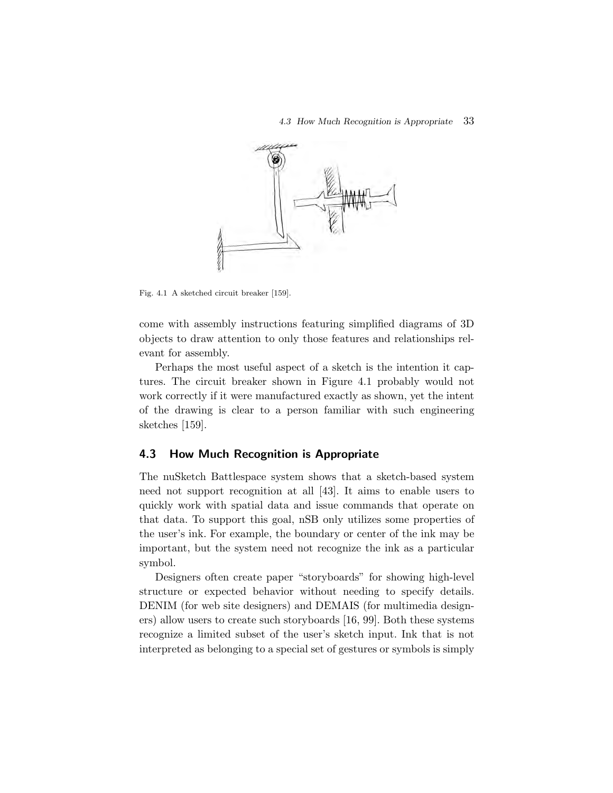

Fig. 4.1 A sketched circuit breaker [159].

come with assembly instructions featuring simplified diagrams of 3D objects to draw attention to only those features and relationships relevant for assembly.

Perhaps the most useful aspect of a sketch is the intention it captures. The circuit breaker shown in Figure 4.1 probably would not work correctly if it were manufactured exactly as shown, yet the intent of the drawing is clear to a person familiar with such engineering sketches [159].

# **4.3 How Much Recognition is Appropriate**

The nuSketch Battlespace system shows that a sketch-based system need not support recognition at all [43]. It aims to enable users to quickly work with spatial data and issue commands that operate on that data. To support this goal, nSB only utilizes some properties of the user's ink. For example, the boundary or center of the ink may be important, but the system need not recognize the ink as a particular symbol.

Designers often create paper "storyboards" for showing high-level structure or expected behavior without needing to specify details. DENIM (for web site designers) and DEMAIS (for multimedia designers) allow users to create such storyboards [16, 99]. Both these systems recognize a limited subset of the user's sketch input. Ink that is not interpreted as belonging to a special set of gestures or symbols is simply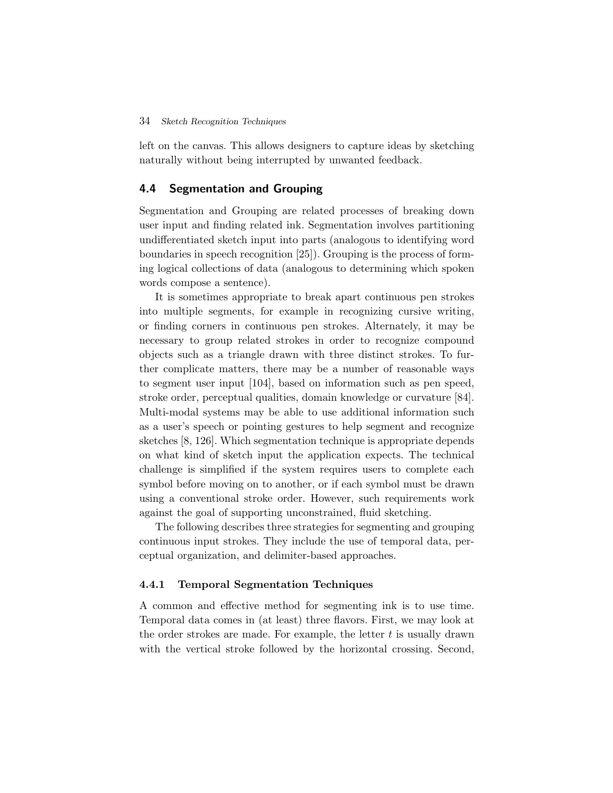### 34 *Sketch Recognition Techniques*

left on the canvas. This allows designers to capture ideas by sketching naturally without being interrupted by unwanted feedback.

# **4.4 Segmentation and Grouping**

Segmentation and Grouping are related processes of breaking down user input and finding related ink. Segmentation involves partitioning undifferentiated sketch input into parts (analogous to identifying word boundaries in speech recognition [25]). Grouping is the process of forming logical collections of data (analogous to determining which spoken words compose a sentence).

It is sometimes appropriate to break apart continuous pen strokes into multiple segments, for example in recognizing cursive writing, or finding corners in continuous pen strokes. Alternately, it may be necessary to group related strokes in order to recognize compound objects such as a triangle drawn with three distinct strokes. To further complicate matters, there may be a number of reasonable ways to segment user input [104], based on information such as pen speed, stroke order, perceptual qualities, domain knowledge or curvature [84]. Multi-modal systems may be able to use additional information such as a user's speech or pointing gestures to help segment and recognize sketches [8, 126]. Which segmentation technique is appropriate depends on what kind of sketch input the application expects. The technical challenge is simplified if the system requires users to complete each symbol before moving on to another, or if each symbol must be drawn using a conventional stroke order. However, such requirements work against the goal of supporting unconstrained, fluid sketching.

The following describes three strategies for segmenting and grouping continuous input strokes. They include the use of temporal data, perceptual organization, and delimiter-based approaches.

## **4.4.1 Temporal Segmentation Techniques**

A common and effective method for segmenting ink is to use time. Temporal data comes in (at least) three flavors. First, we may look at the order strokes are made. For example, the letter  $t$  is usually drawn with the vertical stroke followed by the horizontal crossing. Second,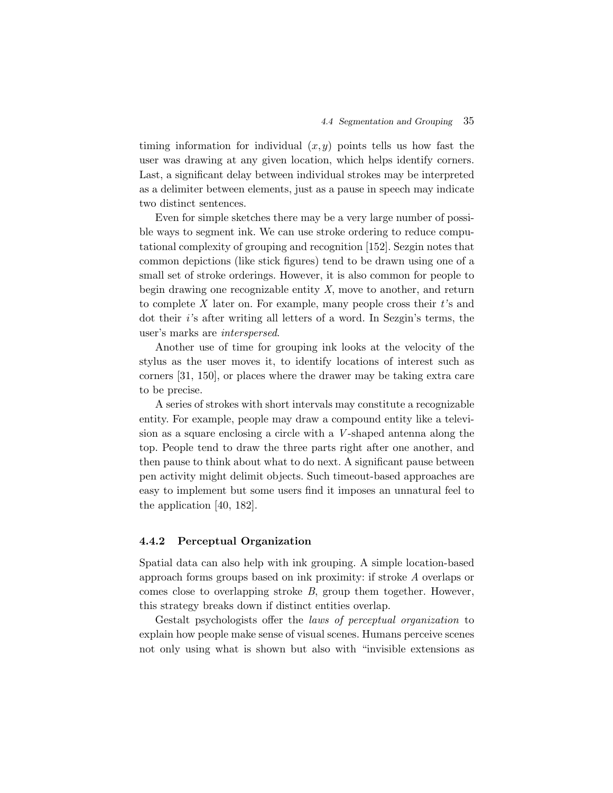timing information for individual  $(x, y)$  points tells us how fast the user was drawing at any given location, which helps identify corners. Last, a significant delay between individual strokes may be interpreted as a delimiter between elements, just as a pause in speech may indicate two distinct sentences.

Even for simple sketches there may be a very large number of possible ways to segment ink. We can use stroke ordering to reduce computational complexity of grouping and recognition [152]. Sezgin notes that common depictions (like stick figures) tend to be drawn using one of a small set of stroke orderings. However, it is also common for people to begin drawing one recognizable entity *X*, move to another, and return to complete *X* later on. For example, many people cross their *t'*s and dot their *i'*s after writing all letters of a word. In Sezgin's terms, the user's marks are *interspersed*.

Another use of time for grouping ink looks at the velocity of the stylus as the user moves it, to identify locations of interest such as corners [31, 150], or places where the drawer may be taking extra care to be precise.

A series of strokes with short intervals may constitute a recognizable entity. For example, people may draw a compound entity like a television as a square enclosing a circle with a *V* -shaped antenna along the top. People tend to draw the three parts right after one another, and then pause to think about what to do next. A significant pause between pen activity might delimit objects. Such timeout-based approaches are easy to implement but some users find it imposes an unnatural feel to the application [40, 182].

#### **4.4.2 Perceptual Organization**

Spatial data can also help with ink grouping. A simple location-based approach forms groups based on ink proximity: if stroke *A* overlaps or comes close to overlapping stroke *B*, group them together. However, this strategy breaks down if distinct entities overlap.

Gestalt psychologists offer the *laws of perceptual organization* to explain how people make sense of visual scenes. Humans perceive scenes not only using what is shown but also with "invisible extensions as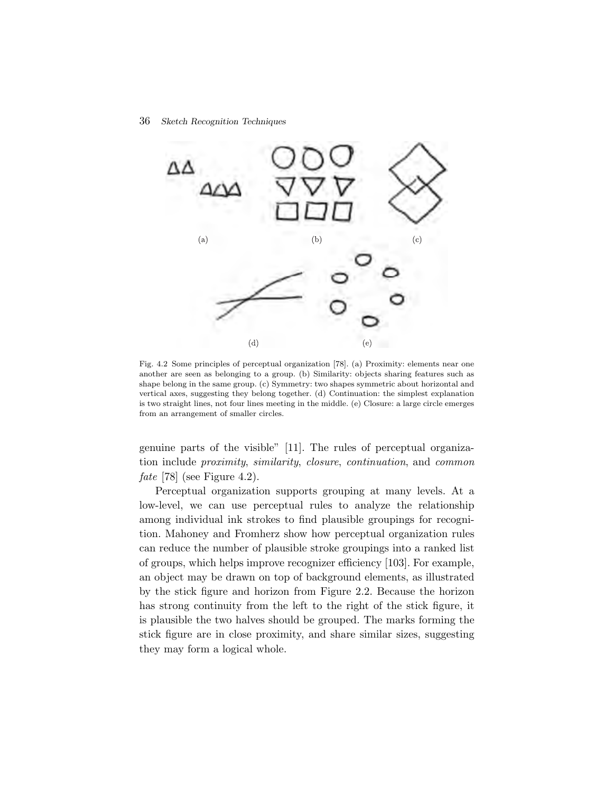#### 36 *Sketch Recognition Techniques*



Fig. 4.2 Some principles of perceptual organization [78]. (a) Proximity: elements near one another are seen as belonging to a group. (b) Similarity: objects sharing features such as shape belong in the same group. (c) Symmetry: two shapes symmetric about horizontal and vertical axes, suggesting they belong together. (d) Continuation: the simplest explanation is two straight lines, not four lines meeting in the middle. (e) Closure: a large circle emerges from an arrangement of smaller circles.

genuine parts of the visible" [11]. The rules of perceptual organization include *proximity*, *similarity*, *closure*, *continuation*, and *common fate* [78] (see Figure 4.2).

Perceptual organization supports grouping at many levels. At a low-level, we can use perceptual rules to analyze the relationship among individual ink strokes to find plausible groupings for recognition. Mahoney and Fromherz show how perceptual organization rules can reduce the number of plausible stroke groupings into a ranked list of groups, which helps improve recognizer efficiency [103]. For example, an object may be drawn on top of background elements, as illustrated by the stick figure and horizon from Figure 2.2. Because the horizon has strong continuity from the left to the right of the stick figure, it is plausible the two halves should be grouped. The marks forming the stick figure are in close proximity, and share similar sizes, suggesting they may form a logical whole.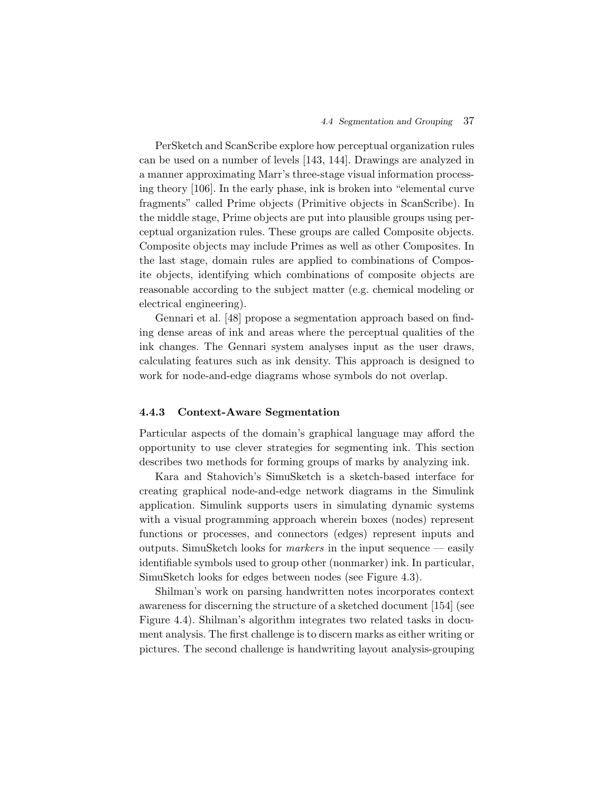PerSketch and ScanScribe explore how perceptual organization rules can be used on a number of levels [143, 144]. Drawings are analyzed in a manner approximating Marr's three-stage visual information processing theory [106]. In the early phase, ink is broken into "elemental curve fragments" called Prime objects (Primitive objects in ScanScribe). In the middle stage, Prime objects are put into plausible groups using perceptual organization rules. These groups are called Composite objects. Composite objects may include Primes as well as other Composites. In the last stage, domain rules are applied to combinations of Composite objects, identifying which combinations of composite objects are reasonable according to the subject matter (e.g. chemical modeling or electrical engineering).

Gennari et al. [48] propose a segmentation approach based on finding dense areas of ink and areas where the perceptual qualities of the ink changes. The Gennari system analyses input as the user draws, calculating features such as ink density. This approach is designed to work for node-and-edge diagrams whose symbols do not overlap.

#### **4.4.3 Context-Aware Segmentation**

Particular aspects of the domain's graphical language may afford the opportunity to use clever strategies for segmenting ink. This section describes two methods for forming groups of marks by analyzing ink.

Kara and Stahovich's SimuSketch is a sketch-based interface for creating graphical node-and-edge network diagrams in the Simulink application. Simulink supports users in simulating dynamic systems with a visual programming approach wherein boxes (nodes) represent functions or processes, and connectors (edges) represent inputs and outputs. SimuSketch looks for *markers* in the input sequence — easily identifiable symbols used to group other (nonmarker) ink. In particular, SimuSketch looks for edges between nodes (see Figure 4.3).

Shilman's work on parsing handwritten notes incorporates context awareness for discerning the structure of a sketched document [154] (see Figure 4.4). Shilman's algorithm integrates two related tasks in document analysis. The first challenge is to discern marks as either writing or pictures. The second challenge is handwriting layout analysis-grouping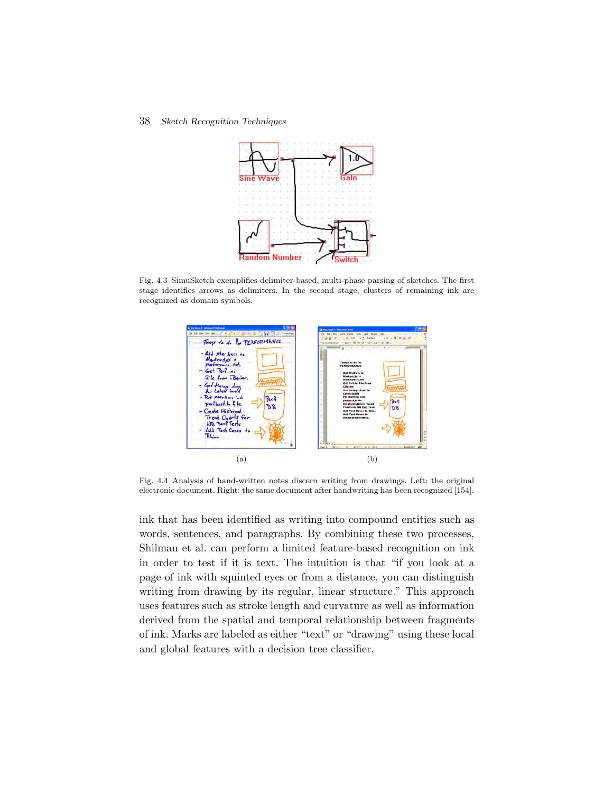

Fig. 4.3 SimuSketch exemplifies delimiter-based, multi-phase parsing of sketches. The first stage identifies arrows as delimiters. In the second stage, clusters of remaining ink are recognized as domain symbols.



Fig. 4.4 Analysis of hand-written notes discern writing from drawings. Left: the original electronic document. Right: the same document after handwriting has been recognized [154].

ink that has been identified as writing into compound entities such as words, sentences, and paragraphs. By combining these two processes, Shilman et al. can perform a limited feature-based recognition on ink in order to test if it is text. The intuition is that "if you look at a page of ink with squinted eyes or from a distance, you can distinguish writing from drawing by its regular, linear structure." This approach uses features such as stroke length and curvature as well as information derived from the spatial and temporal relationship between fragments of ink. Marks are labeled as either "text" or "drawing" using these local and global features with a decision tree classifier.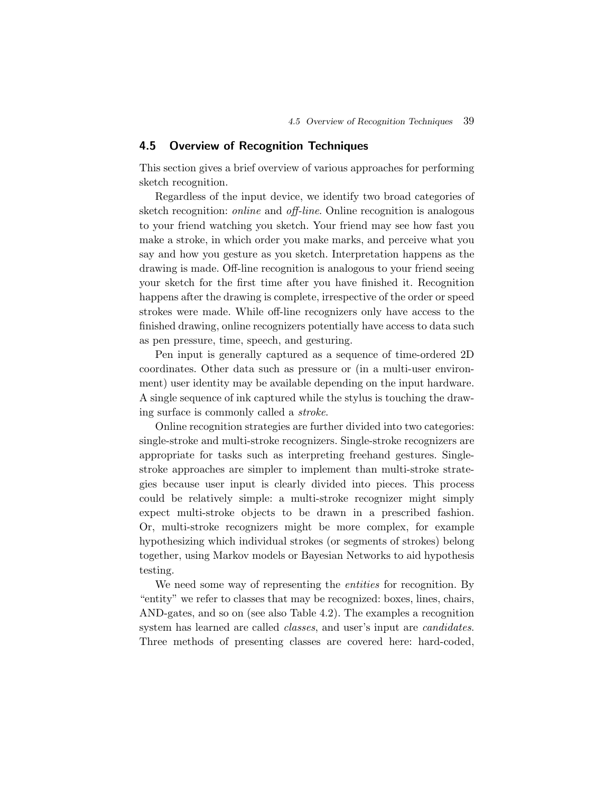# **4.5 Overview of Recognition Techniques**

This section gives a brief overview of various approaches for performing sketch recognition.

Regardless of the input device, we identify two broad categories of sketch recognition: *online* and *off-line*. Online recognition is analogous to your friend watching you sketch. Your friend may see how fast you make a stroke, in which order you make marks, and perceive what you say and how you gesture as you sketch. Interpretation happens as the drawing is made. Off-line recognition is analogous to your friend seeing your sketch for the first time after you have finished it. Recognition happens after the drawing is complete, irrespective of the order or speed strokes were made. While off-line recognizers only have access to the finished drawing, online recognizers potentially have access to data such as pen pressure, time, speech, and gesturing.

Pen input is generally captured as a sequence of time-ordered 2D coordinates. Other data such as pressure or (in a multi-user environment) user identity may be available depending on the input hardware. A single sequence of ink captured while the stylus is touching the drawing surface is commonly called a *stroke*.

Online recognition strategies are further divided into two categories: single-stroke and multi-stroke recognizers. Single-stroke recognizers are appropriate for tasks such as interpreting freehand gestures. Singlestroke approaches are simpler to implement than multi-stroke strategies because user input is clearly divided into pieces. This process could be relatively simple: a multi-stroke recognizer might simply expect multi-stroke objects to be drawn in a prescribed fashion. Or, multi-stroke recognizers might be more complex, for example hypothesizing which individual strokes (or segments of strokes) belong together, using Markov models or Bayesian Networks to aid hypothesis testing.

We need some way of representing the *entities* for recognition. By "entity" we refer to classes that may be recognized: boxes, lines, chairs, AND-gates, and so on (see also Table 4.2). The examples a recognition system has learned are called *classes*, and user's input are *candidates*. Three methods of presenting classes are covered here: hard-coded,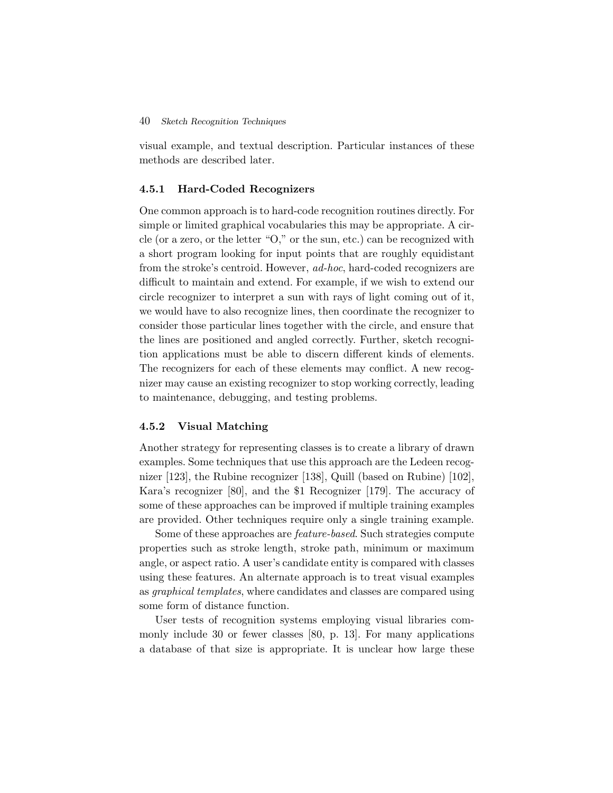visual example, and textual description. Particular instances of these methods are described later.

# **4.5.1 Hard-Coded Recognizers**

One common approach is to hard-code recognition routines directly. For simple or limited graphical vocabularies this may be appropriate. A circle (or a zero, or the letter "O," or the sun, etc.) can be recognized with a short program looking for input points that are roughly equidistant from the stroke's centroid. However, *ad-hoc*, hard-coded recognizers are difficult to maintain and extend. For example, if we wish to extend our circle recognizer to interpret a sun with rays of light coming out of it, we would have to also recognize lines, then coordinate the recognizer to consider those particular lines together with the circle, and ensure that the lines are positioned and angled correctly. Further, sketch recognition applications must be able to discern different kinds of elements. The recognizers for each of these elements may conflict. A new recognizer may cause an existing recognizer to stop working correctly, leading to maintenance, debugging, and testing problems.

# **4.5.2 Visual Matching**

Another strategy for representing classes is to create a library of drawn examples. Some techniques that use this approach are the Ledeen recognizer [123], the Rubine recognizer [138], Quill (based on Rubine) [102], Kara's recognizer [80], and the \$1 Recognizer [179]. The accuracy of some of these approaches can be improved if multiple training examples are provided. Other techniques require only a single training example.

Some of these approaches are *feature-based*. Such strategies compute properties such as stroke length, stroke path, minimum or maximum angle, or aspect ratio. A user's candidate entity is compared with classes using these features. An alternate approach is to treat visual examples as *graphical templates*, where candidates and classes are compared using some form of distance function.

User tests of recognition systems employing visual libraries commonly include 30 or fewer classes [80, p. 13]. For many applications a database of that size is appropriate. It is unclear how large these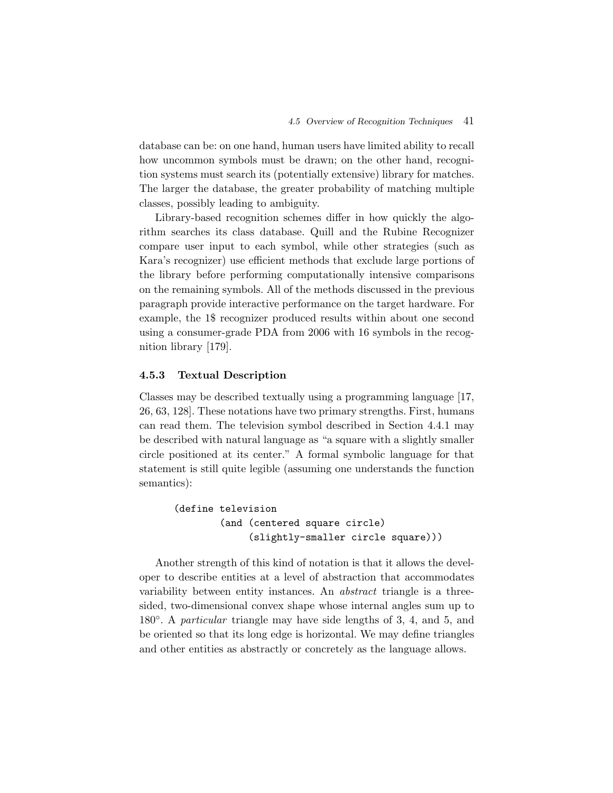database can be: on one hand, human users have limited ability to recall how uncommon symbols must be drawn; on the other hand, recognition systems must search its (potentially extensive) library for matches. The larger the database, the greater probability of matching multiple classes, possibly leading to ambiguity.

Library-based recognition schemes differ in how quickly the algorithm searches its class database. Quill and the Rubine Recognizer compare user input to each symbol, while other strategies (such as Kara's recognizer) use efficient methods that exclude large portions of the library before performing computationally intensive comparisons on the remaining symbols. All of the methods discussed in the previous paragraph provide interactive performance on the target hardware. For example, the 1\$ recognizer produced results within about one second using a consumer-grade PDA from 2006 with 16 symbols in the recognition library [179].

# **4.5.3 Textual Description**

Classes may be described textually using a programming language [17, 26, 63, 128]. These notations have two primary strengths. First, humans can read them. The television symbol described in Section 4.4.1 may be described with natural language as "a square with a slightly smaller circle positioned at its center." A formal symbolic language for that statement is still quite legible (assuming one understands the function semantics):

```
(define television
(and (centered square circle)
     (slightly-smaller circle square)))
```
Another strength of this kind of notation is that it allows the developer to describe entities at a level of abstraction that accommodates variability between entity instances. An *abstract* triangle is a threesided, two-dimensional convex shape whose internal angles sum up to 180◦. A *particular* triangle may have side lengths of 3, 4, and 5, and be oriented so that its long edge is horizontal. We may define triangles and other entities as abstractly or concretely as the language allows.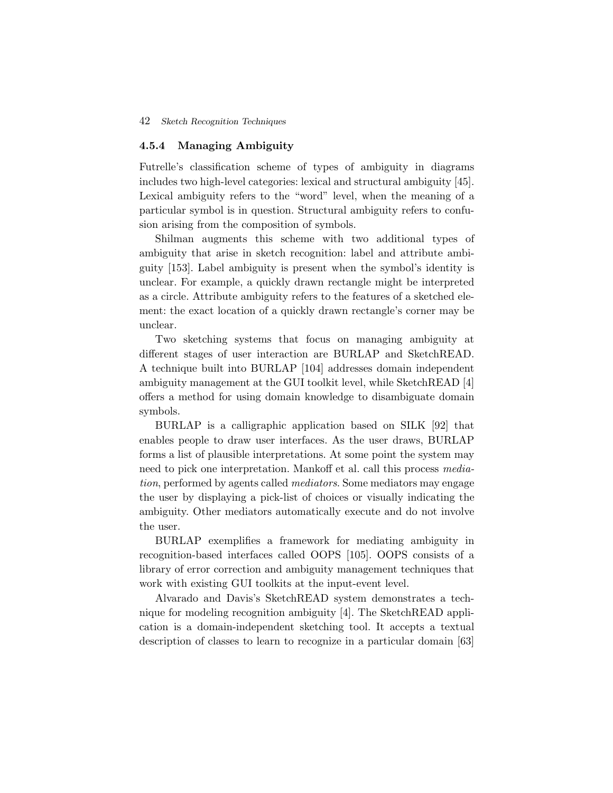# **4.5.4 Managing Ambiguity**

Futrelle's classification scheme of types of ambiguity in diagrams includes two high-level categories: lexical and structural ambiguity [45]. Lexical ambiguity refers to the "word" level, when the meaning of a particular symbol is in question. Structural ambiguity refers to confusion arising from the composition of symbols.

Shilman augments this scheme with two additional types of ambiguity that arise in sketch recognition: label and attribute ambiguity [153]. Label ambiguity is present when the symbol's identity is unclear. For example, a quickly drawn rectangle might be interpreted as a circle. Attribute ambiguity refers to the features of a sketched element: the exact location of a quickly drawn rectangle's corner may be unclear.

Two sketching systems that focus on managing ambiguity at different stages of user interaction are BURLAP and SketchREAD. A technique built into BURLAP [104] addresses domain independent ambiguity management at the GUI toolkit level, while SketchREAD [4] offers a method for using domain knowledge to disambiguate domain symbols.

BURLAP is a calligraphic application based on SILK [92] that enables people to draw user interfaces. As the user draws, BURLAP forms a list of plausible interpretations. At some point the system may need to pick one interpretation. Mankoff et al. call this process *mediation*, performed by agents called *mediators*. Some mediators may engage the user by displaying a pick-list of choices or visually indicating the ambiguity. Other mediators automatically execute and do not involve the user.

BURLAP exemplifies a framework for mediating ambiguity in recognition-based interfaces called OOPS [105]. OOPS consists of a library of error correction and ambiguity management techniques that work with existing GUI toolkits at the input-event level.

Alvarado and Davis's SketchREAD system demonstrates a technique for modeling recognition ambiguity [4]. The SketchREAD application is a domain-independent sketching tool. It accepts a textual description of classes to learn to recognize in a particular domain [63]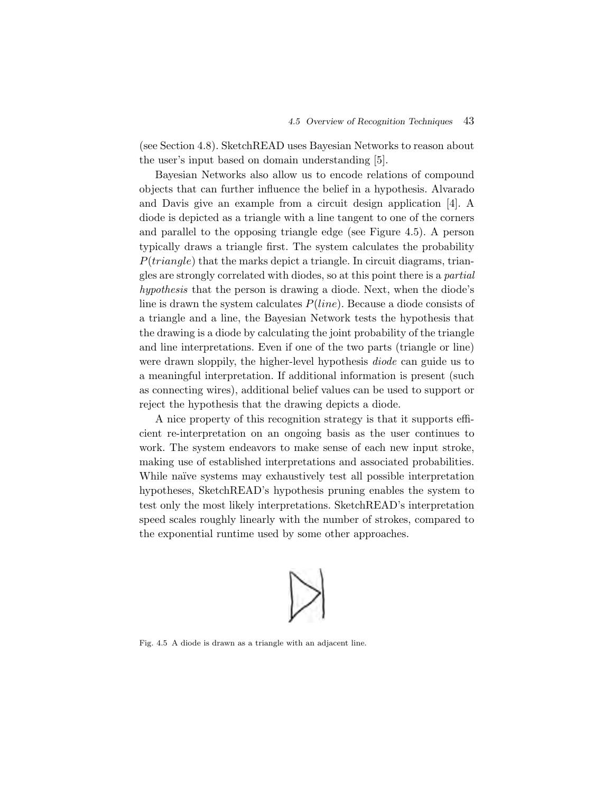(see Section 4.8). SketchREAD uses Bayesian Networks to reason about the user's input based on domain understanding [5].

Bayesian Networks also allow us to encode relations of compound objects that can further influence the belief in a hypothesis. Alvarado and Davis give an example from a circuit design application [4]. A diode is depicted as a triangle with a line tangent to one of the corners and parallel to the opposing triangle edge (see Figure 4.5). A person typically draws a triangle first. The system calculates the probability  $P(triangle)$  that the marks depict a triangle. In circuit diagrams, triangles are strongly correlated with diodes, so at this point there is a *partial hypothesis* that the person is drawing a diode. Next, when the diode's line is drawn the system calculates  $P(line)$ . Because a diode consists of a triangle and a line, the Bayesian Network tests the hypothesis that the drawing is a diode by calculating the joint probability of the triangle and line interpretations. Even if one of the two parts (triangle or line) were drawn sloppily, the higher-level hypothesis *diode* can guide us to a meaningful interpretation. If additional information is present (such as connecting wires), additional belief values can be used to support or reject the hypothesis that the drawing depicts a diode.

A nice property of this recognition strategy is that it supports efficient re-interpretation on an ongoing basis as the user continues to work. The system endeavors to make sense of each new input stroke, making use of established interpretations and associated probabilities. While naïve systems may exhaustively test all possible interpretation hypotheses, SketchREAD's hypothesis pruning enables the system to test only the most likely interpretations. SketchREAD's interpretation speed scales roughly linearly with the number of strokes, compared to the exponential runtime used by some other approaches.



Fig. 4.5 A diode is drawn as a triangle with an adjacent line.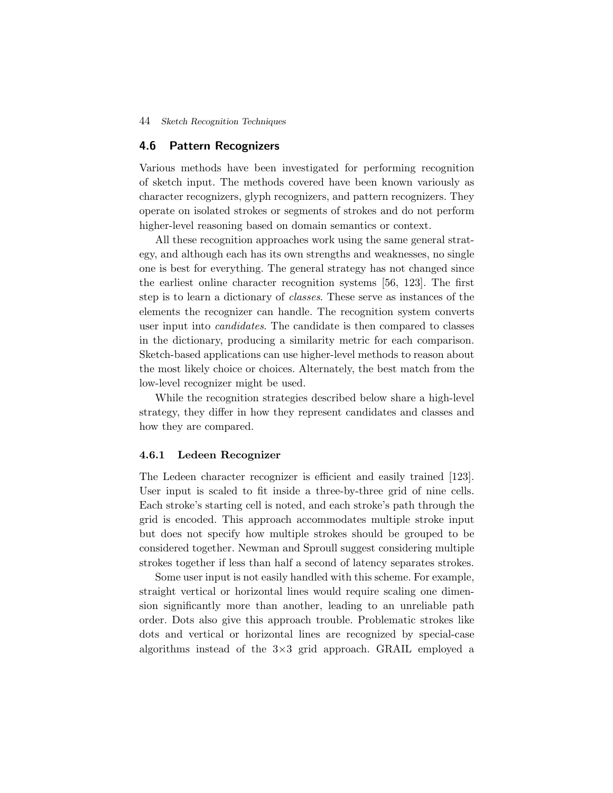# **4.6 Pattern Recognizers**

Various methods have been investigated for performing recognition of sketch input. The methods covered have been known variously as character recognizers, glyph recognizers, and pattern recognizers. They operate on isolated strokes or segments of strokes and do not perform higher-level reasoning based on domain semantics or context.

All these recognition approaches work using the same general strategy, and although each has its own strengths and weaknesses, no single one is best for everything. The general strategy has not changed since the earliest online character recognition systems [56, 123]. The first step is to learn a dictionary of *classes*. These serve as instances of the elements the recognizer can handle. The recognition system converts user input into *candidates*. The candidate is then compared to classes in the dictionary, producing a similarity metric for each comparison. Sketch-based applications can use higher-level methods to reason about the most likely choice or choices. Alternately, the best match from the low-level recognizer might be used.

While the recognition strategies described below share a high-level strategy, they differ in how they represent candidates and classes and how they are compared.

#### **4.6.1 Ledeen Recognizer**

The Ledeen character recognizer is efficient and easily trained [123]. User input is scaled to fit inside a three-by-three grid of nine cells. Each stroke's starting cell is noted, and each stroke's path through the grid is encoded. This approach accommodates multiple stroke input but does not specify how multiple strokes should be grouped to be considered together. Newman and Sproull suggest considering multiple strokes together if less than half a second of latency separates strokes.

Some user input is not easily handled with this scheme. For example, straight vertical or horizontal lines would require scaling one dimension significantly more than another, leading to an unreliable path order. Dots also give this approach trouble. Problematic strokes like dots and vertical or horizontal lines are recognized by special-case algorithms instead of the  $3\times3$  grid approach. GRAIL employed a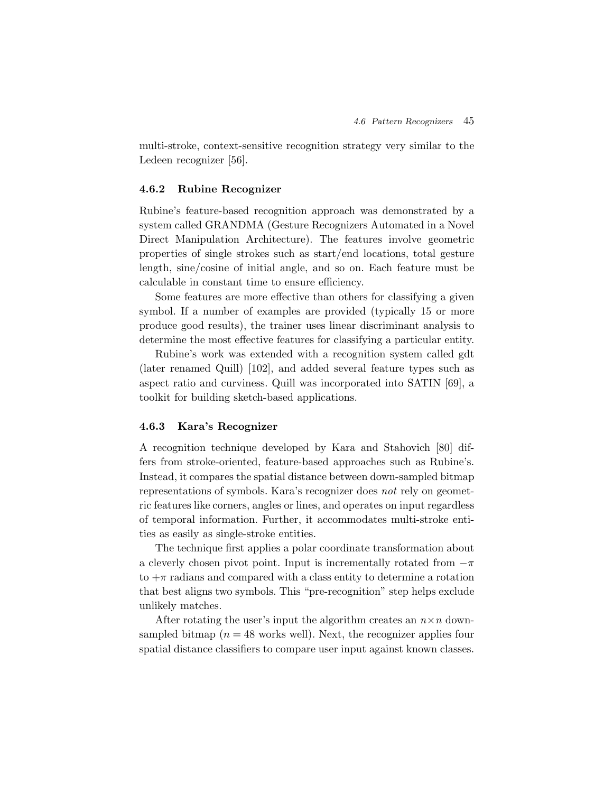multi-stroke, context-sensitive recognition strategy very similar to the Ledeen recognizer [56].

### **4.6.2 Rubine Recognizer**

Rubine's feature-based recognition approach was demonstrated by a system called GRANDMA (Gesture Recognizers Automated in a Novel Direct Manipulation Architecture). The features involve geometric properties of single strokes such as start/end locations, total gesture length, sine/cosine of initial angle, and so on. Each feature must be calculable in constant time to ensure efficiency.

Some features are more effective than others for classifying a given symbol. If a number of examples are provided (typically 15 or more produce good results), the trainer uses linear discriminant analysis to determine the most effective features for classifying a particular entity.

Rubine's work was extended with a recognition system called gdt (later renamed Quill) [102], and added several feature types such as aspect ratio and curviness. Quill was incorporated into SATIN [69], a toolkit for building sketch-based applications.

# **4.6.3 Kara's Recognizer**

A recognition technique developed by Kara and Stahovich [80] differs from stroke-oriented, feature-based approaches such as Rubine's. Instead, it compares the spatial distance between down-sampled bitmap representations of symbols. Kara's recognizer does *not* rely on geometric features like corners, angles or lines, and operates on input regardless of temporal information. Further, it accommodates multi-stroke entities as easily as single-stroke entities.

The technique first applies a polar coordinate transformation about a cleverly chosen pivot point. Input is incrementally rotated from  $-\pi$ to  $+\pi$  radians and compared with a class entity to determine a rotation that best aligns two symbols. This "pre-recognition" step helps exclude unlikely matches.

After rotating the user's input the algorithm creates an  $n \times n$  downsampled bitmap ( $n = 48$  works well). Next, the recognizer applies four spatial distance classifiers to compare user input against known classes.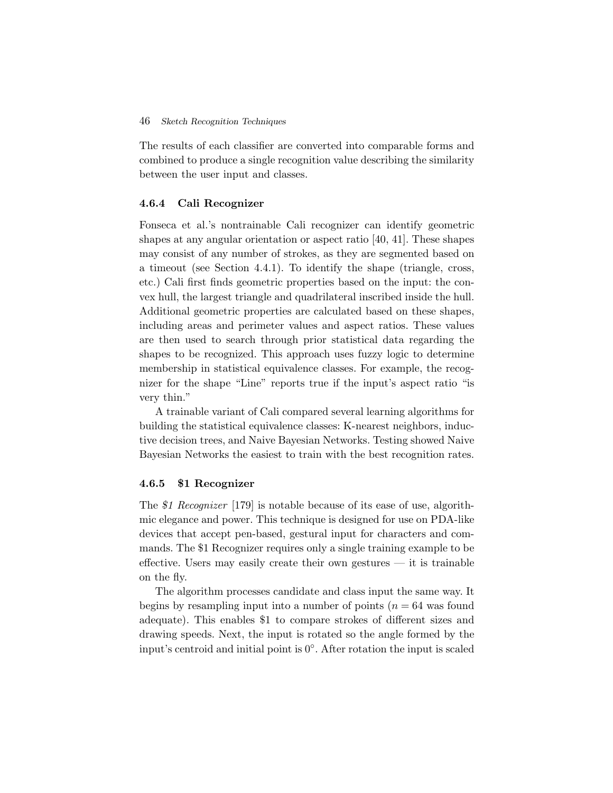The results of each classifier are converted into comparable forms and combined to produce a single recognition value describing the similarity between the user input and classes.

# **4.6.4 Cali Recognizer**

Fonseca et al.'s nontrainable Cali recognizer can identify geometric shapes at any angular orientation or aspect ratio [40, 41]. These shapes may consist of any number of strokes, as they are segmented based on a timeout (see Section 4.4.1). To identify the shape (triangle, cross, etc.) Cali first finds geometric properties based on the input: the convex hull, the largest triangle and quadrilateral inscribed inside the hull. Additional geometric properties are calculated based on these shapes, including areas and perimeter values and aspect ratios. These values are then used to search through prior statistical data regarding the shapes to be recognized. This approach uses fuzzy logic to determine membership in statistical equivalence classes. For example, the recognizer for the shape "Line" reports true if the input's aspect ratio "is very thin."

A trainable variant of Cali compared several learning algorithms for building the statistical equivalence classes: K-nearest neighbors, inductive decision trees, and Naive Bayesian Networks. Testing showed Naive Bayesian Networks the easiest to train with the best recognition rates.

# **4.6.5 \$1 Recognizer**

The \$*1 Recognizer* [179] is notable because of its ease of use, algorithmic elegance and power. This technique is designed for use on PDA-like devices that accept pen-based, gestural input for characters and commands. The \$1 Recognizer requires only a single training example to be effective. Users may easily create their own gestures  $-$  it is trainable on the fly.

The algorithm processes candidate and class input the same way. It begins by resampling input into a number of points  $(n = 64$  was found adequate). This enables \$1 to compare strokes of different sizes and drawing speeds. Next, the input is rotated so the angle formed by the input's centroid and initial point is 0◦. After rotation the input is scaled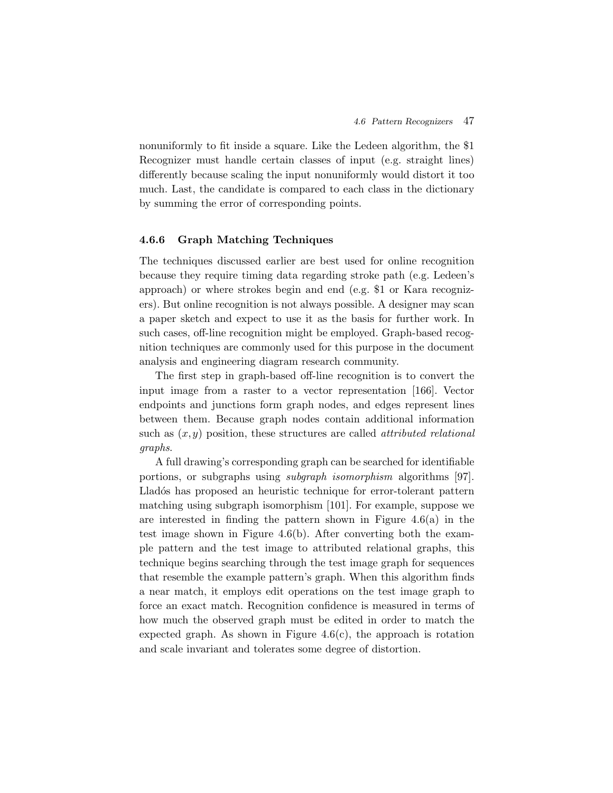nonuniformly to fit inside a square. Like the Ledeen algorithm, the \$1 Recognizer must handle certain classes of input (e.g. straight lines) differently because scaling the input nonuniformly would distort it too much. Last, the candidate is compared to each class in the dictionary by summing the error of corresponding points.

# **4.6.6 Graph Matching Techniques**

The techniques discussed earlier are best used for online recognition because they require timing data regarding stroke path (e.g. Ledeen's approach) or where strokes begin and end (e.g. \$1 or Kara recognizers). But online recognition is not always possible. A designer may scan a paper sketch and expect to use it as the basis for further work. In such cases, off-line recognition might be employed. Graph-based recognition techniques are commonly used for this purpose in the document analysis and engineering diagram research community.

The first step in graph-based off-line recognition is to convert the input image from a raster to a vector representation [166]. Vector endpoints and junctions form graph nodes, and edges represent lines between them. Because graph nodes contain additional information such as (x,y) position, these structures are called *attributed relational graphs*.

A full drawing's corresponding graph can be searched for identifiable portions, or subgraphs using *subgraph isomorphism* algorithms [97]. Lladós has proposed an heuristic technique for error-tolerant pattern matching using subgraph isomorphism [101]. For example, suppose we are interested in finding the pattern shown in Figure 4.6(a) in the test image shown in Figure 4.6(b). After converting both the example pattern and the test image to attributed relational graphs, this technique begins searching through the test image graph for sequences that resemble the example pattern's graph. When this algorithm finds a near match, it employs edit operations on the test image graph to force an exact match. Recognition confidence is measured in terms of how much the observed graph must be edited in order to match the expected graph. As shown in Figure  $4.6(c)$ , the approach is rotation and scale invariant and tolerates some degree of distortion.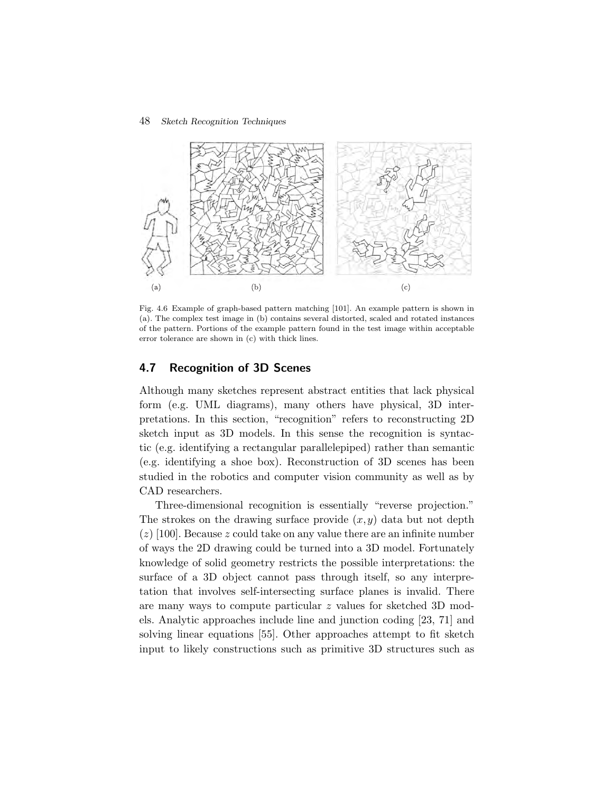

Fig. 4.6 Example of graph-based pattern matching [101]. An example pattern is shown in (a). The complex test image in (b) contains several distorted, scaled and rotated instances of the pattern. Portions of the example pattern found in the test image within acceptable error tolerance are shown in (c) with thick lines.

# **4.7 Recognition of 3D Scenes**

Although many sketches represent abstract entities that lack physical form (e.g. UML diagrams), many others have physical, 3D interpretations. In this section, "recognition" refers to reconstructing 2D sketch input as 3D models. In this sense the recognition is syntactic (e.g. identifying a rectangular parallelepiped) rather than semantic (e.g. identifying a shoe box). Reconstruction of 3D scenes has been studied in the robotics and computer vision community as well as by CAD researchers.

Three-dimensional recognition is essentially "reverse projection." The strokes on the drawing surface provide  $(x, y)$  data but not depth  $(z)$  [100]. Because z could take on any value there are an infinite number of ways the 2D drawing could be turned into a 3D model. Fortunately knowledge of solid geometry restricts the possible interpretations: the surface of a 3D object cannot pass through itself, so any interpretation that involves self-intersecting surface planes is invalid. There are many ways to compute particular z values for sketched 3D models. Analytic approaches include line and junction coding [23, 71] and solving linear equations [55]. Other approaches attempt to fit sketch input to likely constructions such as primitive 3D structures such as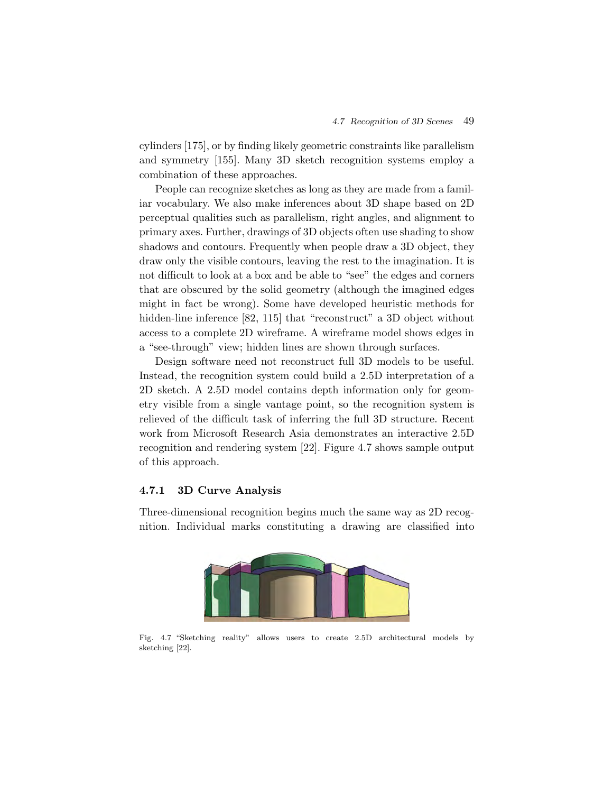cylinders [175], or by finding likely geometric constraints like parallelism and symmetry [155]. Many 3D sketch recognition systems employ a combination of these approaches.

People can recognize sketches as long as they are made from a familiar vocabulary. We also make inferences about 3D shape based on 2D perceptual qualities such as parallelism, right angles, and alignment to primary axes. Further, drawings of 3D objects often use shading to show shadows and contours. Frequently when people draw a 3D object, they draw only the visible contours, leaving the rest to the imagination. It is not difficult to look at a box and be able to "see" the edges and corners that are obscured by the solid geometry (although the imagined edges might in fact be wrong). Some have developed heuristic methods for hidden-line inference [82, 115] that "reconstruct" a 3D object without access to a complete 2D wireframe. A wireframe model shows edges in a "see-through" view; hidden lines are shown through surfaces.

Design software need not reconstruct full 3D models to be useful. Instead, the recognition system could build a 2.5D interpretation of a 2D sketch. A 2.5D model contains depth information only for geometry visible from a single vantage point, so the recognition system is relieved of the difficult task of inferring the full 3D structure. Recent work from Microsoft Research Asia demonstrates an interactive 2.5D recognition and rendering system [22]. Figure 4.7 shows sample output of this approach.

# **4.7.1 3D Curve Analysis**

Three-dimensional recognition begins much the same way as 2D recognition. Individual marks constituting a drawing are classified into



Fig. 4.7 "Sketching reality" allows users to create 2.5D architectural models by sketching [22].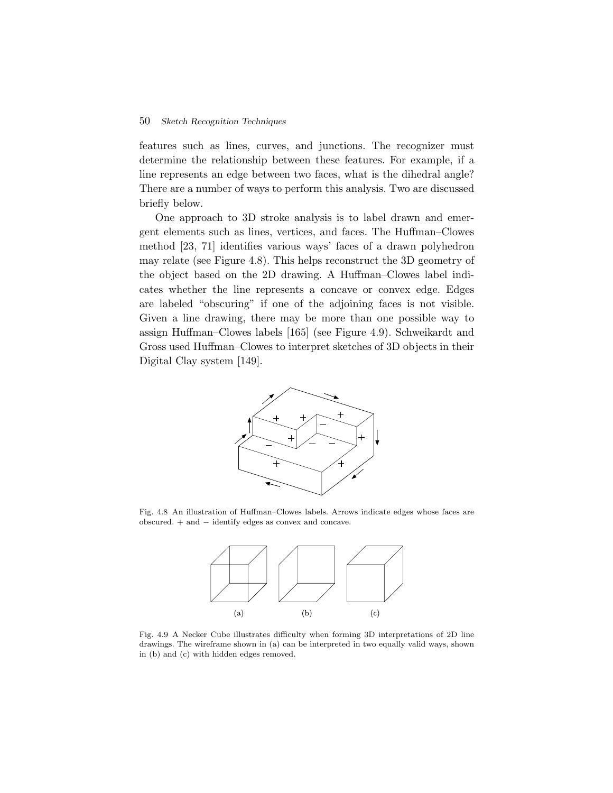features such as lines, curves, and junctions. The recognizer must determine the relationship between these features. For example, if a line represents an edge between two faces, what is the dihedral angle? There are a number of ways to perform this analysis. Two are discussed briefly below.

One approach to 3D stroke analysis is to label drawn and emergent elements such as lines, vertices, and faces. The Huffman–Clowes method [23, 71] identifies various ways' faces of a drawn polyhedron may relate (see Figure 4.8). This helps reconstruct the 3D geometry of the object based on the 2D drawing. A Huffman–Clowes label indicates whether the line represents a concave or convex edge. Edges are labeled "obscuring" if one of the adjoining faces is not visible. Given a line drawing, there may be more than one possible way to assign Huffman–Clowes labels [165] (see Figure 4.9). Schweikardt and Gross used Huffman–Clowes to interpret sketches of 3D objects in their Digital Clay system [149].



Fig. 4.8 An illustration of Huffman–Clowes labels. Arrows indicate edges whose faces are obscured. + and − identify edges as convex and concave.



Fig. 4.9 A Necker Cube illustrates difficulty when forming 3D interpretations of 2D line drawings. The wireframe shown in (a) can be interpreted in two equally valid ways, shown in (b) and (c) with hidden edges removed.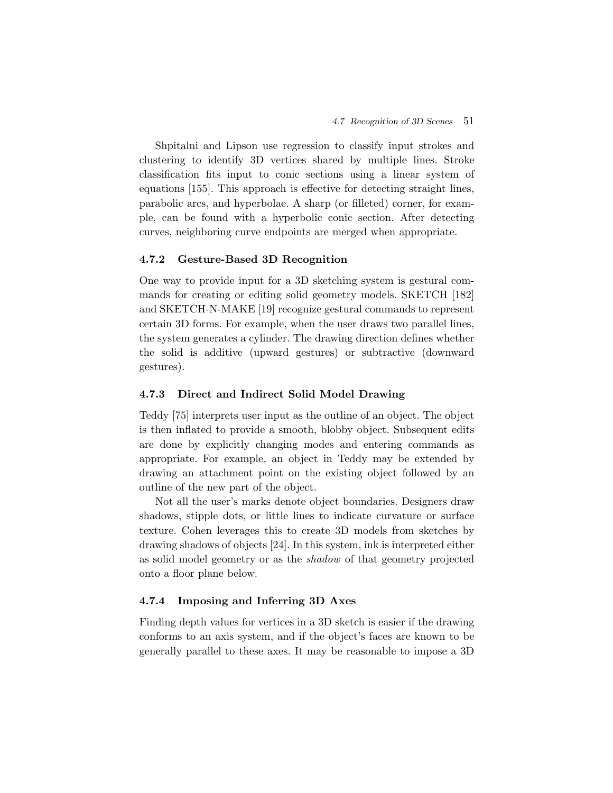Shpitalni and Lipson use regression to classify input strokes and clustering to identify 3D vertices shared by multiple lines. Stroke classification fits input to conic sections using a linear system of equations [155]. This approach is effective for detecting straight lines, parabolic arcs, and hyperbolae. A sharp (or filleted) corner, for example, can be found with a hyperbolic conic section. After detecting curves, neighboring curve endpoints are merged when appropriate.

# **4.7.2 Gesture-Based 3D Recognition**

One way to provide input for a 3D sketching system is gestural commands for creating or editing solid geometry models. SKETCH [182] and SKETCH-N-MAKE [19] recognize gestural commands to represent certain 3D forms. For example, when the user draws two parallel lines, the system generates a cylinder. The drawing direction defines whether the solid is additive (upward gestures) or subtractive (downward gestures).

# **4.7.3 Direct and Indirect Solid Model Drawing**

Teddy [75] interprets user input as the outline of an object. The object is then inflated to provide a smooth, blobby object. Subsequent edits are done by explicitly changing modes and entering commands as appropriate. For example, an object in Teddy may be extended by drawing an attachment point on the existing object followed by an outline of the new part of the object.

Not all the user's marks denote object boundaries. Designers draw shadows, stipple dots, or little lines to indicate curvature or surface texture. Cohen leverages this to create 3D models from sketches by drawing shadows of objects [24]. In this system, ink is interpreted either as solid model geometry or as the *shadow* of that geometry projected onto a floor plane below.

# **4.7.4 Imposing and Inferring 3D Axes**

Finding depth values for vertices in a 3D sketch is easier if the drawing conforms to an axis system, and if the object's faces are known to be generally parallel to these axes. It may be reasonable to impose a 3D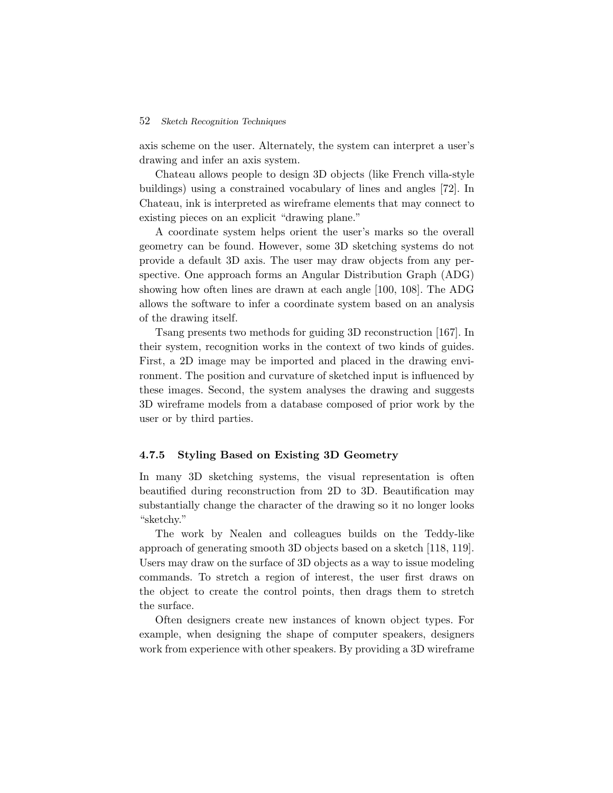axis scheme on the user. Alternately, the system can interpret a user's drawing and infer an axis system.

Chateau allows people to design 3D objects (like French villa-style buildings) using a constrained vocabulary of lines and angles [72]. In Chateau, ink is interpreted as wireframe elements that may connect to existing pieces on an explicit "drawing plane."

A coordinate system helps orient the user's marks so the overall geometry can be found. However, some 3D sketching systems do not provide a default 3D axis. The user may draw objects from any perspective. One approach forms an Angular Distribution Graph (ADG) showing how often lines are drawn at each angle [100, 108]. The ADG allows the software to infer a coordinate system based on an analysis of the drawing itself.

Tsang presents two methods for guiding 3D reconstruction [167]. In their system, recognition works in the context of two kinds of guides. First, a 2D image may be imported and placed in the drawing environment. The position and curvature of sketched input is influenced by these images. Second, the system analyses the drawing and suggests 3D wireframe models from a database composed of prior work by the user or by third parties.

# **4.7.5 Styling Based on Existing 3D Geometry**

In many 3D sketching systems, the visual representation is often beautified during reconstruction from 2D to 3D. Beautification may substantially change the character of the drawing so it no longer looks "sketchy."

The work by Nealen and colleagues builds on the Teddy-like approach of generating smooth 3D objects based on a sketch [118, 119]. Users may draw on the surface of 3D objects as a way to issue modeling commands. To stretch a region of interest, the user first draws on the object to create the control points, then drags them to stretch the surface.

Often designers create new instances of known object types. For example, when designing the shape of computer speakers, designers work from experience with other speakers. By providing a 3D wireframe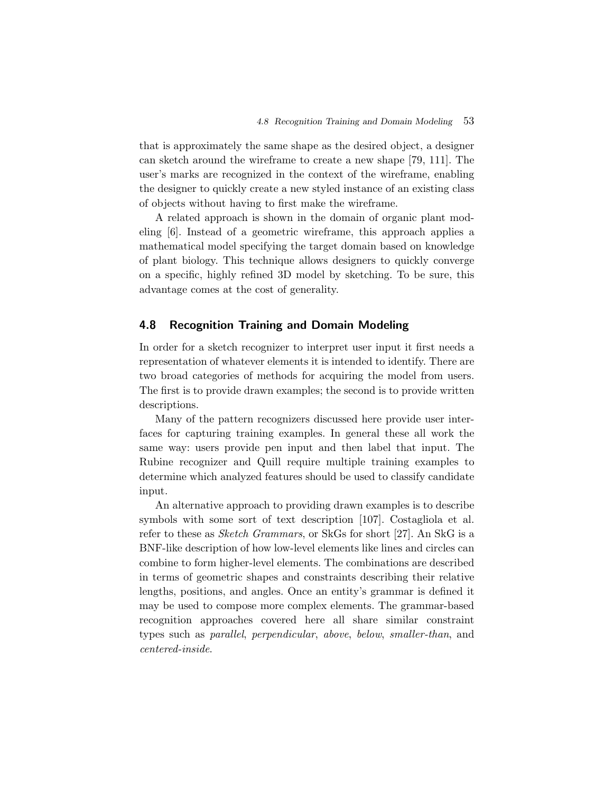that is approximately the same shape as the desired object, a designer can sketch around the wireframe to create a new shape [79, 111]. The user's marks are recognized in the context of the wireframe, enabling the designer to quickly create a new styled instance of an existing class of objects without having to first make the wireframe.

A related approach is shown in the domain of organic plant modeling [6]. Instead of a geometric wireframe, this approach applies a mathematical model specifying the target domain based on knowledge of plant biology. This technique allows designers to quickly converge on a specific, highly refined 3D model by sketching. To be sure, this advantage comes at the cost of generality.

# **4.8 Recognition Training and Domain Modeling**

In order for a sketch recognizer to interpret user input it first needs a representation of whatever elements it is intended to identify. There are two broad categories of methods for acquiring the model from users. The first is to provide drawn examples; the second is to provide written descriptions.

Many of the pattern recognizers discussed here provide user interfaces for capturing training examples. In general these all work the same way: users provide pen input and then label that input. The Rubine recognizer and Quill require multiple training examples to determine which analyzed features should be used to classify candidate input.

An alternative approach to providing drawn examples is to describe symbols with some sort of text description [107]. Costagliola et al. refer to these as *Sketch Grammars*, or SkGs for short [27]. An SkG is a BNF-like description of how low-level elements like lines and circles can combine to form higher-level elements. The combinations are described in terms of geometric shapes and constraints describing their relative lengths, positions, and angles. Once an entity's grammar is defined it may be used to compose more complex elements. The grammar-based recognition approaches covered here all share similar constraint types such as *parallel*, *perpendicular*, *above*, *below*, *smaller-than*, and *centered-inside*.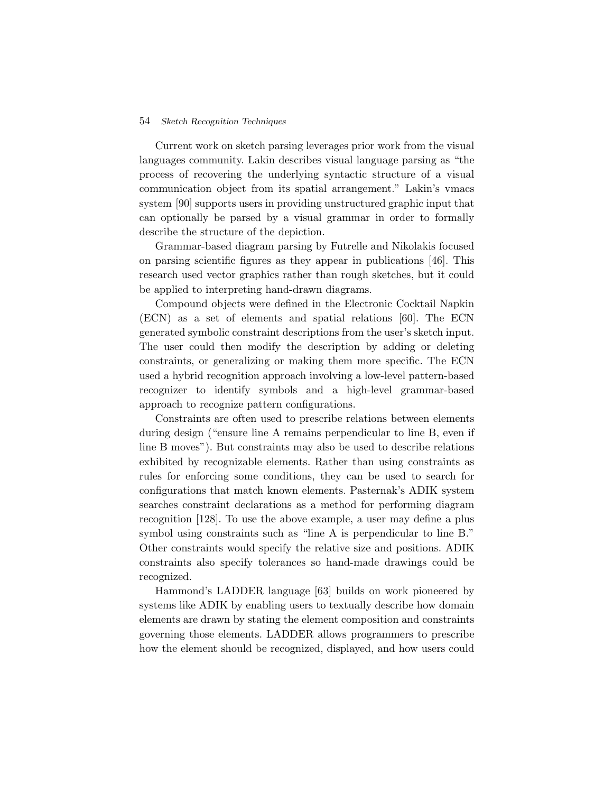Current work on sketch parsing leverages prior work from the visual languages community. Lakin describes visual language parsing as "the process of recovering the underlying syntactic structure of a visual communication object from its spatial arrangement." Lakin's vmacs system [90] supports users in providing unstructured graphic input that can optionally be parsed by a visual grammar in order to formally describe the structure of the depiction.

Grammar-based diagram parsing by Futrelle and Nikolakis focused on parsing scientific figures as they appear in publications [46]. This research used vector graphics rather than rough sketches, but it could be applied to interpreting hand-drawn diagrams.

Compound objects were defined in the Electronic Cocktail Napkin (ECN) as a set of elements and spatial relations [60]. The ECN generated symbolic constraint descriptions from the user's sketch input. The user could then modify the description by adding or deleting constraints, or generalizing or making them more specific. The ECN used a hybrid recognition approach involving a low-level pattern-based recognizer to identify symbols and a high-level grammar-based approach to recognize pattern configurations.

Constraints are often used to prescribe relations between elements during design ("ensure line A remains perpendicular to line B, even if line B moves"). But constraints may also be used to describe relations exhibited by recognizable elements. Rather than using constraints as rules for enforcing some conditions, they can be used to search for configurations that match known elements. Pasternak's ADIK system searches constraint declarations as a method for performing diagram recognition [128]. To use the above example, a user may define a plus symbol using constraints such as "line A is perpendicular to line B." Other constraints would specify the relative size and positions. ADIK constraints also specify tolerances so hand-made drawings could be recognized.

Hammond's LADDER language [63] builds on work pioneered by systems like ADIK by enabling users to textually describe how domain elements are drawn by stating the element composition and constraints governing those elements. LADDER allows programmers to prescribe how the element should be recognized, displayed, and how users could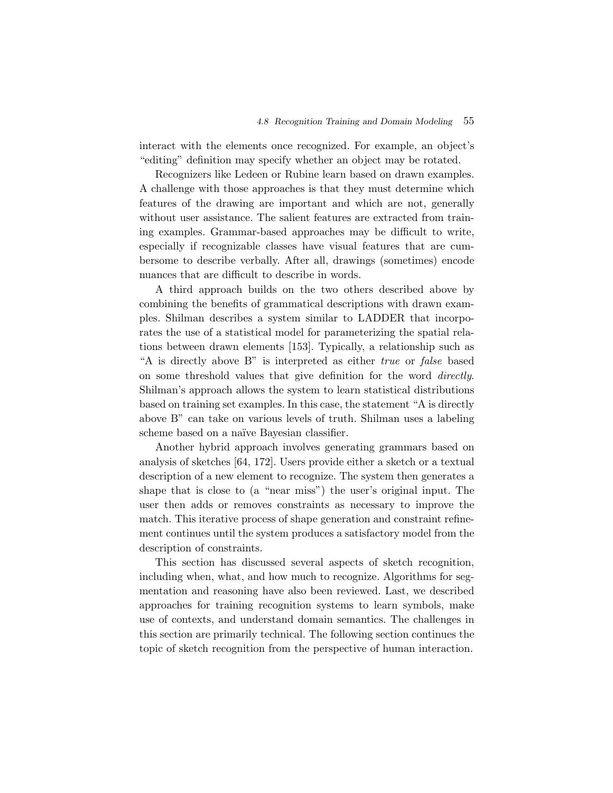interact with the elements once recognized. For example, an object's "editing" definition may specify whether an object may be rotated.

Recognizers like Ledeen or Rubine learn based on drawn examples. A challenge with those approaches is that they must determine which features of the drawing are important and which are not, generally without user assistance. The salient features are extracted from training examples. Grammar-based approaches may be difficult to write, especially if recognizable classes have visual features that are cumbersome to describe verbally. After all, drawings (sometimes) encode nuances that are difficult to describe in words.

A third approach builds on the two others described above by combining the benefits of grammatical descriptions with drawn examples. Shilman describes a system similar to LADDER that incorporates the use of a statistical model for parameterizing the spatial relations between drawn elements [153]. Typically, a relationship such as "A is directly above B" is interpreted as either *true* or *false* based on some threshold values that give definition for the word *directly*. Shilman's approach allows the system to learn statistical distributions based on training set examples. In this case, the statement "A is directly above B" can take on various levels of truth. Shilman uses a labeling scheme based on a naïve Bayesian classifier.

Another hybrid approach involves generating grammars based on analysis of sketches [64, 172]. Users provide either a sketch or a textual description of a new element to recognize. The system then generates a shape that is close to (a "near miss") the user's original input. The user then adds or removes constraints as necessary to improve the match. This iterative process of shape generation and constraint refinement continues until the system produces a satisfactory model from the description of constraints.

This section has discussed several aspects of sketch recognition, including when, what, and how much to recognize. Algorithms for segmentation and reasoning have also been reviewed. Last, we described approaches for training recognition systems to learn symbols, make use of contexts, and understand domain semantics. The challenges in this section are primarily technical. The following section continues the topic of sketch recognition from the perspective of human interaction.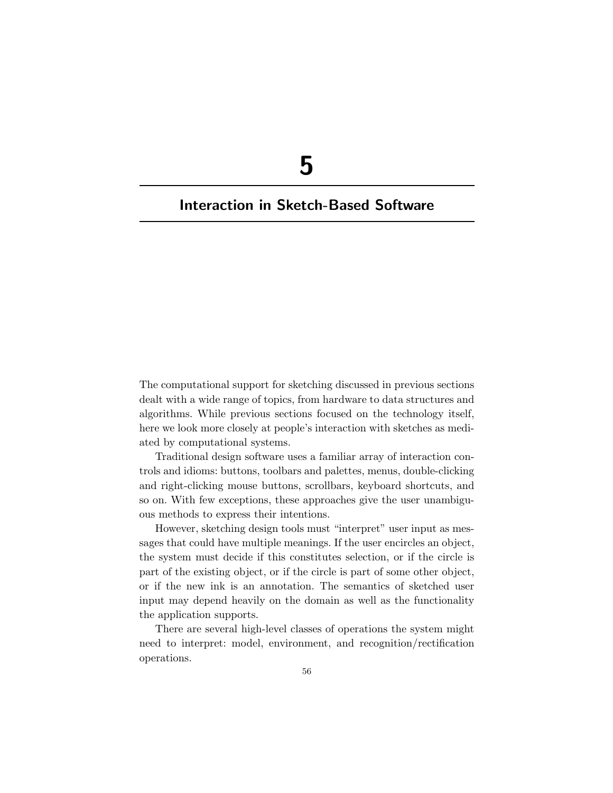# **5**

# **Interaction in Sketch-Based Software**

The computational support for sketching discussed in previous sections dealt with a wide range of topics, from hardware to data structures and algorithms. While previous sections focused on the technology itself, here we look more closely at people's interaction with sketches as mediated by computational systems.

Traditional design software uses a familiar array of interaction controls and idioms: buttons, toolbars and palettes, menus, double-clicking and right-clicking mouse buttons, scrollbars, keyboard shortcuts, and so on. With few exceptions, these approaches give the user unambiguous methods to express their intentions.

However, sketching design tools must "interpret" user input as messages that could have multiple meanings. If the user encircles an object, the system must decide if this constitutes selection, or if the circle is part of the existing object, or if the circle is part of some other object, or if the new ink is an annotation. The semantics of sketched user input may depend heavily on the domain as well as the functionality the application supports.

There are several high-level classes of operations the system might need to interpret: model, environment, and recognition/rectification operations.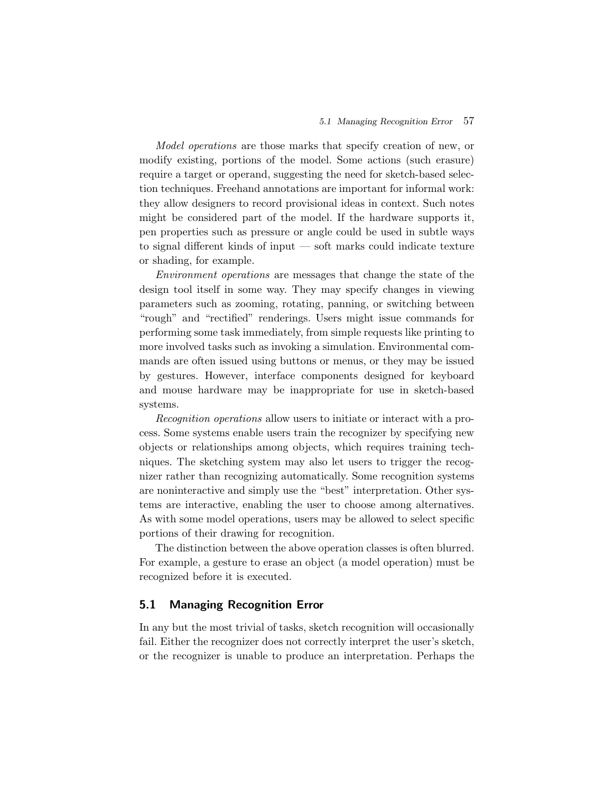# *5.1 Managing Recognition Error* 57

*Model operations* are those marks that specify creation of new, or modify existing, portions of the model. Some actions (such erasure) require a target or operand, suggesting the need for sketch-based selection techniques. Freehand annotations are important for informal work: they allow designers to record provisional ideas in context. Such notes might be considered part of the model. If the hardware supports it, pen properties such as pressure or angle could be used in subtle ways to signal different kinds of input — soft marks could indicate texture or shading, for example.

*Environment operations* are messages that change the state of the design tool itself in some way. They may specify changes in viewing parameters such as zooming, rotating, panning, or switching between "rough" and "rectified" renderings. Users might issue commands for performing some task immediately, from simple requests like printing to more involved tasks such as invoking a simulation. Environmental commands are often issued using buttons or menus, or they may be issued by gestures. However, interface components designed for keyboard and mouse hardware may be inappropriate for use in sketch-based systems.

*Recognition operations* allow users to initiate or interact with a process. Some systems enable users train the recognizer by specifying new objects or relationships among objects, which requires training techniques. The sketching system may also let users to trigger the recognizer rather than recognizing automatically. Some recognition systems are noninteractive and simply use the "best" interpretation. Other systems are interactive, enabling the user to choose among alternatives. As with some model operations, users may be allowed to select specific portions of their drawing for recognition.

The distinction between the above operation classes is often blurred. For example, a gesture to erase an object (a model operation) must be recognized before it is executed.

# **5.1 Managing Recognition Error**

In any but the most trivial of tasks, sketch recognition will occasionally fail. Either the recognizer does not correctly interpret the user's sketch, or the recognizer is unable to produce an interpretation. Perhaps the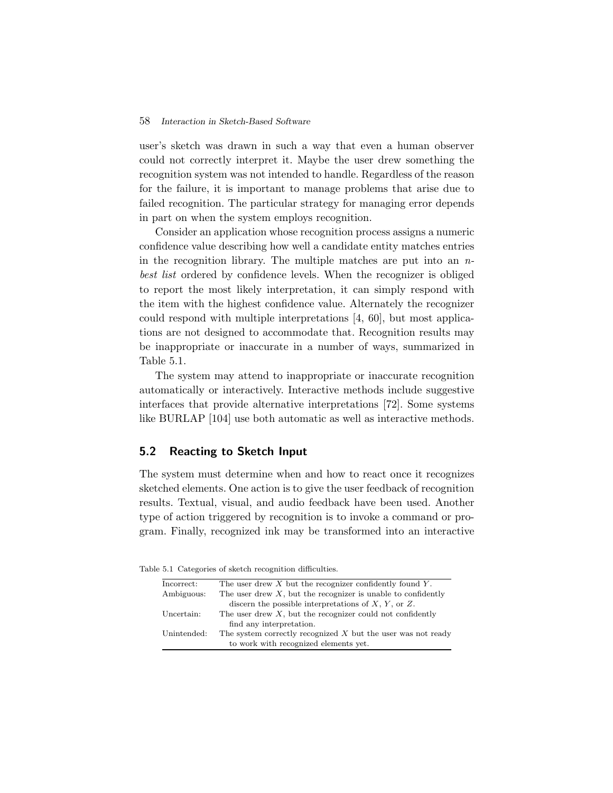#### 58 *Interaction in Sketch-Based Software*

user's sketch was drawn in such a way that even a human observer could not correctly interpret it. Maybe the user drew something the recognition system was not intended to handle. Regardless of the reason for the failure, it is important to manage problems that arise due to failed recognition. The particular strategy for managing error depends in part on when the system employs recognition.

Consider an application whose recognition process assigns a numeric confidence value describing how well a candidate entity matches entries in the recognition library. The multiple matches are put into an *nbest list* ordered by confidence levels. When the recognizer is obliged to report the most likely interpretation, it can simply respond with the item with the highest confidence value. Alternately the recognizer could respond with multiple interpretations [4, 60], but most applications are not designed to accommodate that. Recognition results may be inappropriate or inaccurate in a number of ways, summarized in Table 5.1.

The system may attend to inappropriate or inaccurate recognition automatically or interactively. Interactive methods include suggestive interfaces that provide alternative interpretations [72]. Some systems like BURLAP [104] use both automatic as well as interactive methods.

# **5.2 Reacting to Sketch Input**

The system must determine when and how to react once it recognizes sketched elements. One action is to give the user feedback of recognition results. Textual, visual, and audio feedback have been used. Another type of action triggered by recognition is to invoke a command or program. Finally, recognized ink may be transformed into an interactive

| Incorrect:  | The user drew $X$ but the recognizer confidently found Y.       |
|-------------|-----------------------------------------------------------------|
| Ambiguous:  | The user drew $X$ , but the recognizer is unable to confidently |
|             | discern the possible interpretations of $X, Y$ , or $Z$ .       |
| Uncertain:  | The user drew $X$ , but the recognizer could not confidently    |
|             | find any interpretation.                                        |
| Unintended: | The system correctly recognized $X$ but the user was not ready  |
|             | to work with recognized elements yet.                           |

Table 5.1 Categories of sketch recognition difficulties.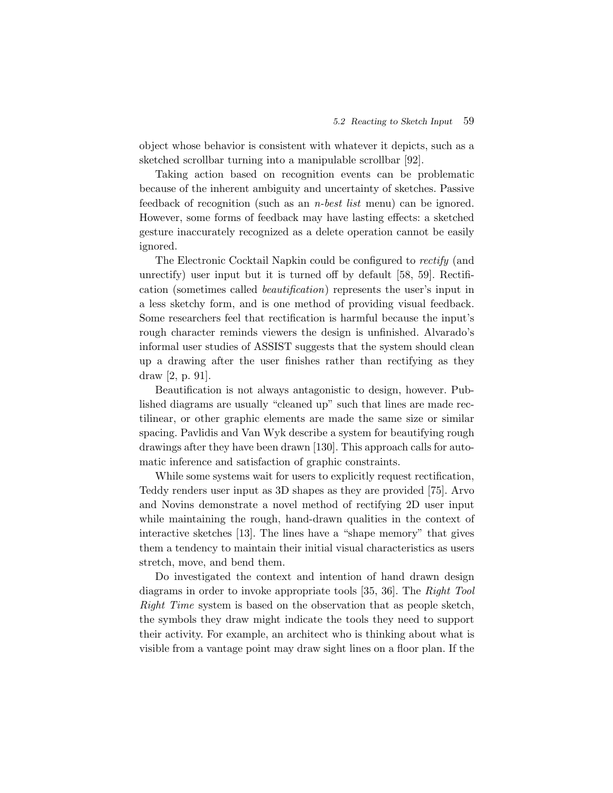object whose behavior is consistent with whatever it depicts, such as a sketched scrollbar turning into a manipulable scrollbar [92].

Taking action based on recognition events can be problematic because of the inherent ambiguity and uncertainty of sketches. Passive feedback of recognition (such as an *n-best list* menu) can be ignored. However, some forms of feedback may have lasting effects: a sketched gesture inaccurately recognized as a delete operation cannot be easily ignored.

The Electronic Cocktail Napkin could be configured to *rectify* (and unrectify) user input but it is turned off by default [58, 59]. Rectification (sometimes called *beautification*) represents the user's input in a less sketchy form, and is one method of providing visual feedback. Some researchers feel that rectification is harmful because the input's rough character reminds viewers the design is unfinished. Alvarado's informal user studies of ASSIST suggests that the system should clean up a drawing after the user finishes rather than rectifying as they draw [2, p. 91].

Beautification is not always antagonistic to design, however. Published diagrams are usually "cleaned up" such that lines are made rectilinear, or other graphic elements are made the same size or similar spacing. Pavlidis and Van Wyk describe a system for beautifying rough drawings after they have been drawn [130]. This approach calls for automatic inference and satisfaction of graphic constraints.

While some systems wait for users to explicitly request rectification, Teddy renders user input as 3D shapes as they are provided [75]. Arvo and Novins demonstrate a novel method of rectifying 2D user input while maintaining the rough, hand-drawn qualities in the context of interactive sketches [13]. The lines have a "shape memory" that gives them a tendency to maintain their initial visual characteristics as users stretch, move, and bend them.

Do investigated the context and intention of hand drawn design diagrams in order to invoke appropriate tools [35, 36]. The *Right Tool Right Time* system is based on the observation that as people sketch, the symbols they draw might indicate the tools they need to support their activity. For example, an architect who is thinking about what is visible from a vantage point may draw sight lines on a floor plan. If the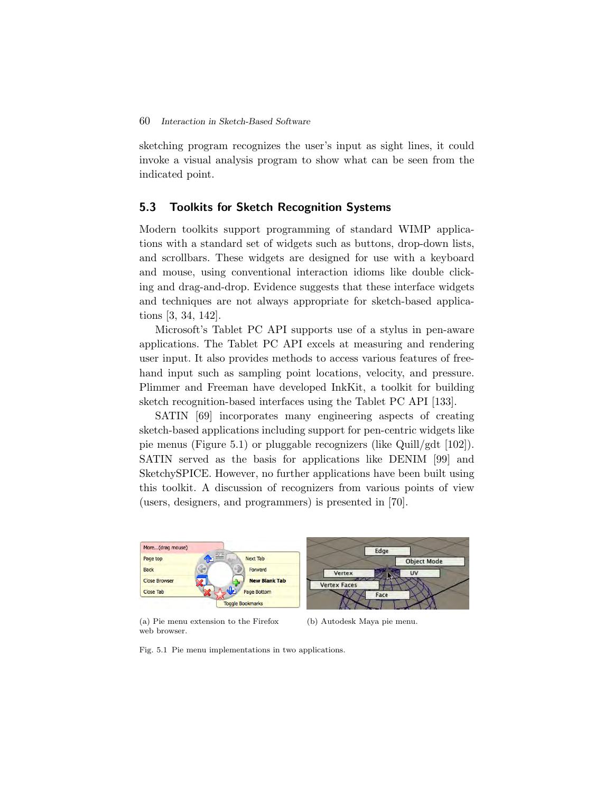sketching program recognizes the user's input as sight lines, it could invoke a visual analysis program to show what can be seen from the indicated point.

# **5.3 Toolkits for Sketch Recognition Systems**

Modern toolkits support programming of standard WIMP applications with a standard set of widgets such as buttons, drop-down lists, and scrollbars. These widgets are designed for use with a keyboard and mouse, using conventional interaction idioms like double clicking and drag-and-drop. Evidence suggests that these interface widgets and techniques are not always appropriate for sketch-based applications [3, 34, 142].

Microsoft's Tablet PC API supports use of a stylus in pen-aware applications. The Tablet PC API excels at measuring and rendering user input. It also provides methods to access various features of freehand input such as sampling point locations, velocity, and pressure. Plimmer and Freeman have developed InkKit, a toolkit for building sketch recognition-based interfaces using the Tablet PC API [133].

SATIN [69] incorporates many engineering aspects of creating sketch-based applications including support for pen-centric widgets like pie menus (Figure 5.1) or pluggable recognizers (like Quill/gdt [102]). SATIN served as the basis for applications like DENIM [99] and SketchySPICE. However, no further applications have been built using this toolkit. A discussion of recognizers from various points of view (users, designers, and programmers) is presented in [70].



(a) Pie menu extension to the Firefox web browser.

(b) Autodesk Maya pie menu.

Fig. 5.1 Pie menu implementations in two applications.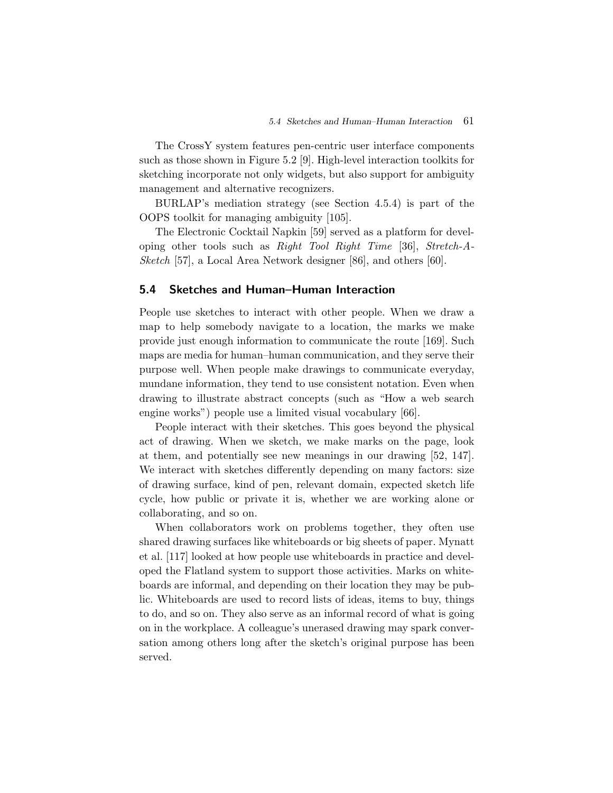The CrossY system features pen-centric user interface components such as those shown in Figure 5.2 [9]. High-level interaction toolkits for sketching incorporate not only widgets, but also support for ambiguity management and alternative recognizers.

BURLAP's mediation strategy (see Section 4.5.4) is part of the OOPS toolkit for managing ambiguity [105].

The Electronic Cocktail Napkin [59] served as a platform for developing other tools such as *Right Tool Right Time* [36], *Stretch-A-Sketch* [57], a Local Area Network designer [86], and others [60].

### **5.4 Sketches and Human–Human Interaction**

People use sketches to interact with other people. When we draw a map to help somebody navigate to a location, the marks we make provide just enough information to communicate the route [169]. Such maps are media for human–human communication, and they serve their purpose well. When people make drawings to communicate everyday, mundane information, they tend to use consistent notation. Even when drawing to illustrate abstract concepts (such as "How a web search engine works") people use a limited visual vocabulary [66].

People interact with their sketches. This goes beyond the physical act of drawing. When we sketch, we make marks on the page, look at them, and potentially see new meanings in our drawing [52, 147]. We interact with sketches differently depending on many factors: size of drawing surface, kind of pen, relevant domain, expected sketch life cycle, how public or private it is, whether we are working alone or collaborating, and so on.

When collaborators work on problems together, they often use shared drawing surfaces like whiteboards or big sheets of paper. Mynatt et al. [117] looked at how people use whiteboards in practice and developed the Flatland system to support those activities. Marks on whiteboards are informal, and depending on their location they may be public. Whiteboards are used to record lists of ideas, items to buy, things to do, and so on. They also serve as an informal record of what is going on in the workplace. A colleague's unerased drawing may spark conversation among others long after the sketch's original purpose has been served.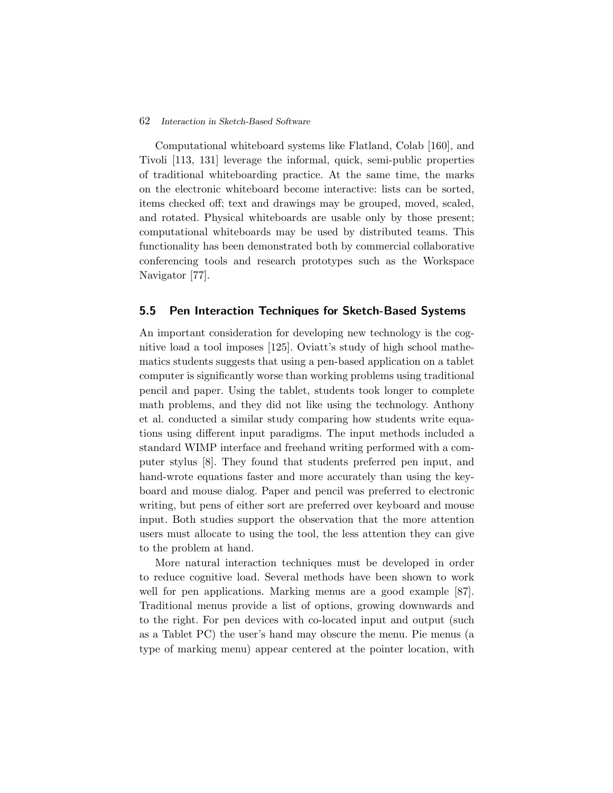# 62 *Interaction in Sketch-Based Software*

Computational whiteboard systems like Flatland, Colab [160], and Tivoli [113, 131] leverage the informal, quick, semi-public properties of traditional whiteboarding practice. At the same time, the marks on the electronic whiteboard become interactive: lists can be sorted, items checked off; text and drawings may be grouped, moved, scaled, and rotated. Physical whiteboards are usable only by those present; computational whiteboards may be used by distributed teams. This functionality has been demonstrated both by commercial collaborative conferencing tools and research prototypes such as the Workspace Navigator [77].

# **5.5 Pen Interaction Techniques for Sketch-Based Systems**

An important consideration for developing new technology is the cognitive load a tool imposes [125]. Oviatt's study of high school mathematics students suggests that using a pen-based application on a tablet computer is significantly worse than working problems using traditional pencil and paper. Using the tablet, students took longer to complete math problems, and they did not like using the technology. Anthony et al. conducted a similar study comparing how students write equations using different input paradigms. The input methods included a standard WIMP interface and freehand writing performed with a computer stylus [8]. They found that students preferred pen input, and hand-wrote equations faster and more accurately than using the keyboard and mouse dialog. Paper and pencil was preferred to electronic writing, but pens of either sort are preferred over keyboard and mouse input. Both studies support the observation that the more attention users must allocate to using the tool, the less attention they can give to the problem at hand.

More natural interaction techniques must be developed in order to reduce cognitive load. Several methods have been shown to work well for pen applications. Marking menus are a good example [87]. Traditional menus provide a list of options, growing downwards and to the right. For pen devices with co-located input and output (such as a Tablet PC) the user's hand may obscure the menu. Pie menus (a type of marking menu) appear centered at the pointer location, with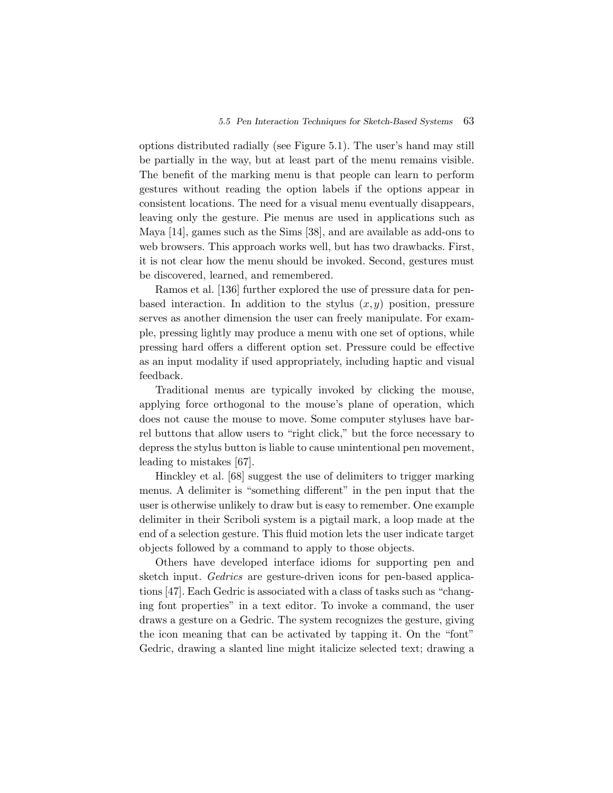options distributed radially (see Figure 5.1). The user's hand may still be partially in the way, but at least part of the menu remains visible. The benefit of the marking menu is that people can learn to perform gestures without reading the option labels if the options appear in consistent locations. The need for a visual menu eventually disappears, leaving only the gesture. Pie menus are used in applications such as Maya [14], games such as the Sims [38], and are available as add-ons to web browsers. This approach works well, but has two drawbacks. First, it is not clear how the menu should be invoked. Second, gestures must be discovered, learned, and remembered.

Ramos et al. [136] further explored the use of pressure data for penbased interaction. In addition to the stylus  $(x, y)$  position, pressure serves as another dimension the user can freely manipulate. For example, pressing lightly may produce a menu with one set of options, while pressing hard offers a different option set. Pressure could be effective as an input modality if used appropriately, including haptic and visual feedback.

Traditional menus are typically invoked by clicking the mouse, applying force orthogonal to the mouse's plane of operation, which does not cause the mouse to move. Some computer styluses have barrel buttons that allow users to "right click," but the force necessary to depress the stylus button is liable to cause unintentional pen movement, leading to mistakes [67].

Hinckley et al. [68] suggest the use of delimiters to trigger marking menus. A delimiter is "something different" in the pen input that the user is otherwise unlikely to draw but is easy to remember. One example delimiter in their Scriboli system is a pigtail mark, a loop made at the end of a selection gesture. This fluid motion lets the user indicate target objects followed by a command to apply to those objects.

Others have developed interface idioms for supporting pen and sketch input. *Gedrics* are gesture-driven icons for pen-based applications [47]. Each Gedric is associated with a class of tasks such as "changing font properties" in a text editor. To invoke a command, the user draws a gesture on a Gedric. The system recognizes the gesture, giving the icon meaning that can be activated by tapping it. On the "font" Gedric, drawing a slanted line might italicize selected text; drawing a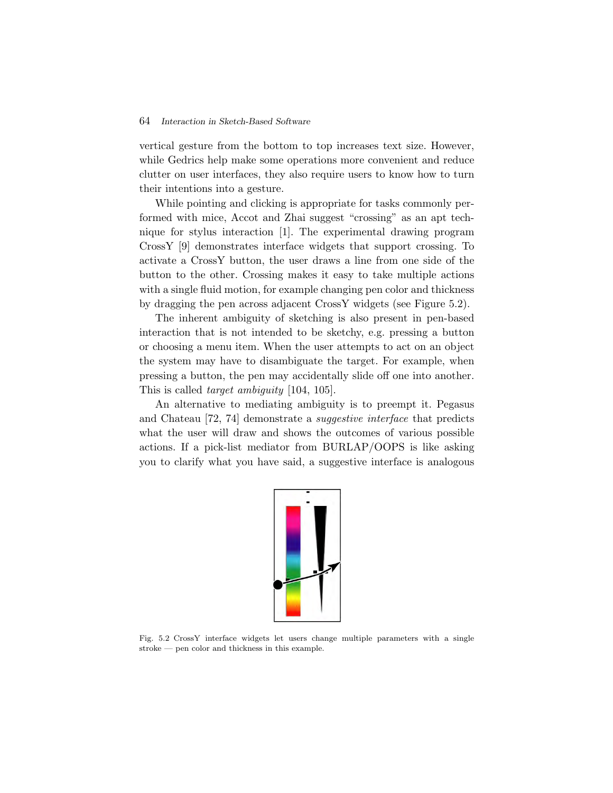#### 64 *Interaction in Sketch-Based Software*

vertical gesture from the bottom to top increases text size. However, while Gedrics help make some operations more convenient and reduce clutter on user interfaces, they also require users to know how to turn their intentions into a gesture.

While pointing and clicking is appropriate for tasks commonly performed with mice, Accot and Zhai suggest "crossing" as an apt technique for stylus interaction [1]. The experimental drawing program CrossY [9] demonstrates interface widgets that support crossing. To activate a CrossY button, the user draws a line from one side of the button to the other. Crossing makes it easy to take multiple actions with a single fluid motion, for example changing pen color and thickness by dragging the pen across adjacent CrossY widgets (see Figure 5.2).

The inherent ambiguity of sketching is also present in pen-based interaction that is not intended to be sketchy, e.g. pressing a button or choosing a menu item. When the user attempts to act on an object the system may have to disambiguate the target. For example, when pressing a button, the pen may accidentally slide off one into another. This is called *target ambiguity* [104, 105].

An alternative to mediating ambiguity is to preempt it. Pegasus and Chateau [72, 74] demonstrate a *suggestive interface* that predicts what the user will draw and shows the outcomes of various possible actions. If a pick-list mediator from BURLAP/OOPS is like asking you to clarify what you have said, a suggestive interface is analogous



Fig. 5.2 CrossY interface widgets let users change multiple parameters with a single stroke — pen color and thickness in this example.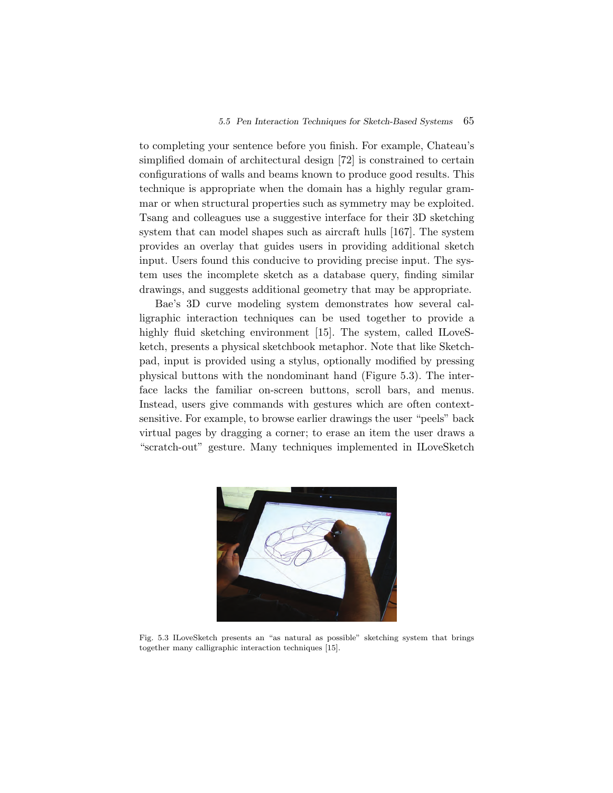to completing your sentence before you finish. For example, Chateau's simplified domain of architectural design [72] is constrained to certain configurations of walls and beams known to produce good results. This technique is appropriate when the domain has a highly regular grammar or when structural properties such as symmetry may be exploited. Tsang and colleagues use a suggestive interface for their 3D sketching system that can model shapes such as aircraft hulls [167]. The system provides an overlay that guides users in providing additional sketch input. Users found this conducive to providing precise input. The system uses the incomplete sketch as a database query, finding similar drawings, and suggests additional geometry that may be appropriate.

Bae's 3D curve modeling system demonstrates how several calligraphic interaction techniques can be used together to provide a highly fluid sketching environment [15]. The system, called ILoveSketch, presents a physical sketchbook metaphor. Note that like Sketchpad, input is provided using a stylus, optionally modified by pressing physical buttons with the nondominant hand (Figure 5.3). The interface lacks the familiar on-screen buttons, scroll bars, and menus. Instead, users give commands with gestures which are often contextsensitive. For example, to browse earlier drawings the user "peels" back virtual pages by dragging a corner; to erase an item the user draws a "scratch-out" gesture. Many techniques implemented in ILoveSketch



Fig. 5.3 ILoveSketch presents an "as natural as possible" sketching system that brings together many calligraphic interaction techniques [15].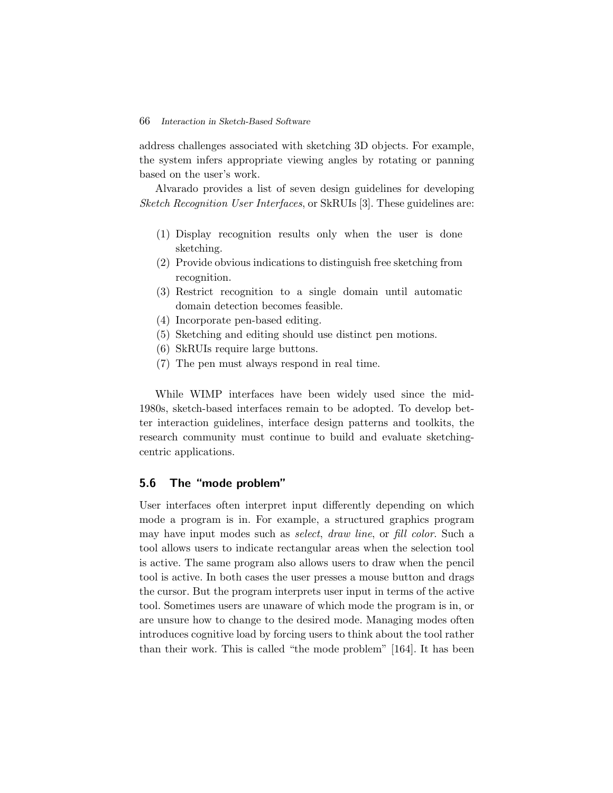# 66 *Interaction in Sketch-Based Software*

address challenges associated with sketching 3D objects. For example, the system infers appropriate viewing angles by rotating or panning based on the user's work.

Alvarado provides a list of seven design guidelines for developing *Sketch Recognition User Interfaces*, or SkRUIs [3]. These guidelines are:

- (1) Display recognition results only when the user is done sketching.
- (2) Provide obvious indications to distinguish free sketching from recognition.
- (3) Restrict recognition to a single domain until automatic domain detection becomes feasible.
- (4) Incorporate pen-based editing.
- (5) Sketching and editing should use distinct pen motions.
- (6) SkRUIs require large buttons.
- (7) The pen must always respond in real time.

While WIMP interfaces have been widely used since the mid-1980s, sketch-based interfaces remain to be adopted. To develop better interaction guidelines, interface design patterns and toolkits, the research community must continue to build and evaluate sketchingcentric applications.

# **5.6 The "mode problem"**

User interfaces often interpret input differently depending on which mode a program is in. For example, a structured graphics program may have input modes such as *select*, *draw line*, or *fill color*. Such a tool allows users to indicate rectangular areas when the selection tool is active. The same program also allows users to draw when the pencil tool is active. In both cases the user presses a mouse button and drags the cursor. But the program interprets user input in terms of the active tool. Sometimes users are unaware of which mode the program is in, or are unsure how to change to the desired mode. Managing modes often introduces cognitive load by forcing users to think about the tool rather than their work. This is called "the mode problem" [164]. It has been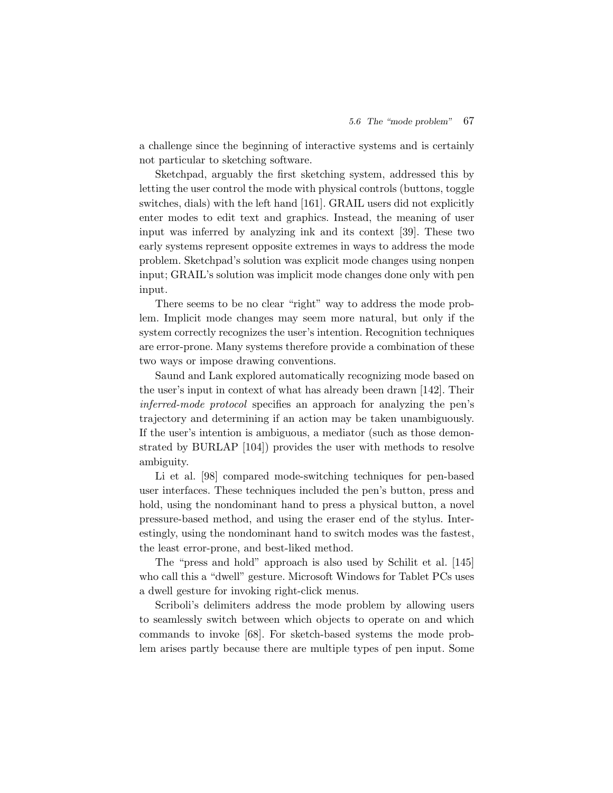a challenge since the beginning of interactive systems and is certainly not particular to sketching software.

Sketchpad, arguably the first sketching system, addressed this by letting the user control the mode with physical controls (buttons, toggle switches, dials) with the left hand [161]. GRAIL users did not explicitly enter modes to edit text and graphics. Instead, the meaning of user input was inferred by analyzing ink and its context [39]. These two early systems represent opposite extremes in ways to address the mode problem. Sketchpad's solution was explicit mode changes using nonpen input; GRAIL's solution was implicit mode changes done only with pen input.

There seems to be no clear "right" way to address the mode problem. Implicit mode changes may seem more natural, but only if the system correctly recognizes the user's intention. Recognition techniques are error-prone. Many systems therefore provide a combination of these two ways or impose drawing conventions.

Saund and Lank explored automatically recognizing mode based on the user's input in context of what has already been drawn [142]. Their *inferred-mode protocol* specifies an approach for analyzing the pen's trajectory and determining if an action may be taken unambiguously. If the user's intention is ambiguous, a mediator (such as those demonstrated by BURLAP [104]) provides the user with methods to resolve ambiguity.

Li et al. [98] compared mode-switching techniques for pen-based user interfaces. These techniques included the pen's button, press and hold, using the nondominant hand to press a physical button, a novel pressure-based method, and using the eraser end of the stylus. Interestingly, using the nondominant hand to switch modes was the fastest, the least error-prone, and best-liked method.

The "press and hold" approach is also used by Schilit et al. [145] who call this a "dwell" gesture. Microsoft Windows for Tablet PCs uses a dwell gesture for invoking right-click menus.

Scriboli's delimiters address the mode problem by allowing users to seamlessly switch between which objects to operate on and which commands to invoke [68]. For sketch-based systems the mode problem arises partly because there are multiple types of pen input. Some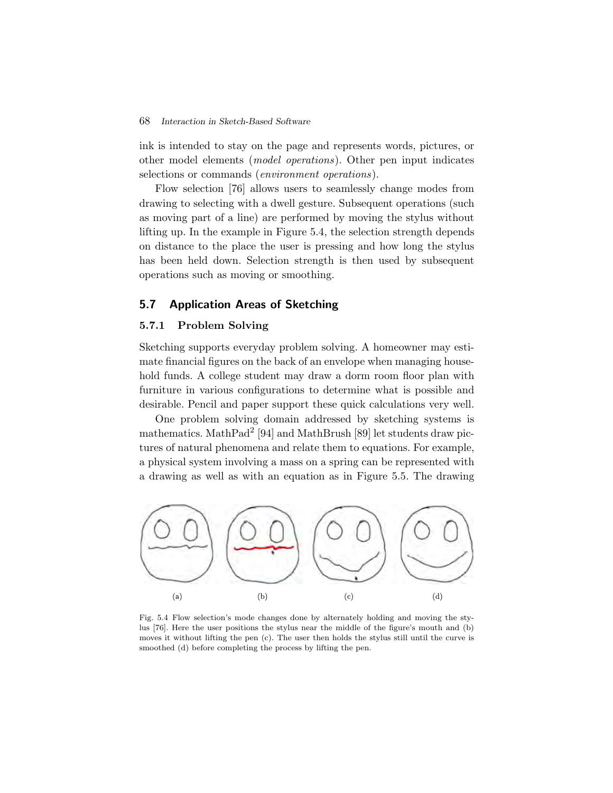#### 68 *Interaction in Sketch-Based Software*

ink is intended to stay on the page and represents words, pictures, or other model elements (*model operations*). Other pen input indicates selections or commands (*environment operations*).

Flow selection [76] allows users to seamlessly change modes from drawing to selecting with a dwell gesture. Subsequent operations (such as moving part of a line) are performed by moving the stylus without lifting up. In the example in Figure 5.4, the selection strength depends on distance to the place the user is pressing and how long the stylus has been held down. Selection strength is then used by subsequent operations such as moving or smoothing.

# **5.7 Application Areas of Sketching**

# **5.7.1 Problem Solving**

Sketching supports everyday problem solving. A homeowner may estimate financial figures on the back of an envelope when managing household funds. A college student may draw a dorm room floor plan with furniture in various configurations to determine what is possible and desirable. Pencil and paper support these quick calculations very well.

One problem solving domain addressed by sketching systems is mathematics. MathPad<sup>2</sup> [94] and MathBrush [89] let students draw pictures of natural phenomena and relate them to equations. For example, a physical system involving a mass on a spring can be represented with a drawing as well as with an equation as in Figure 5.5. The drawing



Fig. 5.4 Flow selection's mode changes done by alternately holding and moving the stylus [76]. Here the user positions the stylus near the middle of the figure's mouth and (b) moves it without lifting the pen (c). The user then holds the stylus still until the curve is smoothed (d) before completing the process by lifting the pen.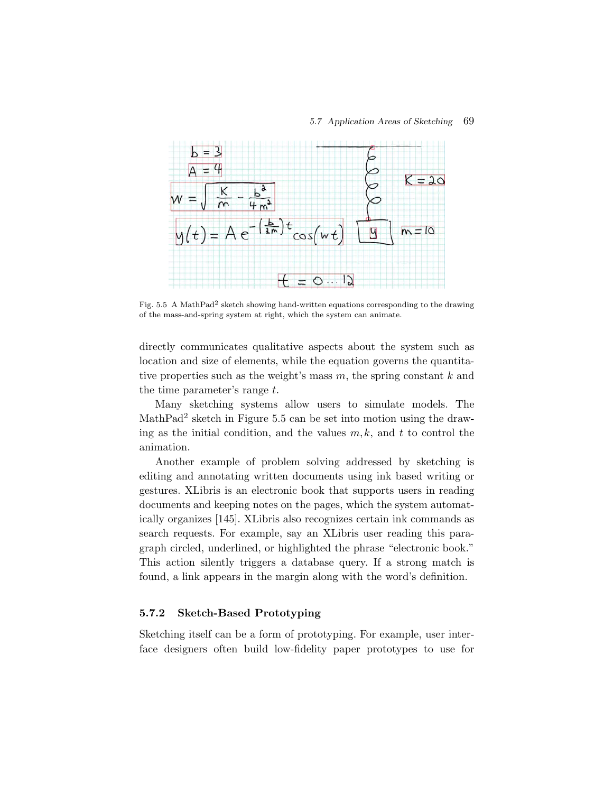

Fig. 5.5 A MathPad<sup>2</sup> sketch showing hand-written equations corresponding to the drawing of the mass-and-spring system at right, which the system can animate.

directly communicates qualitative aspects about the system such as location and size of elements, while the equation governs the quantitative properties such as the weight's mass  $m$ , the spring constant  $k$  and the time parameter's range  $t$ .

Many sketching systems allow users to simulate models. The MathPad<sup>2</sup> sketch in Figure 5.5 can be set into motion using the drawing as the initial condition, and the values  $m, k$ , and t to control the animation.

Another example of problem solving addressed by sketching is editing and annotating written documents using ink based writing or gestures. XLibris is an electronic book that supports users in reading documents and keeping notes on the pages, which the system automatically organizes [145]. XLibris also recognizes certain ink commands as search requests. For example, say an XLibris user reading this paragraph circled, underlined, or highlighted the phrase "electronic book." This action silently triggers a database query. If a strong match is found, a link appears in the margin along with the word's definition.

# **5.7.2 Sketch-Based Prototyping**

Sketching itself can be a form of prototyping. For example, user interface designers often build low-fidelity paper prototypes to use for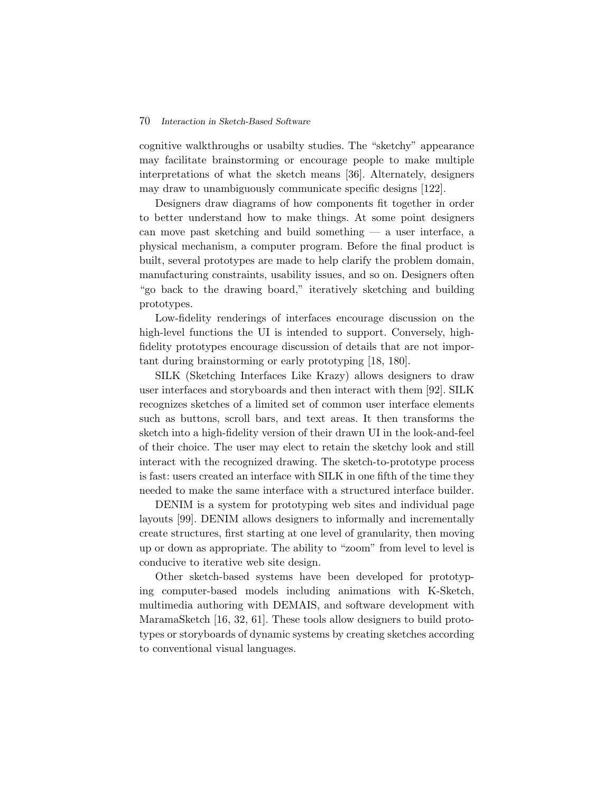### 70 *Interaction in Sketch-Based Software*

cognitive walkthroughs or usabilty studies. The "sketchy" appearance may facilitate brainstorming or encourage people to make multiple interpretations of what the sketch means [36]. Alternately, designers may draw to unambiguously communicate specific designs [122].

Designers draw diagrams of how components fit together in order to better understand how to make things. At some point designers can move past sketching and build something — a user interface, a physical mechanism, a computer program. Before the final product is built, several prototypes are made to help clarify the problem domain, manufacturing constraints, usability issues, and so on. Designers often "go back to the drawing board," iteratively sketching and building prototypes.

Low-fidelity renderings of interfaces encourage discussion on the high-level functions the UI is intended to support. Conversely, highfidelity prototypes encourage discussion of details that are not important during brainstorming or early prototyping [18, 180].

SILK (Sketching Interfaces Like Krazy) allows designers to draw user interfaces and storyboards and then interact with them [92]. SILK recognizes sketches of a limited set of common user interface elements such as buttons, scroll bars, and text areas. It then transforms the sketch into a high-fidelity version of their drawn UI in the look-and-feel of their choice. The user may elect to retain the sketchy look and still interact with the recognized drawing. The sketch-to-prototype process is fast: users created an interface with SILK in one fifth of the time they needed to make the same interface with a structured interface builder.

DENIM is a system for prototyping web sites and individual page layouts [99]. DENIM allows designers to informally and incrementally create structures, first starting at one level of granularity, then moving up or down as appropriate. The ability to "zoom" from level to level is conducive to iterative web site design.

Other sketch-based systems have been developed for prototyping computer-based models including animations with K-Sketch, multimedia authoring with DEMAIS, and software development with MaramaSketch [16, 32, 61]. These tools allow designers to build prototypes or storyboards of dynamic systems by creating sketches according to conventional visual languages.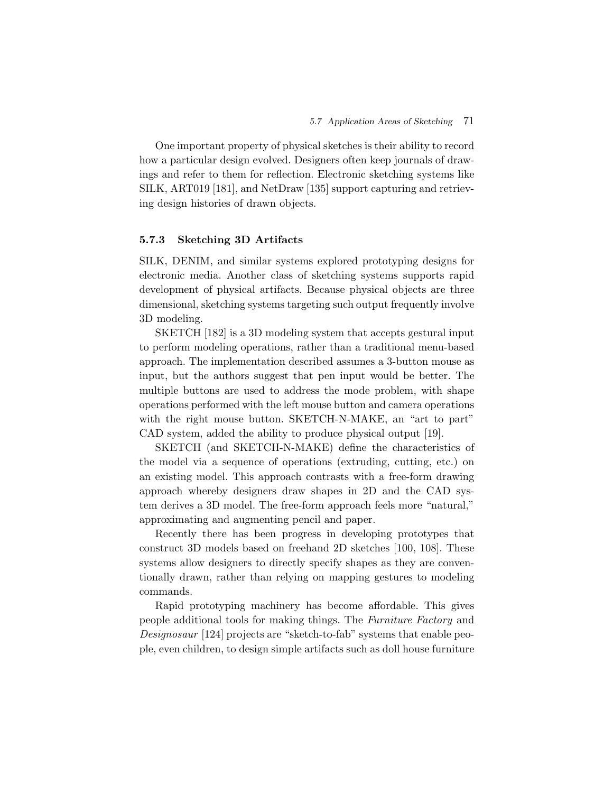One important property of physical sketches is their ability to record how a particular design evolved. Designers often keep journals of drawings and refer to them for reflection. Electronic sketching systems like SILK, ART019 [181], and NetDraw [135] support capturing and retrieving design histories of drawn objects.

# **5.7.3 Sketching 3D Artifacts**

SILK, DENIM, and similar systems explored prototyping designs for electronic media. Another class of sketching systems supports rapid development of physical artifacts. Because physical objects are three dimensional, sketching systems targeting such output frequently involve 3D modeling.

SKETCH [182] is a 3D modeling system that accepts gestural input to perform modeling operations, rather than a traditional menu-based approach. The implementation described assumes a 3-button mouse as input, but the authors suggest that pen input would be better. The multiple buttons are used to address the mode problem, with shape operations performed with the left mouse button and camera operations with the right mouse button. SKETCH-N-MAKE, an "art to part" CAD system, added the ability to produce physical output [19].

SKETCH (and SKETCH-N-MAKE) define the characteristics of the model via a sequence of operations (extruding, cutting, etc.) on an existing model. This approach contrasts with a free-form drawing approach whereby designers draw shapes in 2D and the CAD system derives a 3D model. The free-form approach feels more "natural," approximating and augmenting pencil and paper.

Recently there has been progress in developing prototypes that construct 3D models based on freehand 2D sketches [100, 108]. These systems allow designers to directly specify shapes as they are conventionally drawn, rather than relying on mapping gestures to modeling commands.

Rapid prototyping machinery has become affordable. This gives people additional tools for making things. The *Furniture Factory* and *Designosaur* [124] projects are "sketch-to-fab" systems that enable people, even children, to design simple artifacts such as doll house furniture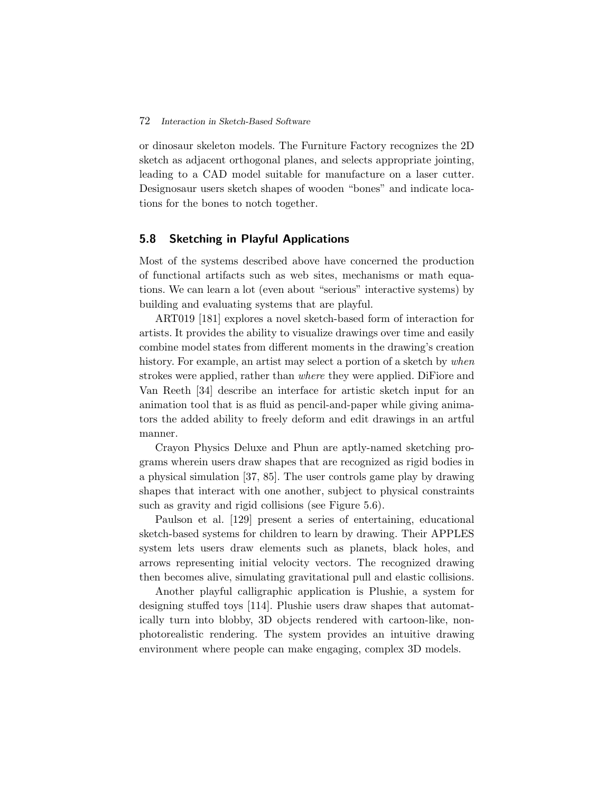# 72 *Interaction in Sketch-Based Software*

or dinosaur skeleton models. The Furniture Factory recognizes the 2D sketch as adjacent orthogonal planes, and selects appropriate jointing, leading to a CAD model suitable for manufacture on a laser cutter. Designosaur users sketch shapes of wooden "bones" and indicate locations for the bones to notch together.

# **5.8 Sketching in Playful Applications**

Most of the systems described above have concerned the production of functional artifacts such as web sites, mechanisms or math equations. We can learn a lot (even about "serious" interactive systems) by building and evaluating systems that are playful.

ART019 [181] explores a novel sketch-based form of interaction for artists. It provides the ability to visualize drawings over time and easily combine model states from different moments in the drawing's creation history. For example, an artist may select a portion of a sketch by *when* strokes were applied, rather than *where* they were applied. DiFiore and Van Reeth [34] describe an interface for artistic sketch input for an animation tool that is as fluid as pencil-and-paper while giving animators the added ability to freely deform and edit drawings in an artful manner.

Crayon Physics Deluxe and Phun are aptly-named sketching programs wherein users draw shapes that are recognized as rigid bodies in a physical simulation [37, 85]. The user controls game play by drawing shapes that interact with one another, subject to physical constraints such as gravity and rigid collisions (see Figure 5.6).

Paulson et al. [129] present a series of entertaining, educational sketch-based systems for children to learn by drawing. Their APPLES system lets users draw elements such as planets, black holes, and arrows representing initial velocity vectors. The recognized drawing then becomes alive, simulating gravitational pull and elastic collisions.

Another playful calligraphic application is Plushie, a system for designing stuffed toys [114]. Plushie users draw shapes that automatically turn into blobby, 3D objects rendered with cartoon-like, nonphotorealistic rendering. The system provides an intuitive drawing environment where people can make engaging, complex 3D models.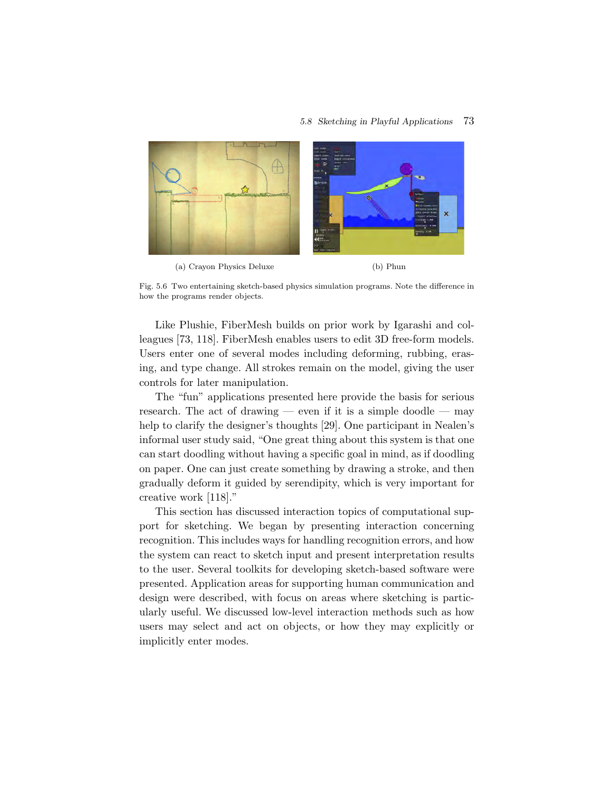#### *5.8 Sketching in Playful Applications* 73



Fig. 5.6 Two entertaining sketch-based physics simulation programs. Note the difference in how the programs render objects.

Like Plushie, FiberMesh builds on prior work by Igarashi and colleagues [73, 118]. FiberMesh enables users to edit 3D free-form models. Users enter one of several modes including deforming, rubbing, erasing, and type change. All strokes remain on the model, giving the user controls for later manipulation.

The "fun" applications presented here provide the basis for serious research. The act of drawing — even if it is a simple doodle — may help to clarify the designer's thoughts [29]. One participant in Nealen's informal user study said, "One great thing about this system is that one can start doodling without having a specific goal in mind, as if doodling on paper. One can just create something by drawing a stroke, and then gradually deform it guided by serendipity, which is very important for creative work [118]."

This section has discussed interaction topics of computational support for sketching. We began by presenting interaction concerning recognition. This includes ways for handling recognition errors, and how the system can react to sketch input and present interpretation results to the user. Several toolkits for developing sketch-based software were presented. Application areas for supporting human communication and design were described, with focus on areas where sketching is particularly useful. We discussed low-level interaction methods such as how users may select and act on objects, or how they may explicitly or implicitly enter modes.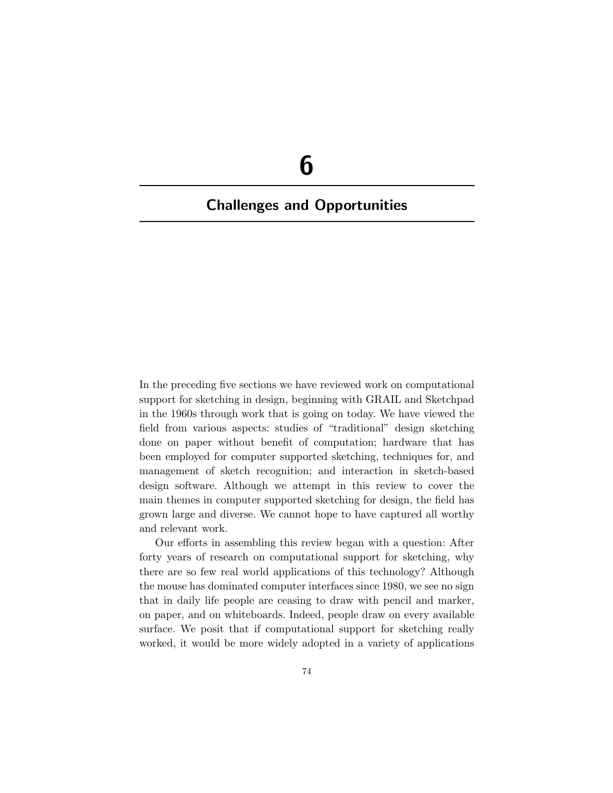# **6**

# **Challenges and Opportunities**

In the preceding five sections we have reviewed work on computational support for sketching in design, beginning with GRAIL and Sketchpad in the 1960s through work that is going on today. We have viewed the field from various aspects: studies of "traditional" design sketching done on paper without benefit of computation; hardware that has been employed for computer supported sketching, techniques for, and management of sketch recognition; and interaction in sketch-based design software. Although we attempt in this review to cover the main themes in computer supported sketching for design, the field has grown large and diverse. We cannot hope to have captured all worthy and relevant work.

Our efforts in assembling this review began with a question: After forty years of research on computational support for sketching, why there are so few real world applications of this technology? Although the mouse has dominated computer interfaces since 1980, we see no sign that in daily life people are ceasing to draw with pencil and marker, on paper, and on whiteboards. Indeed, people draw on every available surface. We posit that if computational support for sketching really worked, it would be more widely adopted in a variety of applications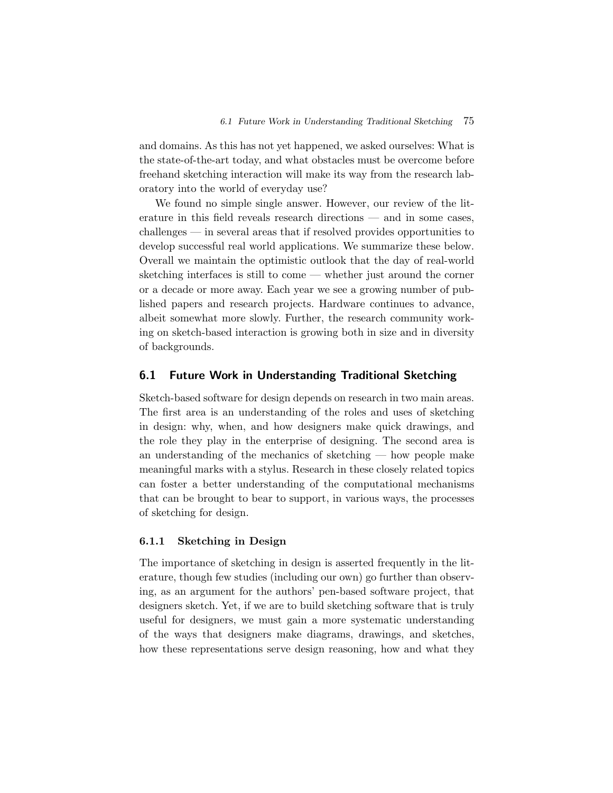and domains. As this has not yet happened, we asked ourselves: What is the state-of-the-art today, and what obstacles must be overcome before freehand sketching interaction will make its way from the research laboratory into the world of everyday use?

We found no simple single answer. However, our review of the literature in this field reveals research directions — and in some cases, challenges — in several areas that if resolved provides opportunities to develop successful real world applications. We summarize these below. Overall we maintain the optimistic outlook that the day of real-world sketching interfaces is still to come — whether just around the corner or a decade or more away. Each year we see a growing number of published papers and research projects. Hardware continues to advance, albeit somewhat more slowly. Further, the research community working on sketch-based interaction is growing both in size and in diversity of backgrounds.

## **6.1 Future Work in Understanding Traditional Sketching**

Sketch-based software for design depends on research in two main areas. The first area is an understanding of the roles and uses of sketching in design: why, when, and how designers make quick drawings, and the role they play in the enterprise of designing. The second area is an understanding of the mechanics of sketching — how people make meaningful marks with a stylus. Research in these closely related topics can foster a better understanding of the computational mechanisms that can be brought to bear to support, in various ways, the processes of sketching for design.

## **6.1.1 Sketching in Design**

The importance of sketching in design is asserted frequently in the literature, though few studies (including our own) go further than observing, as an argument for the authors' pen-based software project, that designers sketch. Yet, if we are to build sketching software that is truly useful for designers, we must gain a more systematic understanding of the ways that designers make diagrams, drawings, and sketches, how these representations serve design reasoning, how and what they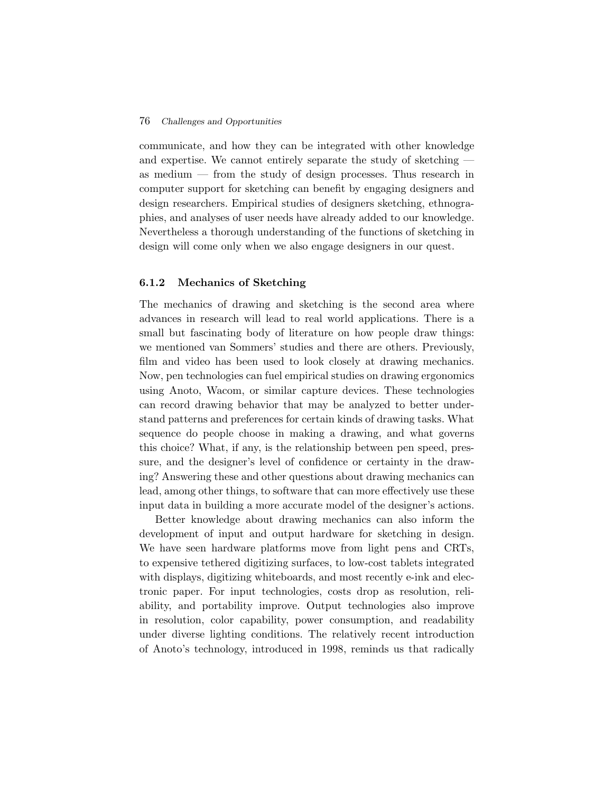#### 76 *Challenges and Opportunities*

communicate, and how they can be integrated with other knowledge and expertise. We cannot entirely separate the study of sketching as medium — from the study of design processes. Thus research in computer support for sketching can benefit by engaging designers and design researchers. Empirical studies of designers sketching, ethnographies, and analyses of user needs have already added to our knowledge. Nevertheless a thorough understanding of the functions of sketching in design will come only when we also engage designers in our quest.

#### **6.1.2 Mechanics of Sketching**

The mechanics of drawing and sketching is the second area where advances in research will lead to real world applications. There is a small but fascinating body of literature on how people draw things: we mentioned van Sommers' studies and there are others. Previously, film and video has been used to look closely at drawing mechanics. Now, pen technologies can fuel empirical studies on drawing ergonomics using Anoto, Wacom, or similar capture devices. These technologies can record drawing behavior that may be analyzed to better understand patterns and preferences for certain kinds of drawing tasks. What sequence do people choose in making a drawing, and what governs this choice? What, if any, is the relationship between pen speed, pressure, and the designer's level of confidence or certainty in the drawing? Answering these and other questions about drawing mechanics can lead, among other things, to software that can more effectively use these input data in building a more accurate model of the designer's actions.

Better knowledge about drawing mechanics can also inform the development of input and output hardware for sketching in design. We have seen hardware platforms move from light pens and CRTs, to expensive tethered digitizing surfaces, to low-cost tablets integrated with displays, digitizing whiteboards, and most recently e-ink and electronic paper. For input technologies, costs drop as resolution, reliability, and portability improve. Output technologies also improve in resolution, color capability, power consumption, and readability under diverse lighting conditions. The relatively recent introduction of Anoto's technology, introduced in 1998, reminds us that radically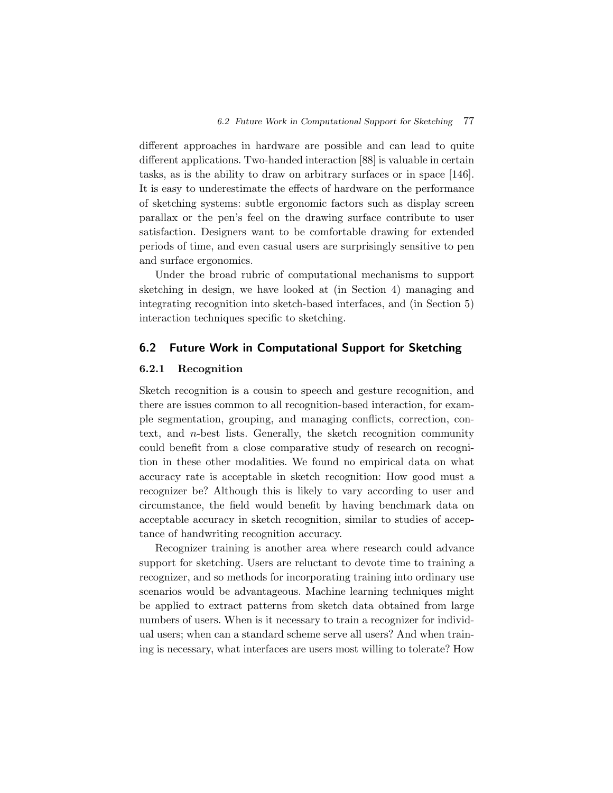different approaches in hardware are possible and can lead to quite different applications. Two-handed interaction [88] is valuable in certain tasks, as is the ability to draw on arbitrary surfaces or in space [146]. It is easy to underestimate the effects of hardware on the performance of sketching systems: subtle ergonomic factors such as display screen parallax or the pen's feel on the drawing surface contribute to user satisfaction. Designers want to be comfortable drawing for extended periods of time, and even casual users are surprisingly sensitive to pen and surface ergonomics.

Under the broad rubric of computational mechanisms to support sketching in design, we have looked at (in Section 4) managing and integrating recognition into sketch-based interfaces, and (in Section 5) interaction techniques specific to sketching.

# **6.2 Future Work in Computational Support for Sketching**

# **6.2.1 Recognition**

Sketch recognition is a cousin to speech and gesture recognition, and there are issues common to all recognition-based interaction, for example segmentation, grouping, and managing conflicts, correction, context, and n-best lists. Generally, the sketch recognition community could benefit from a close comparative study of research on recognition in these other modalities. We found no empirical data on what accuracy rate is acceptable in sketch recognition: How good must a recognizer be? Although this is likely to vary according to user and circumstance, the field would benefit by having benchmark data on acceptable accuracy in sketch recognition, similar to studies of acceptance of handwriting recognition accuracy.

Recognizer training is another area where research could advance support for sketching. Users are reluctant to devote time to training a recognizer, and so methods for incorporating training into ordinary use scenarios would be advantageous. Machine learning techniques might be applied to extract patterns from sketch data obtained from large numbers of users. When is it necessary to train a recognizer for individual users; when can a standard scheme serve all users? And when training is necessary, what interfaces are users most willing to tolerate? How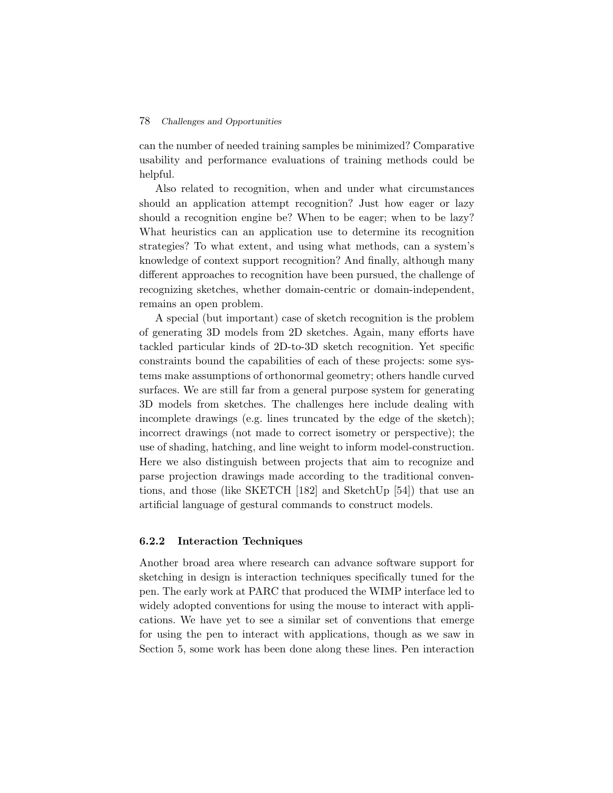#### 78 *Challenges and Opportunities*

can the number of needed training samples be minimized? Comparative usability and performance evaluations of training methods could be helpful.

Also related to recognition, when and under what circumstances should an application attempt recognition? Just how eager or lazy should a recognition engine be? When to be eager; when to be lazy? What heuristics can an application use to determine its recognition strategies? To what extent, and using what methods, can a system's knowledge of context support recognition? And finally, although many different approaches to recognition have been pursued, the challenge of recognizing sketches, whether domain-centric or domain-independent, remains an open problem.

A special (but important) case of sketch recognition is the problem of generating 3D models from 2D sketches. Again, many efforts have tackled particular kinds of 2D-to-3D sketch recognition. Yet specific constraints bound the capabilities of each of these projects: some systems make assumptions of orthonormal geometry; others handle curved surfaces. We are still far from a general purpose system for generating 3D models from sketches. The challenges here include dealing with incomplete drawings (e.g. lines truncated by the edge of the sketch); incorrect drawings (not made to correct isometry or perspective); the use of shading, hatching, and line weight to inform model-construction. Here we also distinguish between projects that aim to recognize and parse projection drawings made according to the traditional conventions, and those (like SKETCH [182] and SketchUp [54]) that use an artificial language of gestural commands to construct models.

#### **6.2.2 Interaction Techniques**

Another broad area where research can advance software support for sketching in design is interaction techniques specifically tuned for the pen. The early work at PARC that produced the WIMP interface led to widely adopted conventions for using the mouse to interact with applications. We have yet to see a similar set of conventions that emerge for using the pen to interact with applications, though as we saw in Section 5, some work has been done along these lines. Pen interaction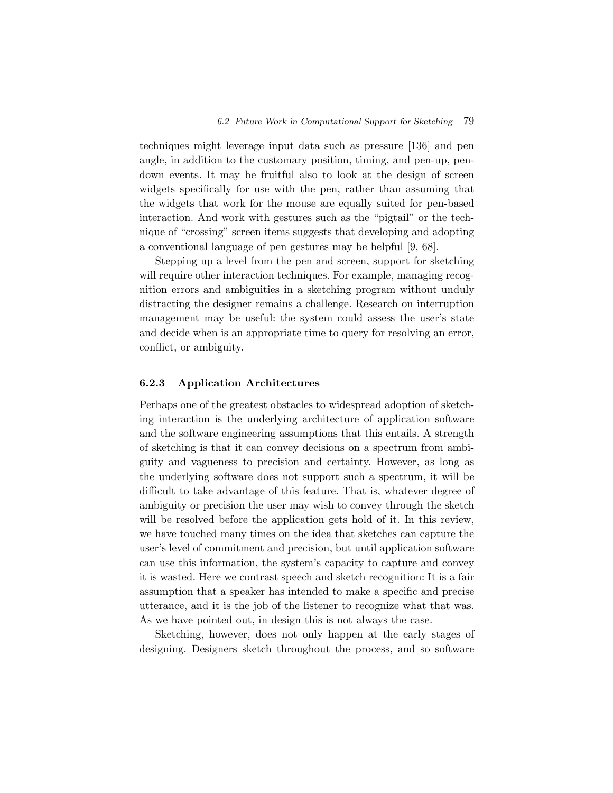techniques might leverage input data such as pressure [136] and pen angle, in addition to the customary position, timing, and pen-up, pendown events. It may be fruitful also to look at the design of screen widgets specifically for use with the pen, rather than assuming that the widgets that work for the mouse are equally suited for pen-based interaction. And work with gestures such as the "pigtail" or the technique of "crossing" screen items suggests that developing and adopting a conventional language of pen gestures may be helpful [9, 68].

Stepping up a level from the pen and screen, support for sketching will require other interaction techniques. For example, managing recognition errors and ambiguities in a sketching program without unduly distracting the designer remains a challenge. Research on interruption management may be useful: the system could assess the user's state and decide when is an appropriate time to query for resolving an error, conflict, or ambiguity.

#### **6.2.3 Application Architectures**

Perhaps one of the greatest obstacles to widespread adoption of sketching interaction is the underlying architecture of application software and the software engineering assumptions that this entails. A strength of sketching is that it can convey decisions on a spectrum from ambiguity and vagueness to precision and certainty. However, as long as the underlying software does not support such a spectrum, it will be difficult to take advantage of this feature. That is, whatever degree of ambiguity or precision the user may wish to convey through the sketch will be resolved before the application gets hold of it. In this review, we have touched many times on the idea that sketches can capture the user's level of commitment and precision, but until application software can use this information, the system's capacity to capture and convey it is wasted. Here we contrast speech and sketch recognition: It is a fair assumption that a speaker has intended to make a specific and precise utterance, and it is the job of the listener to recognize what that was. As we have pointed out, in design this is not always the case.

Sketching, however, does not only happen at the early stages of designing. Designers sketch throughout the process, and so software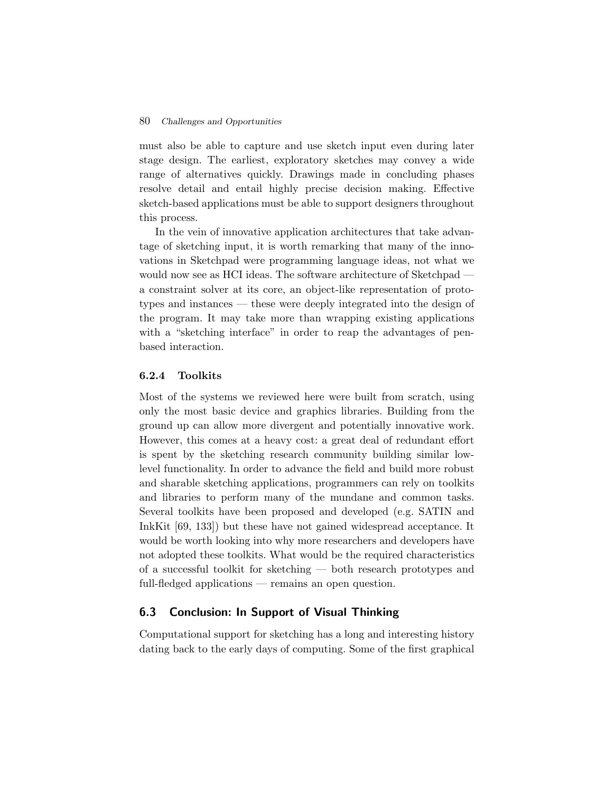#### 80 *Challenges and Opportunities*

must also be able to capture and use sketch input even during later stage design. The earliest, exploratory sketches may convey a wide range of alternatives quickly. Drawings made in concluding phases resolve detail and entail highly precise decision making. Effective sketch-based applications must be able to support designers throughout this process.

In the vein of innovative application architectures that take advantage of sketching input, it is worth remarking that many of the innovations in Sketchpad were programming language ideas, not what we would now see as HCI ideas. The software architecture of Sketchpad a constraint solver at its core, an object-like representation of prototypes and instances — these were deeply integrated into the design of the program. It may take more than wrapping existing applications with a "sketching interface" in order to reap the advantages of penbased interaction.

## **6.2.4 Toolkits**

Most of the systems we reviewed here were built from scratch, using only the most basic device and graphics libraries. Building from the ground up can allow more divergent and potentially innovative work. However, this comes at a heavy cost: a great deal of redundant effort is spent by the sketching research community building similar lowlevel functionality. In order to advance the field and build more robust and sharable sketching applications, programmers can rely on toolkits and libraries to perform many of the mundane and common tasks. Several toolkits have been proposed and developed (e.g. SATIN and InkKit [69, 133]) but these have not gained widespread acceptance. It would be worth looking into why more researchers and developers have not adopted these toolkits. What would be the required characteristics of a successful toolkit for sketching — both research prototypes and full-fledged applications — remains an open question.

# **6.3 Conclusion: In Support of Visual Thinking**

Computational support for sketching has a long and interesting history dating back to the early days of computing. Some of the first graphical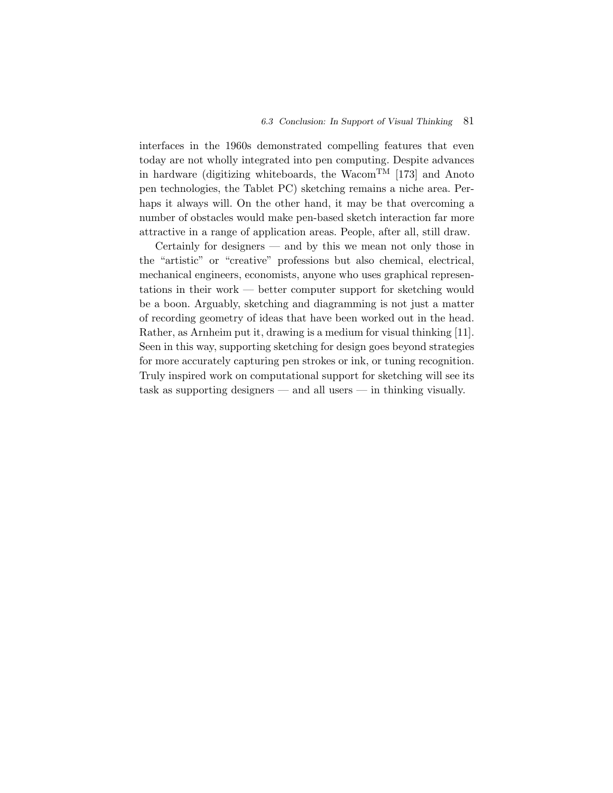interfaces in the 1960s demonstrated compelling features that even today are not wholly integrated into pen computing. Despite advances in hardware (digitizing whiteboards, the Wacom<sup>TM</sup> [173] and Anoto pen technologies, the Tablet PC) sketching remains a niche area. Perhaps it always will. On the other hand, it may be that overcoming a number of obstacles would make pen-based sketch interaction far more attractive in a range of application areas. People, after all, still draw.

Certainly for designers — and by this we mean not only those in the "artistic" or "creative" professions but also chemical, electrical, mechanical engineers, economists, anyone who uses graphical representations in their work — better computer support for sketching would be a boon. Arguably, sketching and diagramming is not just a matter of recording geometry of ideas that have been worked out in the head. Rather, as Arnheim put it, drawing is a medium for visual thinking [11]. Seen in this way, supporting sketching for design goes beyond strategies for more accurately capturing pen strokes or ink, or tuning recognition. Truly inspired work on computational support for sketching will see its task as supporting designers — and all users — in thinking visually.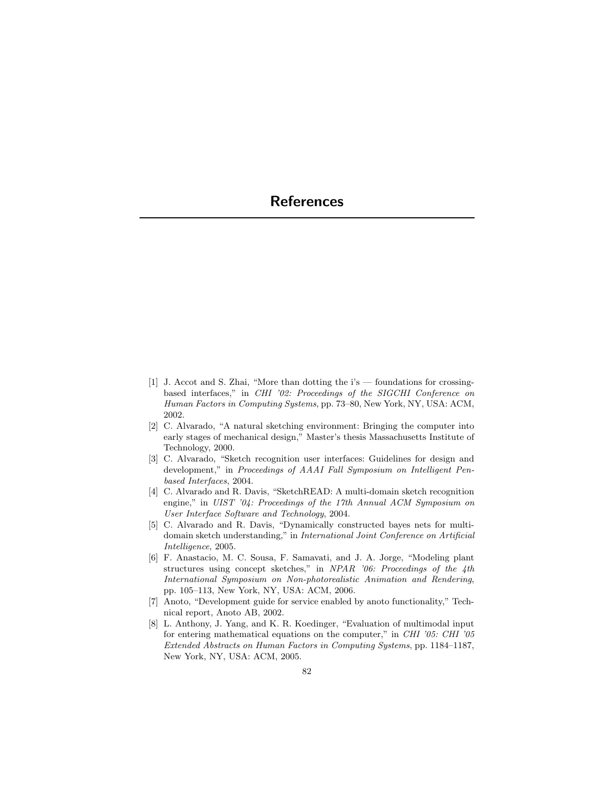- [1] J. Accot and S. Zhai, "More than dotting the i's foundations for crossingbased interfaces," in CHI '02: Proceedings of the SIGCHI Conference on Human Factors in Computing Systems, pp. 73–80, New York, NY, USA: ACM, 2002.
- [2] C. Alvarado, "A natural sketching environment: Bringing the computer into early stages of mechanical design," Master's thesis Massachusetts Institute of Technology, 2000.
- [3] C. Alvarado, "Sketch recognition user interfaces: Guidelines for design and development," in Proceedings of AAAI Fall Symposium on Intelligent Penbased Interfaces, 2004.
- [4] C. Alvarado and R. Davis, "SketchREAD: A multi-domain sketch recognition engine," in UIST '04: Proceedings of the 17th Annual ACM Symposium on User Interface Software and Technology, 2004.
- [5] C. Alvarado and R. Davis, "Dynamically constructed bayes nets for multidomain sketch understanding," in International Joint Conference on Artificial Intelligence, 2005.
- [6] F. Anastacio, M. C. Sousa, F. Samavati, and J. A. Jorge, "Modeling plant structures using concept sketches," in NPAR '06: Proceedings of the 4th International Symposium on Non-photorealistic Animation and Rendering, pp. 105–113, New York, NY, USA: ACM, 2006.
- [7] Anoto, "Development guide for service enabled by anoto functionality," Technical report, Anoto AB, 2002.
- [8] L. Anthony, J. Yang, and K. R. Koedinger, "Evaluation of multimodal input for entering mathematical equations on the computer," in CHI '05: CHI '05 Extended Abstracts on Human Factors in Computing Systems, pp. 1184–1187, New York, NY, USA: ACM, 2005.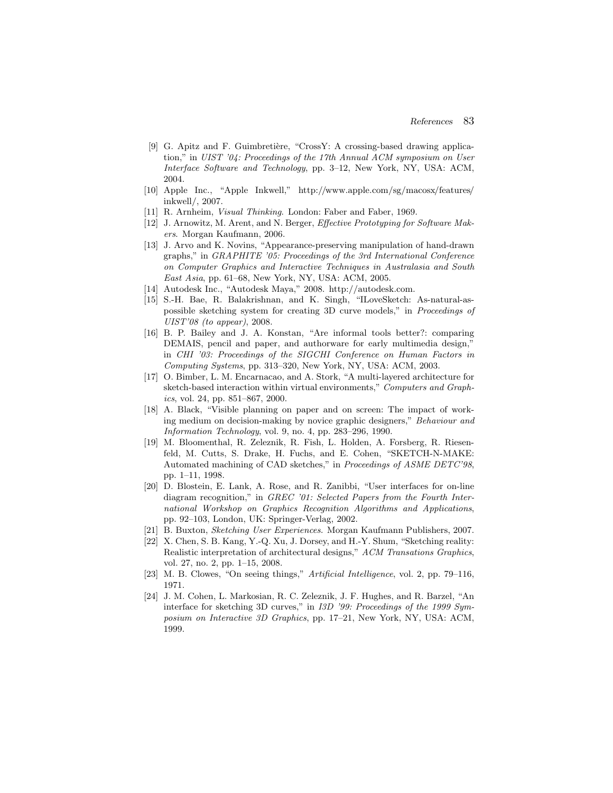- [9] G. Apitz and F. Guimbretière, "CrossY: A crossing-based drawing application," in UIST '04: Proceedings of the 17th Annual ACM symposium on User Interface Software and Technology, pp. 3–12, New York, NY, USA: ACM, 2004.
- [10] Apple Inc., "Apple Inkwell," http://www.apple.com/sg/macosx/features/ inkwell/, 2007.
- [11] R. Arnheim, *Visual Thinking*. London: Faber and Faber, 1969.
- [12] J. Arnowitz, M. Arent, and N. Berger, Effective Prototyping for Software Makers. Morgan Kaufmann, 2006.
- [13] J. Arvo and K. Novins, "Appearance-preserving manipulation of hand-drawn graphs," in GRAPHITE '05: Proceedings of the 3rd International Conference on Computer Graphics and Interactive Techniques in Australasia and South East Asia, pp. 61–68, New York, NY, USA: ACM, 2005.
- [14] Autodesk Inc., "Autodesk Maya," 2008. http://autodesk.com.
- [15] S.-H. Bae, R. Balakrishnan, and K. Singh, "ILoveSketch: As-natural-aspossible sketching system for creating 3D curve models," in Proceedings of UIST'08 (to appear), 2008.
- [16] B. P. Bailey and J. A. Konstan, "Are informal tools better?: comparing DEMAIS, pencil and paper, and authorware for early multimedia design," in CHI '03: Proceedings of the SIGCHI Conference on Human Factors in Computing Systems, pp. 313–320, New York, NY, USA: ACM, 2003.
- [17] O. Bimber, L. M. Encarnacao, and A. Stork, "A multi-layered architecture for sketch-based interaction within virtual environments," Computers and Graphics, vol. 24, pp. 851–867, 2000.
- [18] A. Black, "Visible planning on paper and on screen: The impact of working medium on decision-making by novice graphic designers," Behaviour and Information Technology, vol. 9, no. 4, pp. 283–296, 1990.
- [19] M. Bloomenthal, R. Zeleznik, R. Fish, L. Holden, A. Forsberg, R. Riesenfeld, M. Cutts, S. Drake, H. Fuchs, and E. Cohen, "SKETCH-N-MAKE: Automated machining of CAD sketches," in Proceedings of ASME DETC'98, pp. 1–11, 1998.
- [20] D. Blostein, E. Lank, A. Rose, and R. Zanibbi, "User interfaces for on-line diagram recognition," in GREC '01: Selected Papers from the Fourth International Workshop on Graphics Recognition Algorithms and Applications, pp. 92–103, London, UK: Springer-Verlag, 2002.
- [21] B. Buxton, Sketching User Experiences. Morgan Kaufmann Publishers, 2007.
- [22] X. Chen, S. B. Kang, Y.-Q. Xu, J. Dorsey, and H.-Y. Shum, "Sketching reality: Realistic interpretation of architectural designs," ACM Transations Graphics, vol. 27, no. 2, pp. 1–15, 2008.
- [23] M. B. Clowes, "On seeing things," Artificial Intelligence, vol. 2, pp. 79–116, 1971.
- [24] J. M. Cohen, L. Markosian, R. C. Zeleznik, J. F. Hughes, and R. Barzel, "An interface for sketching 3D curves," in I3D '99: Proceedings of the 1999 Symposium on Interactive 3D Graphics, pp. 17–21, New York, NY, USA: ACM, 1999.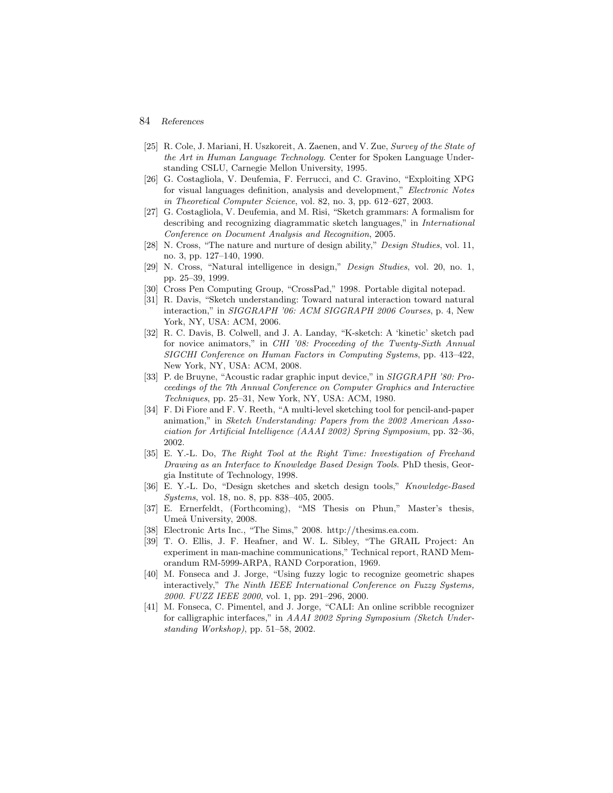- [25] R. Cole, J. Mariani, H. Uszkoreit, A. Zaenen, and V. Zue, Survey of the State of the Art in Human Language Technology. Center for Spoken Language Understanding CSLU, Carnegie Mellon University, 1995.
- [26] G. Costagliola, V. Deufemia, F. Ferrucci, and C. Gravino, "Exploiting XPG for visual languages definition, analysis and development," Electronic Notes in Theoretical Computer Science, vol. 82, no. 3, pp. 612–627, 2003.
- [27] G. Costagliola, V. Deufemia, and M. Risi, "Sketch grammars: A formalism for describing and recognizing diagrammatic sketch languages," in International Conference on Document Analysis and Recognition, 2005.
- [28] N. Cross, "The nature and nurture of design ability," Design Studies, vol. 11, no. 3, pp. 127–140, 1990.
- [29] N. Cross, "Natural intelligence in design," Design Studies, vol. 20, no. 1, pp. 25–39, 1999.
- [30] Cross Pen Computing Group, "CrossPad," 1998. Portable digital notepad.
- [31] R. Davis, "Sketch understanding: Toward natural interaction toward natural interaction," in SIGGRAPH '06: ACM SIGGRAPH 2006 Courses, p. 4, New York, NY, USA: ACM, 2006.
- [32] R. C. Davis, B. Colwell, and J. A. Landay, "K-sketch: A 'kinetic' sketch pad for novice animators," in CHI '08: Proceeding of the Twenty-Sixth Annual SIGCHI Conference on Human Factors in Computing Systems, pp. 413–422, New York, NY, USA: ACM, 2008.
- [33] P. de Bruyne, "Acoustic radar graphic input device," in SIGGRAPH '80: Proceedings of the 7th Annual Conference on Computer Graphics and Interactive Techniques, pp. 25–31, New York, NY, USA: ACM, 1980.
- [34] F. Di Fiore and F. V. Reeth, "A multi-level sketching tool for pencil-and-paper animation," in Sketch Understanding: Papers from the 2002 American Association for Artificial Intelligence (AAAI 2002) Spring Symposium, pp. 32–36, 2002.
- [35] E. Y.-L. Do, The Right Tool at the Right Time: Investigation of Freehand Drawing as an Interface to Knowledge Based Design Tools. PhD thesis, Georgia Institute of Technology, 1998.
- [36] E. Y.-L. Do, "Design sketches and sketch design tools," Knowledge-Based Systems, vol. 18, no. 8, pp. 838–405, 2005.
- [37] E. Ernerfeldt, (Forthcoming), "MS Thesis on Phun," Master's thesis, Umeå University, 2008.
- [38] Electronic Arts Inc., "The Sims," 2008. http://thesims.ea.com.
- [39] T. O. Ellis, J. F. Heafner, and W. L. Sibley, "The GRAIL Project: An experiment in man-machine communications," Technical report, RAND Memorandum RM-5999-ARPA, RAND Corporation, 1969.
- [40] M. Fonseca and J. Jorge, "Using fuzzy logic to recognize geometric shapes interactively," The Ninth IEEE International Conference on Fuzzy Systems, 2000. FUZZ IEEE 2000, vol. 1, pp. 291–296, 2000.
- [41] M. Fonseca, C. Pimentel, and J. Jorge, "CALI: An online scribble recognizer for calligraphic interfaces," in AAAI 2002 Spring Symposium (Sketch Understanding Workshop), pp. 51–58, 2002.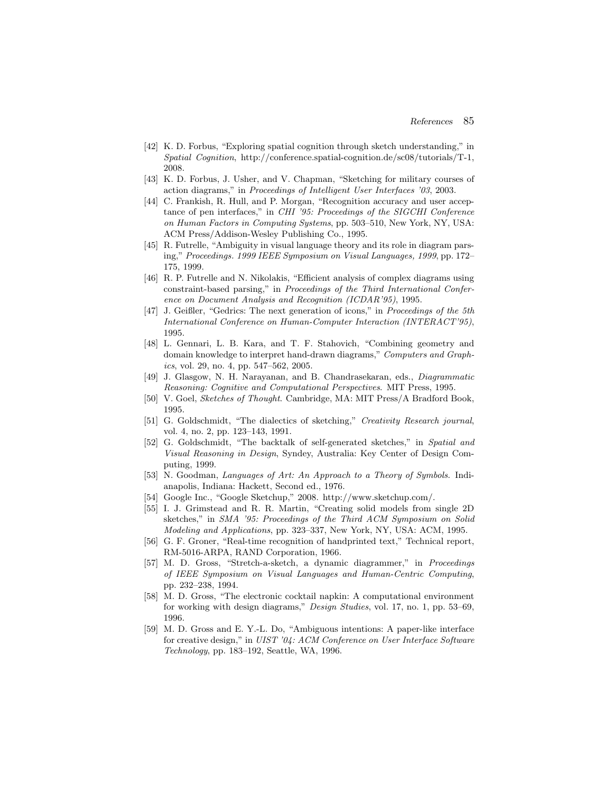- [42] K. D. Forbus, "Exploring spatial cognition through sketch understanding," in Spatial Cognition, http://conference.spatial-cognition.de/sc08/tutorials/T-1, 2008.
- [43] K. D. Forbus, J. Usher, and V. Chapman, "Sketching for military courses of action diagrams," in Proceedings of Intelligent User Interfaces '03, 2003.
- [44] C. Frankish, R. Hull, and P. Morgan, "Recognition accuracy and user acceptance of pen interfaces," in CHI '95: Proceedings of the SIGCHI Conference on Human Factors in Computing Systems, pp. 503–510, New York, NY, USA: ACM Press/Addison-Wesley Publishing Co., 1995.
- [45] R. Futrelle, "Ambiguity in visual language theory and its role in diagram parsing," Proceedings. 1999 IEEE Symposium on Visual Languages, 1999, pp. 172– 175, 1999.
- [46] R. P. Futrelle and N. Nikolakis, "Efficient analysis of complex diagrams using constraint-based parsing," in Proceedings of the Third International Conference on Document Analysis and Recognition (ICDAR'95), 1995.
- [47] J. Geißler, "Gedrics: The next generation of icons," in Proceedings of the 5th International Conference on Human-Computer Interaction (INTERACT'95), 1995.
- [48] L. Gennari, L. B. Kara, and T. F. Stahovich, "Combining geometry and domain knowledge to interpret hand-drawn diagrams," Computers and Graphics, vol. 29, no. 4, pp. 547–562, 2005.
- [49] J. Glasgow, N. H. Narayanan, and B. Chandrasekaran, eds., Diagrammatic Reasoning: Cognitive and Computational Perspectives. MIT Press, 1995.
- [50] V. Goel, Sketches of Thought. Cambridge, MA: MIT Press/A Bradford Book, 1995.
- [51] G. Goldschmidt, "The dialectics of sketching," Creativity Research journal, vol. 4, no. 2, pp. 123–143, 1991.
- [52] G. Goldschmidt, "The backtalk of self-generated sketches," in Spatial and Visual Reasoning in Design, Syndey, Australia: Key Center of Design Computing, 1999.
- [53] N. Goodman, Languages of Art: An Approach to a Theory of Symbols. Indianapolis, Indiana: Hackett, Second ed., 1976.
- [54] Google Inc., "Google Sketchup," 2008. http://www.sketchup.com/.
- [55] I. J. Grimstead and R. R. Martin, "Creating solid models from single 2D sketches," in SMA '95: Proceedings of the Third ACM Symposium on Solid Modeling and Applications, pp. 323–337, New York, NY, USA: ACM, 1995.
- [56] G. F. Groner, "Real-time recognition of handprinted text," Technical report, RM-5016-ARPA, RAND Corporation, 1966.
- [57] M. D. Gross, "Stretch-a-sketch, a dynamic diagrammer," in Proceedings of IEEE Symposium on Visual Languages and Human-Centric Computing, pp. 232–238, 1994.
- [58] M. D. Gross, "The electronic cocktail napkin: A computational environment for working with design diagrams," Design Studies, vol. 17, no. 1, pp. 53–69, 1996.
- [59] M. D. Gross and E. Y.-L. Do, "Ambiguous intentions: A paper-like interface for creative design," in UIST '04: ACM Conference on User Interface Software Technology, pp. 183–192, Seattle, WA, 1996.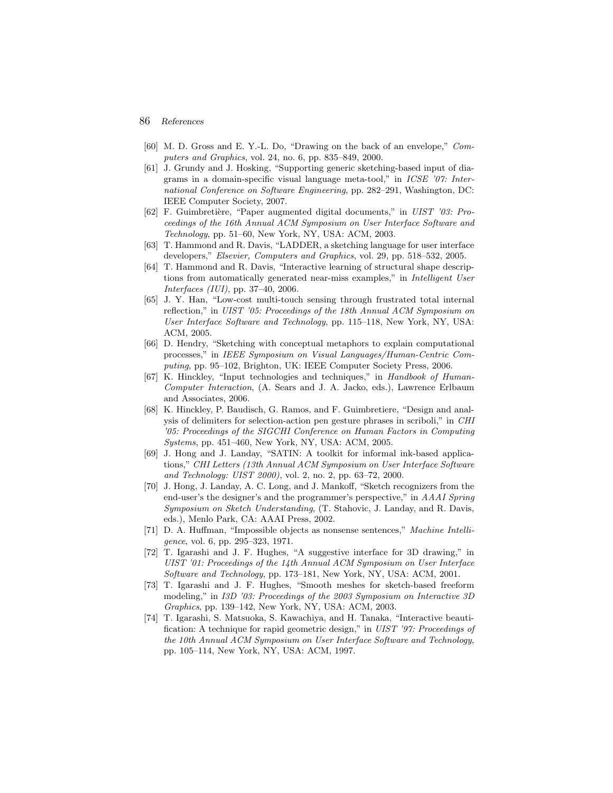- [60] M. D. Gross and E. Y.-L. Do, "Drawing on the back of an envelope," Computers and Graphics, vol. 24, no. 6, pp. 835–849, 2000.
- [61] J. Grundy and J. Hosking, "Supporting generic sketching-based input of diagrams in a domain-specific visual language meta-tool," in  $ICSE$  '07: International Conference on Software Engineering, pp. 282–291, Washington, DC: IEEE Computer Society, 2007.
- [62] F. Guimbretière, "Paper augmented digital documents," in  $UIST$  '03: Proceedings of the 16th Annual ACM Symposium on User Interface Software and Technology, pp. 51–60, New York, NY, USA: ACM, 2003.
- [63] T. Hammond and R. Davis, "LADDER, a sketching language for user interface developers," Elsevier, Computers and Graphics, vol. 29, pp. 518–532, 2005.
- [64] T. Hammond and R. Davis, "Interactive learning of structural shape descriptions from automatically generated near-miss examples," in Intelligent User Interfaces (IUI), pp. 37–40, 2006.
- [65] J. Y. Han, "Low-cost multi-touch sensing through frustrated total internal reflection," in UIST '05: Proceedings of the 18th Annual ACM Symposium on User Interface Software and Technology, pp. 115–118, New York, NY, USA: ACM, 2005.
- [66] D. Hendry, "Sketching with conceptual metaphors to explain computational processes," in IEEE Symposium on Visual Languages/Human-Centric Computing, pp. 95–102, Brighton, UK: IEEE Computer Society Press, 2006.
- [67] K. Hinckley, "Input technologies and techniques," in Handbook of Human-Computer Interaction, (A. Sears and J. A. Jacko, eds.), Lawrence Erlbaum and Associates, 2006.
- [68] K. Hinckley, P. Baudisch, G. Ramos, and F. Guimbretiere, "Design and analysis of delimiters for selection-action pen gesture phrases in scriboli," in CHI '05: Proceedings of the SIGCHI Conference on Human Factors in Computing Systems, pp. 451–460, New York, NY, USA: ACM, 2005.
- [69] J. Hong and J. Landay, "SATIN: A toolkit for informal ink-based applications," CHI Letters (13th Annual ACM Symposium on User Interface Software and Technology: UIST 2000), vol. 2, no. 2, pp. 63–72, 2000.
- [70] J. Hong, J. Landay, A. C. Long, and J. Mankoff, "Sketch recognizers from the end-user's the designer's and the programmer's perspective," in AAAI Spring Symposium on Sketch Understanding, (T. Stahovic, J. Landay, and R. Davis, eds.), Menlo Park, CA: AAAI Press, 2002.
- [71] D. A. Huffman, "Impossible objects as nonsense sentences," Machine Intelligence, vol. 6, pp. 295–323, 1971.
- [72] T. Igarashi and J. F. Hughes, "A suggestive interface for 3D drawing," in UIST '01: Proceedings of the 14th Annual ACM Symposium on User Interface Software and Technology, pp. 173–181, New York, NY, USA: ACM, 2001.
- [73] T. Igarashi and J. F. Hughes, "Smooth meshes for sketch-based freeform modeling," in I3D '03: Proceedings of the 2003 Symposium on Interactive 3D Graphics, pp. 139–142, New York, NY, USA: ACM, 2003.
- [74] T. Igarashi, S. Matsuoka, S. Kawachiya, and H. Tanaka, "Interactive beautification: A technique for rapid geometric design," in UIST '97: Proceedings of the 10th Annual ACM Symposium on User Interface Software and Technology, pp. 105–114, New York, NY, USA: ACM, 1997.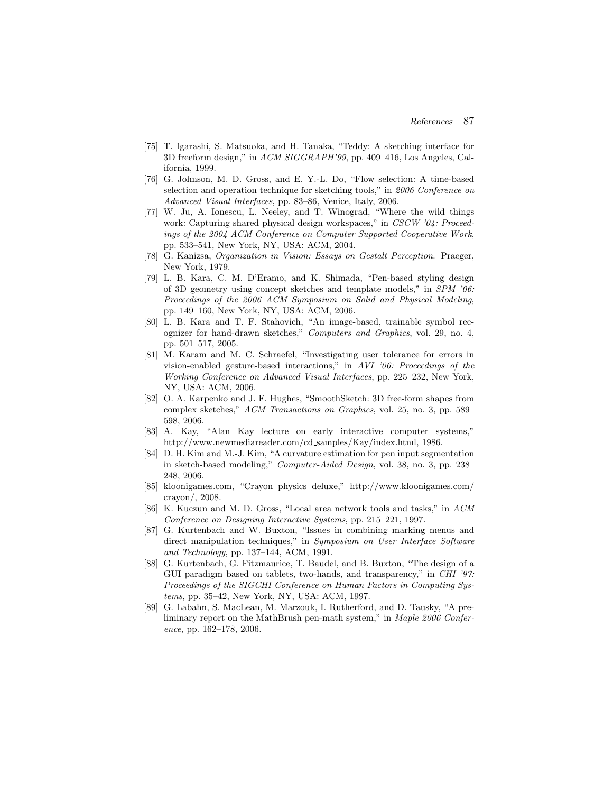- [75] T. Igarashi, S. Matsuoka, and H. Tanaka, "Teddy: A sketching interface for 3D freeform design," in ACM SIGGRAPH'99, pp. 409–416, Los Angeles, California, 1999.
- [76] G. Johnson, M. D. Gross, and E. Y.-L. Do, "Flow selection: A time-based selection and operation technique for sketching tools," in 2006 Conference on Advanced Visual Interfaces, pp. 83–86, Venice, Italy, 2006.
- [77] W. Ju, A. Ionescu, L. Neeley, and T. Winograd, "Where the wild things work: Capturing shared physical design workspaces," in CSCW '04: Proceedings of the 2004 ACM Conference on Computer Supported Cooperative Work, pp. 533–541, New York, NY, USA: ACM, 2004.
- [78] G. Kanizsa, Organization in Vision: Essays on Gestalt Perception. Praeger, New York, 1979.
- [79] L. B. Kara, C. M. D'Eramo, and K. Shimada, "Pen-based styling design of 3D geometry using concept sketches and template models," in SPM '06: Proceedings of the 2006 ACM Symposium on Solid and Physical Modeling, pp. 149–160, New York, NY, USA: ACM, 2006.
- [80] L. B. Kara and T. F. Stahovich, "An image-based, trainable symbol recognizer for hand-drawn sketches," Computers and Graphics, vol. 29, no. 4, pp. 501–517, 2005.
- [81] M. Karam and M. C. Schraefel, "Investigating user tolerance for errors in vision-enabled gesture-based interactions," in AVI '06: Proceedings of the Working Conference on Advanced Visual Interfaces, pp. 225–232, New York, NY, USA: ACM, 2006.
- [82] O. A. Karpenko and J. F. Hughes, "SmoothSketch: 3D free-form shapes from complex sketches," ACM Transactions on Graphics, vol. 25, no. 3, pp. 589– 598, 2006.
- [83] A. Kay, "Alan Kay lecture on early interactive computer systems," http://www.newmediareader.com/cd samples/Kay/index.html, 1986.
- [84] D. H. Kim and M.-J. Kim, "A curvature estimation for pen input segmentation in sketch-based modeling," Computer-Aided Design, vol. 38, no. 3, pp. 238– 248, 2006.
- [85] kloonigames.com, "Crayon physics deluxe," http://www.kloonigames.com/ crayon/, 2008.
- [86] K. Kuczun and M. D. Gross, "Local area network tools and tasks," in ACM Conference on Designing Interactive Systems, pp. 215–221, 1997.
- [87] G. Kurtenbach and W. Buxton, "Issues in combining marking menus and direct manipulation techniques," in Symposium on User Interface Software and Technology, pp. 137–144, ACM, 1991.
- [88] G. Kurtenbach, G. Fitzmaurice, T. Baudel, and B. Buxton, "The design of a GUI paradigm based on tablets, two-hands, and transparency," in CHI '97: Proceedings of the SIGCHI Conference on Human Factors in Computing Systems, pp. 35–42, New York, NY, USA: ACM, 1997.
- [89] G. Labahn, S. MacLean, M. Marzouk, I. Rutherford, and D. Tausky, "A preliminary report on the MathBrush pen-math system," in Maple 2006 Conference, pp. 162–178, 2006.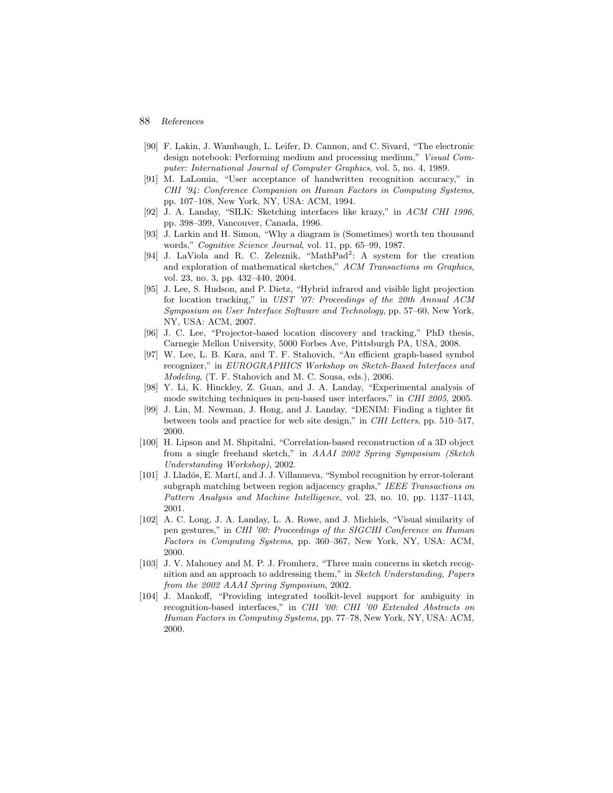- [90] F. Lakin, J. Wambaugh, L. Leifer, D. Cannon, and C. Sivard, "The electronic design notebook: Performing medium and processing medium," Visual Computer: International Journal of Computer Graphics, vol. 5, no. 4, 1989.
- [91] M. LaLomia, "User acceptance of handwritten recognition accuracy," in CHI '94: Conference Companion on Human Factors in Computing Systems, pp. 107–108, New York, NY, USA: ACM, 1994.
- [92] J. A. Landay, "SILK: Sketching interfaces like krazy," in ACM CHI 1996, pp. 398–399, Vancouver, Canada, 1996.
- [93] J. Larkin and H. Simon, "Why a diagram is (Sometimes) worth ten thousand words," Cognitive Science Journal, vol. 11, pp. 65–99, 1987.
- [94] J. LaViola and R. C. Zeleznik, "MathPad<sup>2</sup>: A system for the creation and exploration of mathematical sketches," ACM Transactions on Graphics, vol. 23, no. 3, pp. 432–440, 2004.
- [95] J. Lee, S. Hudson, and P. Dietz, "Hybrid infrared and visible light projection for location tracking," in UIST '07: Proceedings of the 20th Annual ACM Symposium on User Interface Software and Technology, pp. 57–60, New York, NY, USA: ACM, 2007.
- [96] J. C. Lee, "Projector-based location discovery and tracking," PhD thesis, Carnegie Mellon University, 5000 Forbes Ave, Pittsburgh PA, USA, 2008.
- [97] W. Lee, L. B. Kara, and T. F. Stahovich, "An efficient graph-based symbol recognizer," in EUROGRAPHICS Workshop on Sketch-Based Interfaces and Modeling, (T. F. Stahovich and M. C. Sousa, eds.), 2006.
- [98] Y. Li, K. Hinckley, Z. Guan, and J. A. Landay, "Experimental analysis of mode switching techniques in pen-based user interfaces," in CHI 2005, 2005.
- [99] J. Lin, M. Newman, J. Hong, and J. Landay, "DENIM: Finding a tighter fit between tools and practice for web site design," in CHI Letters, pp. 510–517, 2000.
- [100] H. Lipson and M. Shpitalni, "Correlation-based reconstruction of a 3D object from a single freehand sketch," in AAAI 2002 Spring Symposium (Sketch Understanding Workshop), 2002.
- [101] J. Lladós, E. Martí, and J. J. Villanueva, "Symbol recognition by error-tolerant subgraph matching between region adjacency graphs," IEEE Transactions on Pattern Analysis and Machine Intelligence, vol. 23, no. 10, pp. 1137–1143, 2001.
- [102] A. C. Long, J. A. Landay, L. A. Rowe, and J. Michiels, "Visual similarity of pen gestures," in CHI '00: Proceedings of the SIGCHI Conference on Human Factors in Computing Systems, pp. 360–367, New York, NY, USA: ACM, 2000.
- [103] J. V. Mahoney and M. P. J. Fromherz, "Three main concerns in sketch recognition and an approach to addressing them," in Sketch Understanding, Papers from the 2002 AAAI Spring Symposium, 2002.
- [104] J. Mankoff, "Providing integrated toolkit-level support for ambiguity in recognition-based interfaces," in CHI '00: CHI '00 Extended Abstracts on Human Factors in Computing Systems, pp. 77–78, New York, NY, USA: ACM, 2000.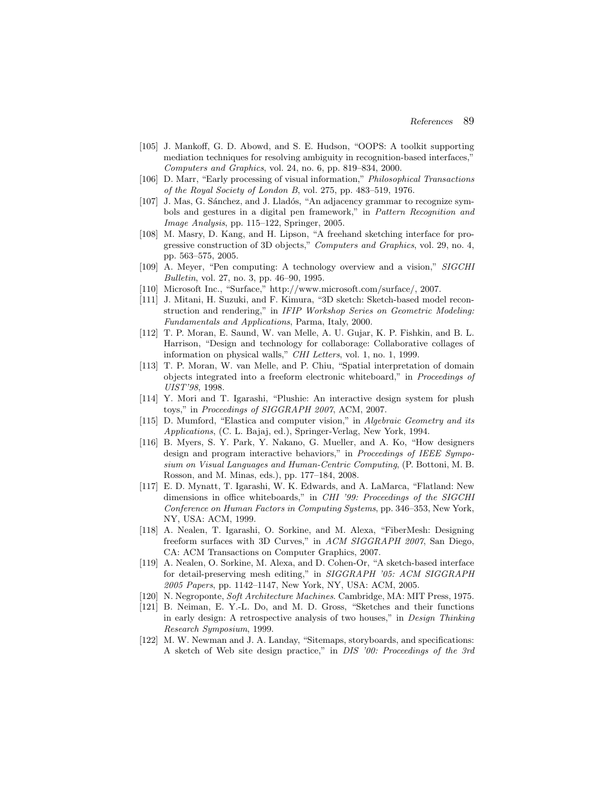- [105] J. Mankoff, G. D. Abowd, and S. E. Hudson, "OOPS: A toolkit supporting mediation techniques for resolving ambiguity in recognition-based interfaces, Computers and Graphics, vol. 24, no. 6, pp. 819–834, 2000.
- [106] D. Marr, "Early processing of visual information," Philosophical Transactions of the Royal Society of London B, vol. 275, pp. 483–519, 1976.
- [107] J. Mas, G. Sánchez, and J. Lladós, "An adjacency grammar to recognize symbols and gestures in a digital pen framework," in Pattern Recognition and Image Analysis, pp. 115–122, Springer, 2005.
- [108] M. Masry, D. Kang, and H. Lipson, "A freehand sketching interface for progressive construction of 3D objects," Computers and Graphics, vol. 29, no. 4, pp. 563–575, 2005.
- [109] A. Meyer, "Pen computing: A technology overview and a vision," SIGCHI Bulletin, vol. 27, no. 3, pp. 46–90, 1995.
- [110] Microsoft Inc., "Surface," http://www.microsoft.com/surface/, 2007.
- [111] J. Mitani, H. Suzuki, and F. Kimura, "3D sketch: Sketch-based model reconstruction and rendering," in IFIP Workshop Series on Geometric Modeling: Fundamentals and Applications, Parma, Italy, 2000.
- [112] T. P. Moran, E. Saund, W. van Melle, A. U. Gujar, K. P. Fishkin, and B. L. Harrison, "Design and technology for collaborage: Collaborative collages of information on physical walls," CHI Letters, vol. 1, no. 1, 1999.
- [113] T. P. Moran, W. van Melle, and P. Chiu, "Spatial interpretation of domain objects integrated into a freeform electronic whiteboard," in Proceedings of UIST'98, 1998.
- [114] Y. Mori and T. Igarashi, "Plushie: An interactive design system for plush toys," in Proceedings of SIGGRAPH 2007, ACM, 2007.
- [115] D. Mumford, "Elastica and computer vision," in Algebraic Geometry and its Applications, (C. L. Bajaj, ed.), Springer-Verlag, New York, 1994.
- [116] B. Myers, S. Y. Park, Y. Nakano, G. Mueller, and A. Ko, "How designers design and program interactive behaviors," in *Proceedings of IEEE Sympo*sium on Visual Languages and Human-Centric Computing, (P. Bottoni, M. B. Rosson, and M. Minas, eds.), pp. 177–184, 2008.
- [117] E. D. Mynatt, T. Igarashi, W. K. Edwards, and A. LaMarca, "Flatland: New dimensions in office whiteboards," in CHI '99: Proceedings of the SIGCHI Conference on Human Factors in Computing Systems, pp. 346–353, New York, NY, USA: ACM, 1999.
- [118] A. Nealen, T. Igarashi, O. Sorkine, and M. Alexa, "FiberMesh: Designing freeform surfaces with 3D Curves," in ACM SIGGRAPH 2007, San Diego, CA: ACM Transactions on Computer Graphics, 2007.
- [119] A. Nealen, O. Sorkine, M. Alexa, and D. Cohen-Or, "A sketch-based interface for detail-preserving mesh editing," in SIGGRAPH '05: ACM SIGGRAPH 2005 Papers, pp. 1142–1147, New York, NY, USA: ACM, 2005.
- [120] N. Negroponte, Soft Architecture Machines. Cambridge, MA: MIT Press, 1975.
- [121] B. Neiman, E. Y.-L. Do, and M. D. Gross, "Sketches and their functions in early design: A retrospective analysis of two houses," in Design Thinking Research Symposium, 1999.
- [122] M. W. Newman and J. A. Landay, "Sitemaps, storyboards, and specifications: A sketch of Web site design practice," in DIS '00: Proceedings of the 3rd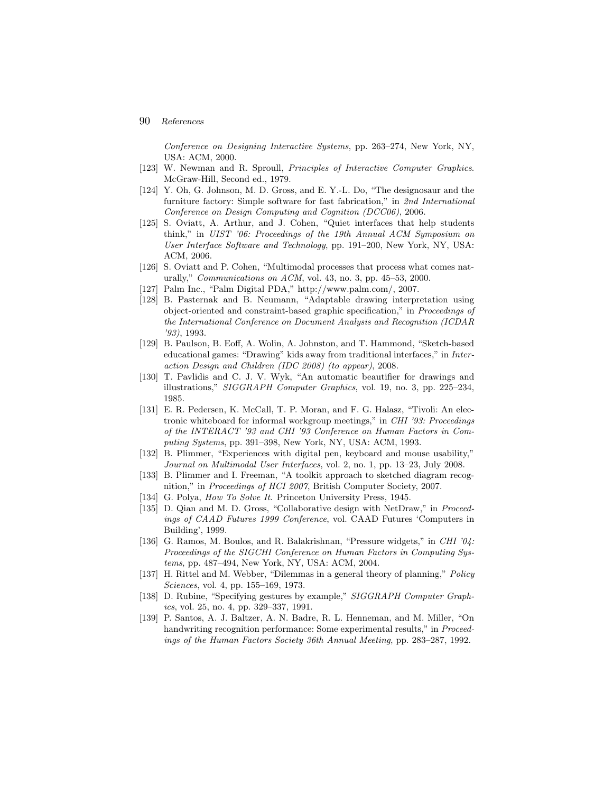Conference on Designing Interactive Systems, pp. 263–274, New York, NY, USA: ACM, 2000.

- [123] W. Newman and R. Sproull, Principles of Interactive Computer Graphics. McGraw-Hill, Second ed., 1979.
- [124] Y. Oh, G. Johnson, M. D. Gross, and E. Y.-L. Do, "The designosaur and the furniture factory: Simple software for fast fabrication," in 2nd International Conference on Design Computing and Cognition (DCC06), 2006.
- [125] S. Oviatt, A. Arthur, and J. Cohen, "Quiet interfaces that help students think," in UIST '06: Proceedings of the 19th Annual ACM Symposium on User Interface Software and Technology, pp. 191–200, New York, NY, USA: ACM, 2006.
- [126] S. Oviatt and P. Cohen, "Multimodal processes that process what comes naturally," Communications on ACM, vol. 43, no. 3, pp. 45–53, 2000.
- [127] Palm Inc., "Palm Digital PDA," http://www.palm.com/, 2007.
- [128] B. Pasternak and B. Neumann, "Adaptable drawing interpretation using object-oriented and constraint-based graphic specification," in Proceedings of the International Conference on Document Analysis and Recognition (ICDAR '93), 1993.
- [129] B. Paulson, B. Eoff, A. Wolin, A. Johnston, and T. Hammond, "Sketch-based educational games: "Drawing" kids away from traditional interfaces," in Interaction Design and Children (IDC 2008) (to appear), 2008.
- [130] T. Pavlidis and C. J. V. Wyk, "An automatic beautifier for drawings and illustrations," SIGGRAPH Computer Graphics, vol. 19, no. 3, pp. 225–234, 1985.
- [131] E. R. Pedersen, K. McCall, T. P. Moran, and F. G. Halasz, "Tivoli: An electronic whiteboard for informal workgroup meetings," in CHI '93: Proceedings of the INTERACT '93 and CHI '93 Conference on Human Factors in Computing Systems, pp. 391–398, New York, NY, USA: ACM, 1993.
- [132] B. Plimmer, "Experiences with digital pen, keyboard and mouse usability," Journal on Multimodal User Interfaces, vol. 2, no. 1, pp. 13–23, July 2008.
- [133] B. Plimmer and I. Freeman, "A toolkit approach to sketched diagram recognition," in Proceedings of HCI 2007, British Computer Society, 2007.
- [134] G. Polya, *How To Solve It.* Princeton University Press, 1945.
- [135] D. Qian and M. D. Gross, "Collaborative design with NetDraw," in Proceedings of CAAD Futures 1999 Conference, vol. CAAD Futures 'Computers in Building', 1999.
- [136] G. Ramos, M. Boulos, and R. Balakrishnan, "Pressure widgets," in CHI '04: Proceedings of the SIGCHI Conference on Human Factors in Computing Systems, pp. 487–494, New York, NY, USA: ACM, 2004.
- [137] H. Rittel and M. Webber, "Dilemmas in a general theory of planning," Policy Sciences, vol. 4, pp. 155–169, 1973.
- [138] D. Rubine, "Specifying gestures by example," SIGGRAPH Computer Graphics, vol. 25, no. 4, pp. 329–337, 1991.
- [139] P. Santos, A. J. Baltzer, A. N. Badre, R. L. Henneman, and M. Miller, "On handwriting recognition performance: Some experimental results," in *Proceed*ings of the Human Factors Society 36th Annual Meeting, pp. 283–287, 1992.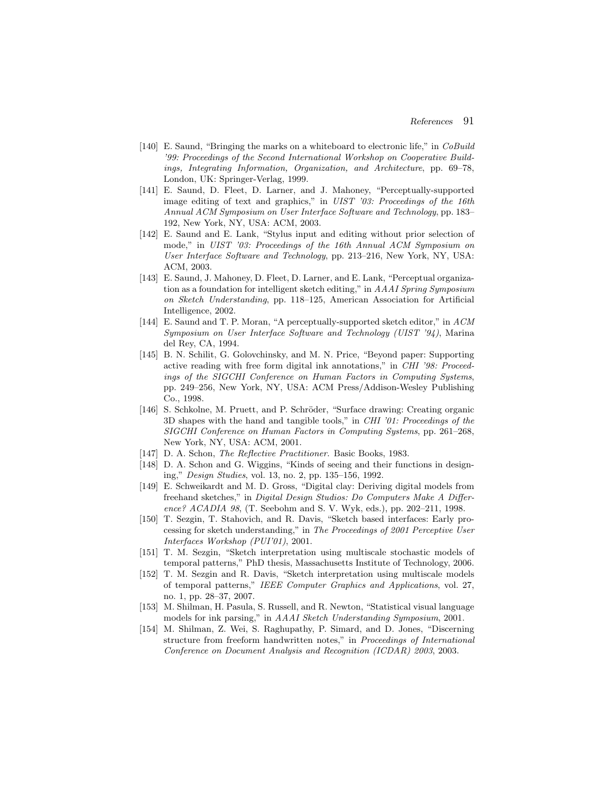- [140] E. Saund, "Bringing the marks on a whiteboard to electronic life," in *CoBuild* '99: Proceedings of the Second International Workshop on Cooperative Buildings, Integrating Information, Organization, and Architecture, pp. 69–78, London, UK: Springer-Verlag, 1999.
- [141] E. Saund, D. Fleet, D. Larner, and J. Mahoney, "Perceptually-supported image editing of text and graphics," in UIST '03: Proceedings of the 16th Annual ACM Symposium on User Interface Software and Technology, pp. 183– 192, New York, NY, USA: ACM, 2003.
- [142] E. Saund and E. Lank, "Stylus input and editing without prior selection of mode," in UIST '03: Proceedings of the 16th Annual ACM Symposium on User Interface Software and Technology, pp. 213–216, New York, NY, USA: ACM, 2003.
- [143] E. Saund, J. Mahoney, D. Fleet, D. Larner, and E. Lank, "Perceptual organization as a foundation for intelligent sketch editing," in AAAI Spring Symposium on Sketch Understanding, pp. 118–125, American Association for Artificial Intelligence, 2002.
- [144] E. Saund and T. P. Moran, "A perceptually-supported sketch editor," in ACM Symposium on User Interface Software and Technology (UIST '94), Marina del Rey, CA, 1994.
- [145] B. N. Schilit, G. Golovchinsky, and M. N. Price, "Beyond paper: Supporting active reading with free form digital ink annotations," in CHI '98: Proceedings of the SIGCHI Conference on Human Factors in Computing Systems, pp. 249–256, New York, NY, USA: ACM Press/Addison-Wesley Publishing Co., 1998.
- [146] S. Schkolne, M. Pruett, and P. Schröder, "Surface drawing: Creating organic 3D shapes with the hand and tangible tools," in CHI '01: Proceedings of the SIGCHI Conference on Human Factors in Computing Systems, pp. 261–268, New York, NY, USA: ACM, 2001.
- [147] D. A. Schon, *The Reflective Practitioner*. Basic Books, 1983.
- [148] D. A. Schon and G. Wiggins, "Kinds of seeing and their functions in designing," Design Studies, vol. 13, no. 2, pp. 135–156, 1992.
- [149] E. Schweikardt and M. D. Gross, "Digital clay: Deriving digital models from freehand sketches," in Digital Design Studios: Do Computers Make A Difference? ACADIA 98, (T. Seebohm and S. V. Wyk, eds.), pp. 202–211, 1998.
- [150] T. Sezgin, T. Stahovich, and R. Davis, "Sketch based interfaces: Early processing for sketch understanding," in The Proceedings of 2001 Perceptive User Interfaces Workshop (PUI'01), 2001.
- [151] T. M. Sezgin, "Sketch interpretation using multiscale stochastic models of temporal patterns," PhD thesis, Massachusetts Institute of Technology, 2006.
- [152] T. M. Sezgin and R. Davis, "Sketch interpretation using multiscale models of temporal patterns," IEEE Computer Graphics and Applications, vol. 27, no. 1, pp. 28–37, 2007.
- [153] M. Shilman, H. Pasula, S. Russell, and R. Newton, "Statistical visual language models for ink parsing," in AAAI Sketch Understanding Symposium, 2001.
- [154] M. Shilman, Z. Wei, S. Raghupathy, P. Simard, and D. Jones, "Discerning structure from freeform handwritten notes," in Proceedings of International Conference on Document Analysis and Recognition (ICDAR) 2003, 2003.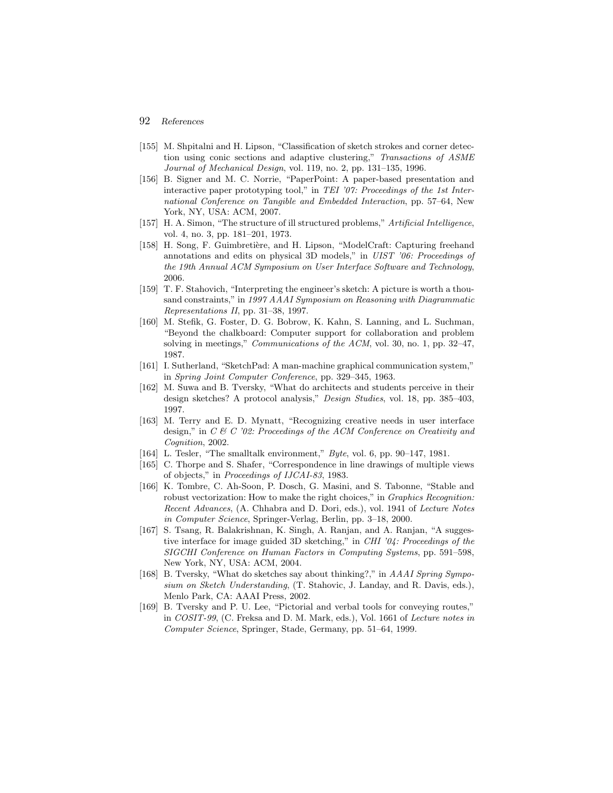- [155] M. Shpitalni and H. Lipson, "Classification of sketch strokes and corner detection using conic sections and adaptive clustering," Transactions of ASME Journal of Mechanical Design, vol. 119, no. 2, pp. 131–135, 1996.
- [156] B. Signer and M. C. Norrie, "PaperPoint: A paper-based presentation and interactive paper prototyping tool," in TEI '07: Proceedings of the 1st International Conference on Tangible and Embedded Interaction, pp. 57–64, New York, NY, USA: ACM, 2007.
- [157] H. A. Simon, "The structure of ill structured problems," Artificial Intelligence, vol. 4, no. 3, pp. 181–201, 1973.
- [158] H. Song, F. Guimbretière, and H. Lipson, "ModelCraft: Capturing freehand annotations and edits on physical 3D models," in UIST '06: Proceedings of the 19th Annual ACM Symposium on User Interface Software and Technology, 2006.
- [159] T. F. Stahovich, "Interpreting the engineer's sketch: A picture is worth a thousand constraints," in 1997 AAAI Symposium on Reasoning with Diagrammatic Representations II, pp. 31–38, 1997.
- [160] M. Stefik, G. Foster, D. G. Bobrow, K. Kahn, S. Lanning, and L. Suchman, "Beyond the chalkboard: Computer support for collaboration and problem solving in meetings," Communications of the ACM, vol. 30, no. 1, pp. 32–47, 1987.
- [161] I. Sutherland, "SketchPad: A man-machine graphical communication system," in Spring Joint Computer Conference, pp. 329–345, 1963.
- [162] M. Suwa and B. Tversky, "What do architects and students perceive in their design sketches? A protocol analysis," Design Studies, vol. 18, pp. 385–403, 1997.
- [163] M. Terry and E. D. Mynatt, "Recognizing creative needs in user interface design," in  $C \& C'02$ : Proceedings of the ACM Conference on Creativity and Cognition, 2002.
- [164] L. Tesler, "The smalltalk environment," Byte, vol. 6, pp. 90–147, 1981.
- [165] C. Thorpe and S. Shafer, "Correspondence in line drawings of multiple views of objects," in Proceedings of IJCAI-83, 1983.
- [166] K. Tombre, C. Ah-Soon, P. Dosch, G. Masini, and S. Tabonne, "Stable and robust vectorization: How to make the right choices," in Graphics Recognition: Recent Advances, (A. Chhabra and D. Dori, eds.), vol. 1941 of Lecture Notes in Computer Science, Springer-Verlag, Berlin, pp. 3–18, 2000.
- [167] S. Tsang, R. Balakrishnan, K. Singh, A. Ranjan, and A. Ranjan, "A suggestive interface for image guided 3D sketching," in CHI '04: Proceedings of the SIGCHI Conference on Human Factors in Computing Systems, pp. 591–598, New York, NY, USA: ACM, 2004.
- [168] B. Tversky, "What do sketches say about thinking?," in AAAI Spring Symposium on Sketch Understanding, (T. Stahovic, J. Landay, and R. Davis, eds.), Menlo Park, CA: AAAI Press, 2002.
- [169] B. Tversky and P. U. Lee, "Pictorial and verbal tools for conveying routes," in COSIT-99, (C. Freksa and D. M. Mark, eds.), Vol. 1661 of Lecture notes in Computer Science, Springer, Stade, Germany, pp. 51–64, 1999.